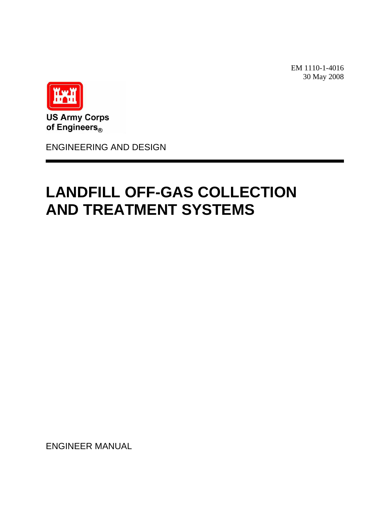

**US Army Corps** of Engineers®

ENGINEERING AND DESIGN

# **LANDFILL OFF-GAS COLLECTION AND TREATMENT SYSTEMS**

ENGINEER MANUAL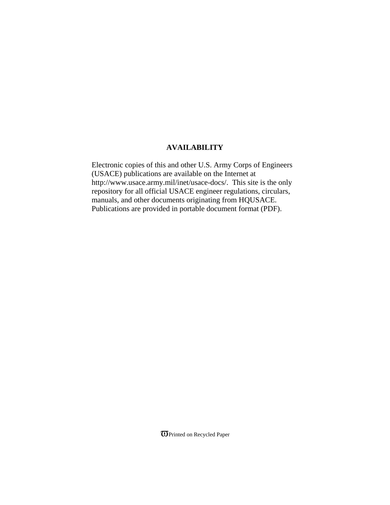#### **AVAILABILITY**

 Electronic copies of this and other U.S. Army Corps of Engineers (USACE) publications are available on the Internet at http://www.usace.army.mil/inet/usace-docs/. This site is the only repository for all official USACE engineer regulations, circulars, manuals, and other documents originating from HQUSACE. Publications are provided in portable document format (PDF).

ϖPrinted on Recycled Paper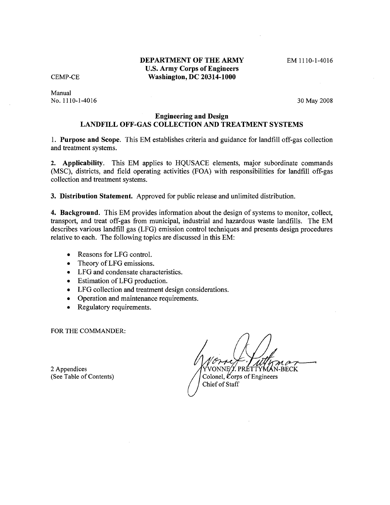#### **DEPARTMENT OF THE ARMY**  U.S. **Army Corps of Engineers Washington, DC 20314-1000**

CEMP-CE

Manual No. 1110-1-4016

30 May 2008

#### **Engineering and Design LANDFILL OFF-GAS COLLECTION AND TREATMENT SYSTEMS**

1. **Purpose and Scope.** This EM establishes criteria and guidance for landfill off-gas collection and treatment systems.

**2. Applicability.** This EM applies to HQUSACE elements, major subordinate commands (MSC), districts, and field operating activities (FOA) with responsibilities for landfill off-gas collection and treatment systems.

**3. Distribution Statement.** Approved for public release and unlimited distribution.

**4. Background.** This EM provides information about the design of systems to monitor, collect, transport, and treat off-gas from municipal, industrial and hazardous waste landfills. The EM describes various landfill gas (LFG) emission control techniques and presents design procedures relative to each. The following topics are discussed in this EM:

- Reasons for LFG control.
- Theory of LFG emissions.
- LFG and condensate characteristics.
- Estimation of LFG production.
- LFG collection and treatment design considerations.
- Operation and maintenance requirements.
- Regulatory requirements.

FOR THE COMMANDER:

2 Appendices

VONNE/Y. PRÉTTYMAN-BECK

(See Table of Contents)  $\angle$  Colonel,  $\angle$  Corps of Engineers Chief of Staff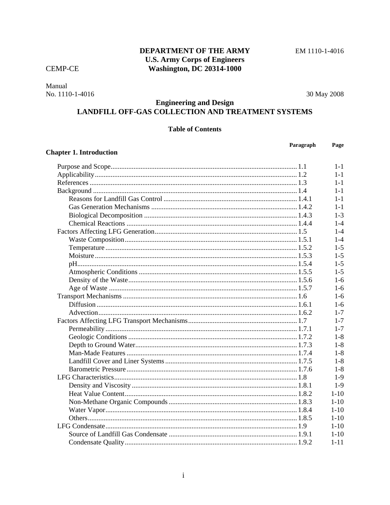## **DEPARTMENT OF THE ARMY U.S. Army Corps of Engineers Washington, DC 20314-1000**

**CEMP-CE** 

Manual No. 1110-1-4016

30 May 2008

### **Engineering and Design** LANDFILL OFF-GAS COLLECTION AND TREATMENT SYSTEMS

#### **Table of Contents**

|                                | Paragraph | Page     |
|--------------------------------|-----------|----------|
| <b>Chapter 1. Introduction</b> |           |          |
|                                |           | $1 - 1$  |
|                                |           | $1-1$    |
|                                |           | $1 - 1$  |
|                                |           | $1 - 1$  |
|                                |           | $1 - 1$  |
|                                |           | $1 - 1$  |
|                                |           | $1 - 3$  |
|                                |           | $1 - 4$  |
|                                |           | $1 - 4$  |
|                                |           | $1 - 4$  |
|                                |           | $1 - 5$  |
|                                |           | $1 - 5$  |
|                                |           | $1 - 5$  |
|                                |           | $1 - 5$  |
|                                |           | $1-6$    |
|                                |           | $1-6$    |
|                                |           | $1-6$    |
|                                |           | $1-6$    |
|                                |           | $1 - 7$  |
|                                |           | $1 - 7$  |
|                                |           | $1 - 7$  |
|                                |           | $1 - 8$  |
|                                |           | $1 - 8$  |
|                                |           | $1 - 8$  |
|                                |           | $1 - 8$  |
|                                |           | $1 - 8$  |
|                                |           | $1-9$    |
|                                |           | $1-9$    |
|                                |           | $1 - 10$ |
|                                |           | $1 - 10$ |
|                                |           | $1 - 10$ |
|                                |           | $1 - 10$ |
|                                |           | $1 - 10$ |
|                                |           | $1 - 10$ |
| Condensate Ouality 19.2        |           | $1 - 11$ |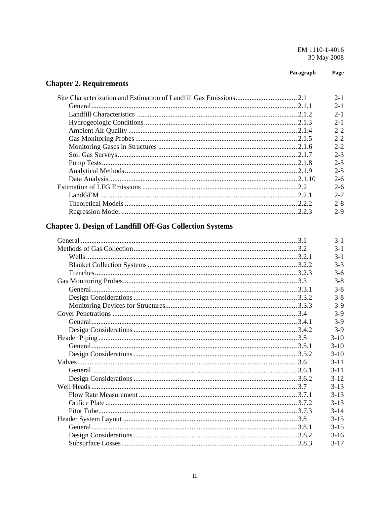#### Paragraph

## Page

## **Chapter 2. Requirements**

|  | $2 - 1$ |
|--|---------|
|  | $2 - 1$ |
|  | $2 - 1$ |
|  | $2 - 1$ |
|  | $2 - 2$ |
|  | $2 - 2$ |
|  | $2 - 2$ |
|  | $2 - 3$ |
|  | $2 - 5$ |
|  | $2 - 5$ |
|  | $2 - 6$ |
|  | $2 - 6$ |
|  | $2 - 7$ |
|  | $2 - 8$ |
|  | $2 - 9$ |

## **Chapter 3. Design of Landfill Off-Gas Collection Systems**

| $3 - 1$  |
|----------|
| $3 - 1$  |
| $3-1$    |
| $3 - 3$  |
| $3-6$    |
| $3 - 8$  |
| $3 - 8$  |
| $3 - 8$  |
| $3-9$    |
| $3-9$    |
| $3-9$    |
| $3-9$    |
| $3-10$   |
| $3-10$   |
| $3 - 10$ |
| $3 - 11$ |
| $3 - 11$ |
| $3 - 12$ |
| $3 - 13$ |
| $3 - 13$ |
| $3 - 13$ |
| $3 - 14$ |
| $3 - 15$ |
| $3 - 15$ |
| $3 - 16$ |
| $3-17$   |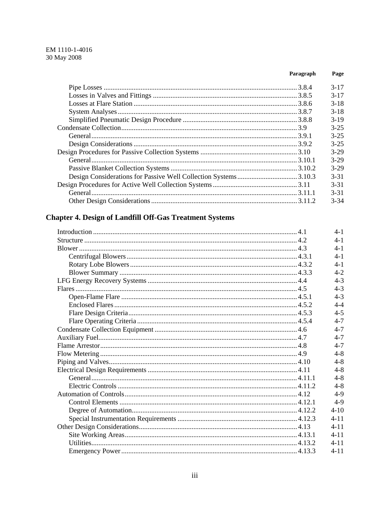| Paragraph | Page     |
|-----------|----------|
|           | $3 - 17$ |
|           | $3 - 17$ |
|           | $3-18$   |
|           | $3-18$   |
|           | $3-19$   |
|           | $3 - 25$ |
|           | $3 - 25$ |
|           | $3-25$   |
|           | $3-29$   |
|           | $3-29$   |
|           | $3-29$   |
|           | $3 - 31$ |
|           | $3 - 31$ |
|           | $3 - 31$ |
|           | $3 - 34$ |

## **Chapter 4. Design of Landfill Off-Gas Treatment Systems**

| $4 - 1$  |
|----------|
| $4 - 1$  |
| $4 - 1$  |
| $4 - 1$  |
| $4 - 1$  |
| $4 - 2$  |
| $4 - 3$  |
| $4 - 3$  |
| $4 - 3$  |
| $4 - 4$  |
| $4 - 5$  |
| $4 - 7$  |
| $4 - 7$  |
| $4 - 7$  |
| $4 - 7$  |
| $4 - 8$  |
| $4 - 8$  |
| $4 - 8$  |
| $4 - 8$  |
| $4 - 8$  |
| $4 - 9$  |
| $4 - 9$  |
| $4 - 10$ |
| $4 - 11$ |
| $4 - 11$ |
| $4 - 11$ |
| $4 - 11$ |
| $4 - 11$ |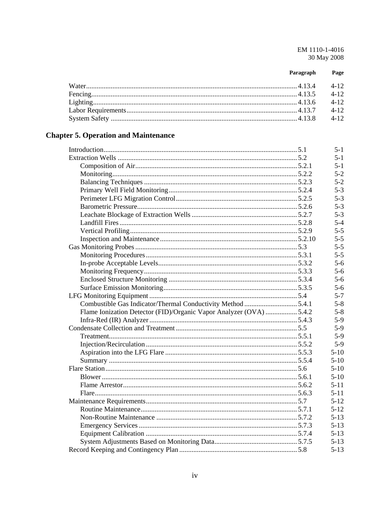#### Paragraph Page  $4 - 12$  $4 - 12$  $4 - 12$  $4 - 12$  $4 - 12$

### **Chapter 5. Operation and Maintenance**

|                                                                    | $5 - 1$  |
|--------------------------------------------------------------------|----------|
|                                                                    | $5-1$    |
|                                                                    | $5-1$    |
|                                                                    | $5 - 2$  |
|                                                                    | $5 - 2$  |
|                                                                    | $5 - 3$  |
|                                                                    | $5-3$    |
|                                                                    | $5 - 3$  |
|                                                                    | $5-3$    |
|                                                                    | $5 - 4$  |
|                                                                    | $5 - 5$  |
|                                                                    | $5 - 5$  |
|                                                                    | $5 - 5$  |
|                                                                    | $5 - 5$  |
|                                                                    | $5 - 6$  |
|                                                                    | $5-6$    |
|                                                                    | $5-6$    |
|                                                                    | $5-6$    |
|                                                                    | $5 - 7$  |
|                                                                    | $5 - 8$  |
| Flame Ionization Detector (FID)/Organic Vapor Analyzer (OVA) 5.4.2 | $5 - 8$  |
|                                                                    | $5-9$    |
|                                                                    | $5-9$    |
|                                                                    | $5-9$    |
|                                                                    | $5-9$    |
|                                                                    | $5-10$   |
|                                                                    | $5-10$   |
|                                                                    | $5-10$   |
|                                                                    | $5-10$   |
|                                                                    | $5-11$   |
|                                                                    | $5 - 11$ |
|                                                                    | $5 - 12$ |
|                                                                    | $5 - 12$ |
|                                                                    | $5 - 13$ |
|                                                                    | $5-13$   |
|                                                                    | $5 - 13$ |
|                                                                    | $5-13$   |
|                                                                    | $5 - 13$ |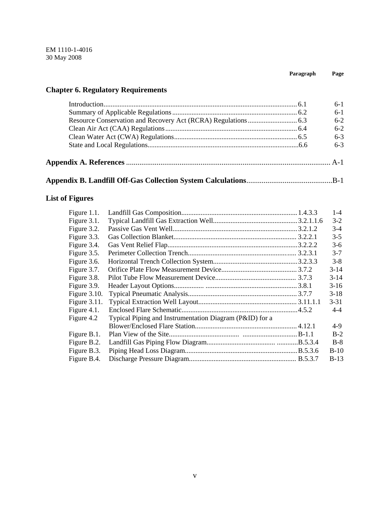**Paragraph Page** 

## **Chapter 6. Regulatory Requirements**

|  | 6-1     |
|--|---------|
|  | $6-1$   |
|  | $6-2$   |
|  | $6-2$   |
|  | $6 - 3$ |
|  | $6 - 3$ |
|  |         |

## **Appendix B. Landfill Off-Gas Collection System Calculations**.............................................B-1

## **List of Figures**

| $1 - 4$  |
|----------|
| $3 - 2$  |
| $3-4$    |
| $3 - 5$  |
| $3-6$    |
| $3 - 7$  |
| $3 - 8$  |
| $3-14$   |
| $3-14$   |
| $3-16$   |
| $3-18$   |
| $3 - 31$ |
| $4 - 4$  |
|          |
| $4 - 9$  |
| $B-2$    |
| $B-8$    |
| $B-10$   |
| $B-13$   |
|          |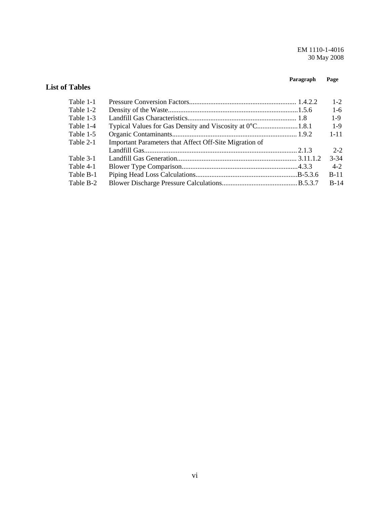#### **Paragraph Page**

## **List of Tables**

| Table 1-1 |                                                        | $1 - 2$  |
|-----------|--------------------------------------------------------|----------|
| Table 1-2 |                                                        | $1 - 6$  |
| Table 1-3 |                                                        | $1-9$    |
| Table 1-4 |                                                        | $1-9$    |
| Table 1-5 |                                                        | $1 - 11$ |
| Table 2-1 | Important Parameters that Affect Off-Site Migration of |          |
|           |                                                        | $2 - 2$  |
| Table 3-1 |                                                        | $3 - 34$ |
| Table 4-1 |                                                        | $4 - 2$  |
| Table B-1 |                                                        | $B-11$   |
| Table B-2 |                                                        | $B-14$   |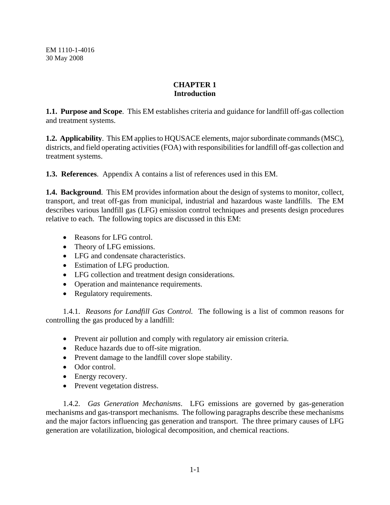## **CHAPTER 1 Introduction**

**1.1. Purpose and Scope**. This EM establishes criteria and guidance for landfill off-gas collection and treatment systems.

**1.2. Applicability**. This EM applies to HQUSACE elements, major subordinate commands (MSC), districts, and field operating activities (FOA) with responsibilities for landfill off-gas collection and treatment systems.

**1.3. References**. Appendix A contains a list of references used in this EM.

**1.4. Background**. This EM provides information about the design of systems to monitor, collect, transport, and treat off-gas from municipal, industrial and hazardous waste landfills. The EM describes various landfill gas (LFG) emission control techniques and presents design procedures relative to each. The following topics are discussed in this EM:

- Reasons for LFG control.
- Theory of LFG emissions.
- LFG and condensate characteristics.
- Estimation of LFG production.
- LFG collection and treatment design considerations.
- Operation and maintenance requirements.
- Regulatory requirements.

 1.4.1. *Reasons for Landfill Gas Control.* The following is a list of common reasons for controlling the gas produced by a landfill:

- Prevent air pollution and comply with regulatory air emission criteria.
- Reduce hazards due to off-site migration.
- Prevent damage to the landfill cover slope stability.
- Odor control.
- Energy recovery.
- Prevent vegetation distress.

1.4.2. *Gas Generation Mechanisms*. LFG emissions are governed by gas-generation mechanisms and gas-transport mechanisms. The following paragraphs describe these mechanisms and the major factors influencing gas generation and transport. The three primary causes of LFG generation are volatilization, biological decomposition, and chemical reactions.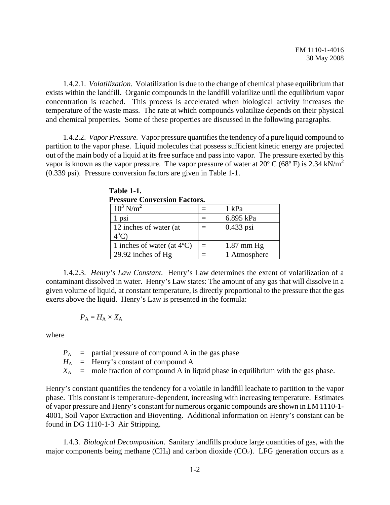1.4.2.1. *Volatilization.* Volatilization is due to the change of chemical phase equilibrium that exists within the landfill. Organic compounds in the landfill volatilize until the equilibrium vapor concentration is reached. This process is accelerated when biological activity increases the temperature of the waste mass. The rate at which compounds volatilize depends on their physical and chemical properties. Some of these properties are discussed in the following paragraphs.

 1.4.2.2. *Vapor Pressure.* Vapor pressure quantifies the tendency of a pure liquid compound to partition to the vapor phase. Liquid molecules that possess sufficient kinetic energy are projected out of the main body of a liquid at its free surface and pass into vapor. The pressure exerted by this vapor is known as the vapor pressure. The vapor pressure of water at  $20^{\circ}$  C (68° F) is 2.34 kN/m<sup>2</sup> (0.339 psi). Pressure conversion factors are given in Table 1-1.

| Pressure Conversion Factors.         |  |              |  |
|--------------------------------------|--|--------------|--|
| $10^3$ N/m <sup>2</sup>              |  | 1 kPa        |  |
| psi                                  |  | 6.895 kPa    |  |
| 12 inches of water (at               |  | $0.433$ psi  |  |
| $4^{\circ}$ C)                       |  |              |  |
| 1 inches of water (at $4^{\circ}$ C) |  | $1.87$ mm Hg |  |
| 29.92 inches of Hg                   |  | 1 Atmosphere |  |

**Table 1-1. Pressure Conversion Factors.**

 1.4.2.3. *Henry's Law Constant.* Henry's Law determines the extent of volatilization of a contaminant dissolved in water. Henry's Law states: The amount of any gas that will dissolve in a given volume of liquid, at constant temperature, is directly proportional to the pressure that the gas exerts above the liquid. Henry's Law is presented in the formula:

$$
P_{\rm A}=H_{\rm A}\times X_{\rm A}
$$

where

- $P_A$  = partial pressure of compound A in the gas phase
- $H_A$  = Henry's constant of compound A
- $X_A$  = mole fraction of compound A in liquid phase in equilibrium with the gas phase.

Henry's constant quantifies the tendency for a volatile in landfill leachate to partition to the vapor phase. This constant is temperature-dependent, increasing with increasing temperature. Estimates of vapor pressure and Henry's constant for numerous organic compounds are shown in EM 1110-1- 4001, Soil Vapor Extraction and Bioventing. Additional information on Henry's constant can be found in DG 1110-1-3 Air Stripping.

 1.4.3. *Biological Decomposition*. Sanitary landfills produce large quantities of gas, with the major components being methane  $(CH_4)$  and carbon dioxide  $(CO_2)$ . LFG generation occurs as a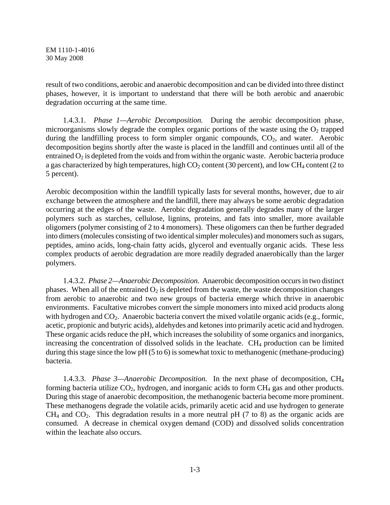result of two conditions, aerobic and anaerobic decomposition and can be divided into three distinct phases, however, it is important to understand that there will be both aerobic and anaerobic degradation occurring at the same time.

 1.4.3.1. *Phase 1—Aerobic Decomposition.* During the aerobic decomposition phase, microorganisms slowly degrade the complex organic portions of the waste using the  $O_2$  trapped during the landfilling process to form simpler organic compounds,  $CO<sub>2</sub>$ , and water. Aerobic decomposition begins shortly after the waste is placed in the landfill and continues until all of the entrained  $O<sub>2</sub>$  is depleted from the voids and from within the organic waste. Aerobic bacteria produce a gas characterized by high temperatures, high  $CO_2$  content (30 percent), and low CH<sub>4</sub> content (2 to 5 percent).

Aerobic decomposition within the landfill typically lasts for several months, however, due to air exchange between the atmosphere and the landfill, there may always be some aerobic degradation occurring at the edges of the waste. Aerobic degradation generally degrades many of the larger polymers such as starches, cellulose, lignins, proteins, and fats into smaller, more available oligomers (polymer consisting of 2 to 4 monomers). These oligomers can then be further degraded into dimers (molecules consisting of two identical simpler molecules) and monomers such as sugars, peptides, amino acids, long-chain fatty acids, glycerol and eventually organic acids. These less complex products of aerobic degradation are more readily degraded anaerobically than the larger polymers.

 1.4.3.2. *Phase 2—Anaerobic Decomposition.* Anaerobic decomposition occurs in two distinct phases. When all of the entrained  $O_2$  is depleted from the waste, the waste decomposition changes from aerobic to anaerobic and two new groups of bacteria emerge which thrive in anaerobic environments. Facultative microbes convert the simple monomers into mixed acid products along with hydrogen and  $CO<sub>2</sub>$ . Anaerobic bacteria convert the mixed volatile organic acids (e.g., formic, acetic, propionic and butyric acids), aldehydes and ketones into primarily acetic acid and hydrogen. These organic acids reduce the pH, which increases the solubility of some organics and inorganics, increasing the concentration of dissolved solids in the leachate.  $CH_4$  production can be limited during this stage since the low pH (5 to 6) is somewhat toxic to methanogenic (methane-producing) bacteria.

 1.4.3.3. *Phase 3—Anaerobic Decomposition.* In the next phase of decomposition, CH4 forming bacteria utilize  $CO<sub>2</sub>$ , hydrogen, and inorganic acids to form  $CH<sub>4</sub>$  gas and other products. During this stage of anaerobic decomposition, the methanogenic bacteria become more prominent. These methanogens degrade the volatile acids, primarily acetic acid and use hydrogen to generate  $CH<sub>4</sub>$  and  $CO<sub>2</sub>$ . This degradation results in a more neutral pH (7 to 8) as the organic acids are consumed. A decrease in chemical oxygen demand (COD) and dissolved solids concentration within the leachate also occurs.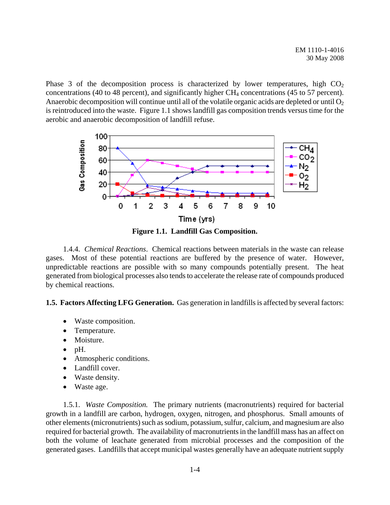Phase 3 of the decomposition process is characterized by lower temperatures, high  $CO<sub>2</sub>$ concentrations (40 to 48 percent), and significantly higher  $CH_4$  concentrations (45 to 57 percent). Anaerobic decomposition will continue until all of the volatile organic acids are depleted or until  $O_2$ is reintroduced into the waste. Figure 1.1 shows landfill gas composition trends versus time for the aerobic and anaerobic decomposition of landfill refuse.



**Figure 1.1. Landfill Gas Composition.** 

 1.4.4. *Chemical Reactions*. Chemical reactions between materials in the waste can release gases. Most of these potential reactions are buffered by the presence of water. However, unpredictable reactions are possible with so many compounds potentially present. The heat generated from biological processes also tends to accelerate the release rate of compounds produced by chemical reactions.

**1.5. Factors Affecting LFG Generation.** Gas generation in landfills is affected by several factors:

- Waste composition.
- Temperature.
- Moisture.
- pH.
- Atmospheric conditions.
- Landfill cover.
- Waste density.
- Waste age.

 1.5.1. *Waste Composition.* The primary nutrients (macronutrients) required for bacterial growth in a landfill are carbon, hydrogen, oxygen, nitrogen, and phosphorus. Small amounts of other elements (micronutrients) such as sodium, potassium, sulfur, calcium, and magnesium are also required for bacterial growth. The availability of macronutrients in the landfill mass has an affect on both the volume of leachate generated from microbial processes and the composition of the generated gases. Landfills that accept municipal wastes generally have an adequate nutrient supply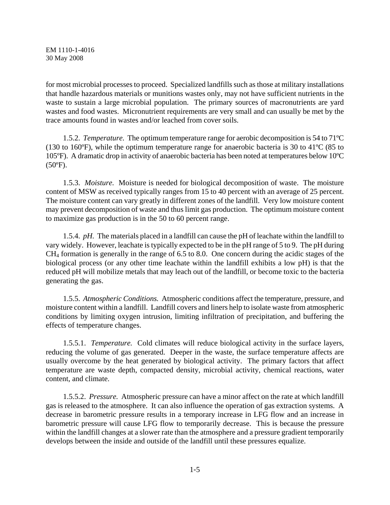for most microbial processes to proceed. Specialized landfills such as those at military installations that handle hazardous materials or munitions wastes only, may not have sufficient nutrients in the waste to sustain a large microbial population. The primary sources of macronutrients are yard wastes and food wastes. Micronutrient requirements are very small and can usually be met by the trace amounts found in wastes and/or leached from cover soils.

 1.5.2. *Temperature.* The optimum temperature range for aerobic decomposition is 54 to 71ºC (130 to 160ºF), while the optimum temperature range for anaerobic bacteria is 30 to 41ºC (85 to 105ºF). A dramatic drop in activity of anaerobic bacteria has been noted at temperatures below 10ºC  $(50^{\circ}F)$ .

 1.5.3. *Moisture.* Moisture is needed for biological decomposition of waste. The moisture content of MSW as received typically ranges from 15 to 40 percent with an average of 25 percent. The moisture content can vary greatly in different zones of the landfill. Very low moisture content may prevent decomposition of waste and thus limit gas production. The optimum moisture content to maximize gas production is in the 50 to 60 percent range.

 1.5.4. *pH.* The materials placed in a landfill can cause the pH of leachate within the landfill to vary widely. However, leachate is typically expected to be in the pH range of 5 to 9. The pH during CH4 formation is generally in the range of 6.5 to 8.0. One concern during the acidic stages of the biological process (or any other time leachate within the landfill exhibits a low pH) is that the reduced pH will mobilize metals that may leach out of the landfill, or become toxic to the bacteria generating the gas.

 1.5.5. *Atmospheric Conditions.* Atmospheric conditions affect the temperature, pressure, and moisture content within a landfill. Landfill covers and liners help to isolate waste from atmospheric conditions by limiting oxygen intrusion, limiting infiltration of precipitation, and buffering the effects of temperature changes.

 1.5.5.1. *Temperature.* Cold climates will reduce biological activity in the surface layers, reducing the volume of gas generated. Deeper in the waste, the surface temperature affects are usually overcome by the heat generated by biological activity. The primary factors that affect temperature are waste depth, compacted density, microbial activity, chemical reactions, water content, and climate.

 1.5.5.2. *Pressure.* Atmospheric pressure can have a minor affect on the rate at which landfill gas is released to the atmosphere. It can also influence the operation of gas extraction systems. A decrease in barometric pressure results in a temporary increase in LFG flow and an increase in barometric pressure will cause LFG flow to temporarily decrease. This is because the pressure within the landfill changes at a slower rate than the atmosphere and a pressure gradient temporarily develops between the inside and outside of the landfill until these pressures equalize.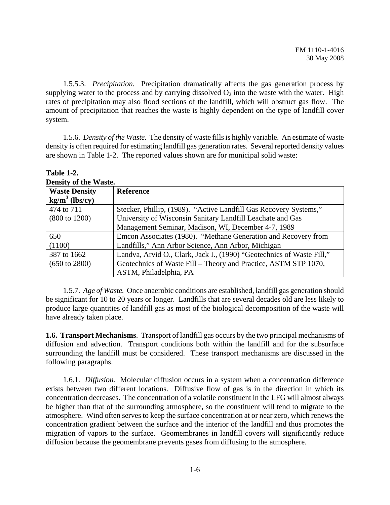1.5.5.3. *Precipitation.* Precipitation dramatically affects the gas generation process by supplying water to the process and by carrying dissolved  $O_2$  into the waste with the water. High rates of precipitation may also flood sections of the landfill, which will obstruct gas flow. The amount of precipitation that reaches the waste is highly dependent on the type of landfill cover system.

 1.5.6. *Density of the Waste.* The density of waste fills is highly variable. An estimate of waste density is often required for estimating landfill gas generation rates. Several reported density values are shown in Table 1-2. The reported values shown are for municipal solid waste:

| <b>Table 1-2.</b>        |                                                                       |
|--------------------------|-----------------------------------------------------------------------|
| Density of the Waste.    |                                                                       |
| <b>Waste Density</b>     | <b>Reference</b>                                                      |
| $kg/m3$ (lbs/cy)         |                                                                       |
| 474 to 711               | Stecker, Phillip, (1989). "Active Landfill Gas Recovery Systems,"     |
| $(800 \text{ to } 1200)$ | University of Wisconsin Sanitary Landfill Leachate and Gas            |
|                          | Management Seminar, Madison, WI, December 4-7, 1989                   |
| 650                      | Emcon Associates (1980). "Methane Generation and Recovery from        |
| (1100)                   | Landfills," Ann Arbor Science, Ann Arbor, Michigan                    |
| 387 to 1662              | Landva, Arvid O., Clark, Jack I., (1990) "Geotechnics of Waste Fill," |
| $(650 \text{ to } 2800)$ | Geotechnics of Waste Fill – Theory and Practice, ASTM STP 1070,       |
|                          | ASTM, Philadelphia, PA                                                |

 1.5.7. *Age of Waste.* Once anaerobic conditions are established, landfill gas generation should be significant for 10 to 20 years or longer. Landfills that are several decades old are less likely to produce large quantities of landfill gas as most of the biological decomposition of the waste will have already taken place.

**1.6. Transport Mechanisms**. Transport of landfill gas occurs by the two principal mechanisms of diffusion and advection. Transport conditions both within the landfill and for the subsurface surrounding the landfill must be considered. These transport mechanisms are discussed in the following paragraphs.

 1.6.1. *Diffusion.* Molecular diffusion occurs in a system when a concentration difference exists between two different locations. Diffusive flow of gas is in the direction in which its concentration decreases. The concentration of a volatile constituent in the LFG will almost always be higher than that of the surrounding atmosphere, so the constituent will tend to migrate to the atmosphere. Wind often serves to keep the surface concentration at or near zero, which renews the concentration gradient between the surface and the interior of the landfill and thus promotes the migration of vapors to the surface. Geomembranes in landfill covers will significantly reduce diffusion because the geomembrane prevents gases from diffusing to the atmosphere.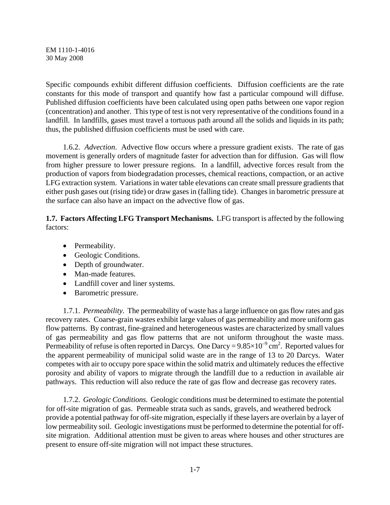Specific compounds exhibit different diffusion coefficients. Diffusion coefficients are the rate constants for this mode of transport and quantify how fast a particular compound will diffuse. Published diffusion coefficients have been calculated using open paths between one vapor region (concentration) and another. This type of test is not very representative of the conditions found in a landfill. In landfills, gases must travel a tortuous path around all the solids and liquids in its path; thus, the published diffusion coefficients must be used with care.

 1.6.2. *Advection*. Advective flow occurs where a pressure gradient exists. The rate of gas movement is generally orders of magnitude faster for advection than for diffusion. Gas will flow from higher pressure to lower pressure regions. In a landfill, advective forces result from the production of vapors from biodegradation processes, chemical reactions, compaction, or an active LFG extraction system. Variations in water table elevations can create small pressure gradients that either push gases out (rising tide) or draw gases in (falling tide). Changes in barometric pressure at the surface can also have an impact on the advective flow of gas.

**1.7. Factors Affecting LFG Transport Mechanisms.** LFG transport is affected by the following factors:

- Permeability.
- Geologic Conditions.
- Depth of groundwater.
- Man-made features.
- Landfill cover and liner systems.
- Barometric pressure.

 1.7.1. *Permeability.* The permeability of waste has a large influence on gas flow rates and gas recovery rates. Coarse-grain wastes exhibit large values of gas permeability and more uniform gas flow patterns. By contrast, fine-grained and heterogeneous wastes are characterized by small values of gas permeability and gas flow patterns that are not uniform throughout the waste mass. Permeability of refuse is often reported in Darcys. One Darcy =  $9.85 \times 10^{-9}$  cm<sup>2</sup>. Reported values for the apparent permeability of municipal solid waste are in the range of 13 to 20 Darcys. Water competes with air to occupy pore space within the solid matrix and ultimately reduces the effective porosity and ability of vapors to migrate through the landfill due to a reduction in available air pathways. This reduction will also reduce the rate of gas flow and decrease gas recovery rates.

 1.7.2. *Geologic Conditions.* Geologic conditions must be determined to estimate the potential for off-site migration of gas. Permeable strata such as sands, gravels, and weathered bedrock provide a potential pathway for off-site migration, especially if these layers are overlain by a layer of low permeability soil. Geologic investigations must be performed to determine the potential for offsite migration. Additional attention must be given to areas where houses and other structures are present to ensure off-site migration will not impact these structures.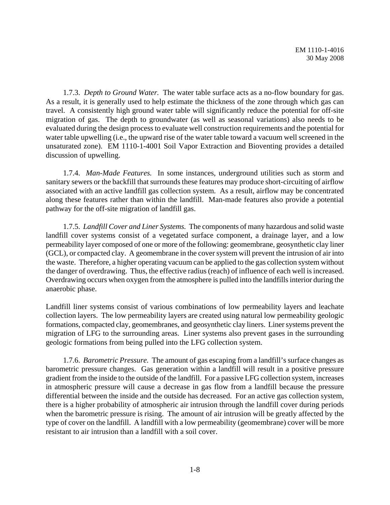1.7.3. *Depth to Ground Water.* The water table surface acts as a no-flow boundary for gas. As a result, it is generally used to help estimate the thickness of the zone through which gas can travel. A consistently high ground water table will significantly reduce the potential for off-site migration of gas. The depth to groundwater (as well as seasonal variations) also needs to be evaluated during the design process to evaluate well construction requirements and the potential for water table upwelling (i.e., the upward rise of the water table toward a vacuum well screened in the unsaturated zone). EM 1110-1-4001 Soil Vapor Extraction and Bioventing provides a detailed discussion of upwelling.

 1.7.4. *Man-Made Features.* In some instances, underground utilities such as storm and sanitary sewers or the backfill that surrounds these features may produce short-circuiting of airflow associated with an active landfill gas collection system. As a result, airflow may be concentrated along these features rather than within the landfill. Man-made features also provide a potential pathway for the off-site migration of landfill gas.

 1.7.5. *Landfill Cover and Liner Systems.* The components of many hazardous and solid waste landfill cover systems consist of a vegetated surface component, a drainage layer, and a low permeability layer composed of one or more of the following: geomembrane, geosynthetic clay liner (GCL), or compacted clay. A geomembrane in the cover system will prevent the intrusion of air into the waste. Therefore, a higher operating vacuum can be applied to the gas collection system without the danger of overdrawing. Thus, the effective radius (reach) of influence of each well is increased. Overdrawing occurs when oxygen from the atmosphere is pulled into the landfills interior during the anaerobic phase.

Landfill liner systems consist of various combinations of low permeability layers and leachate collection layers. The low permeability layers are created using natural low permeability geologic formations, compacted clay, geomembranes, and geosynthetic clay liners. Liner systems prevent the migration of LFG to the surrounding areas. Liner systems also prevent gases in the surrounding geologic formations from being pulled into the LFG collection system.

 1.7.6. *Barometric Pressure.* The amount of gas escaping from a landfill's surface changes as barometric pressure changes. Gas generation within a landfill will result in a positive pressure gradient from the inside to the outside of the landfill. For a passive LFG collection system, increases in atmospheric pressure will cause a decrease in gas flow from a landfill because the pressure differential between the inside and the outside has decreased. For an active gas collection system, there is a higher probability of atmospheric air intrusion through the landfill cover during periods when the barometric pressure is rising. The amount of air intrusion will be greatly affected by the type of cover on the landfill. A landfill with a low permeability (geomembrane) cover will be more resistant to air intrusion than a landfill with a soil cover.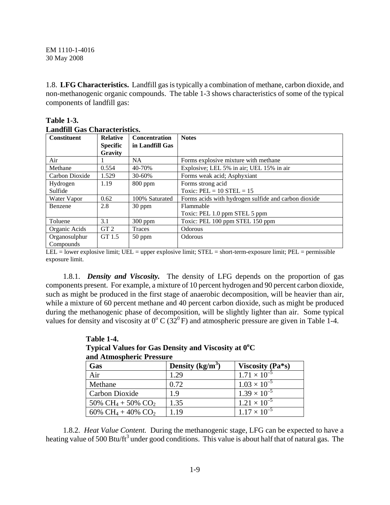1.8. **LFG Characteristics.** Landfill gas is typically a combination of methane, carbon dioxide, and non-methanogenic organic compounds. The table 1-3 shows characteristics of some of the typical components of landfill gas:

| <b>Constituent</b> | <b>Relative</b> | <b>Concentration</b> | <b>Notes</b>                                         |
|--------------------|-----------------|----------------------|------------------------------------------------------|
|                    | <b>Specific</b> | in Landfill Gas      |                                                      |
|                    | Gravity         |                      |                                                      |
| Air                |                 | <b>NA</b>            | Forms explosive mixture with methane                 |
| Methane            | 0.554           | 40-70%               | Explosive; LEL 5% in air; UEL 15% in air             |
| Carbon Dioxide     | 1.529           | 30-60%               | Forms weak acid; Asphyxiant                          |
| Hydrogen           | 1.19            | $800$ ppm            | Forms strong acid                                    |
| Sulfide            |                 |                      | Toxic: $PEL = 10$ STEL = 15                          |
| Water Vapor        | 0.62            | 100% Saturated       | Forms acids with hydrogen sulfide and carbon dioxide |
| Benzene            | 2.8             | 30 ppm               | Flammable                                            |
|                    |                 |                      | Toxic: PEL 1.0 ppm STEL 5 ppm                        |
| Toluene            | 3.1             | $300$ ppm            | Toxic: PEL 100 ppm STEL 150 ppm                      |
| Organic Acids      | GT <sub>2</sub> | Traces               | Odorous                                              |
| Organosulphur      | GT 1.5          | 50 ppm               | <b>Odorous</b>                                       |
| Compounds          |                 |                      |                                                      |

#### **Table 1-3. Landfill Gas Characteristics.**

LEL = lower explosive limit; UEL = upper explosive limit; STEL = short-term-exposure limit; PEL = permissible exposure limit.

 1.8.1. *Density and Viscosity.* The density of LFG depends on the proportion of gas components present. For example, a mixture of 10 percent hydrogen and 90 percent carbon dioxide, such as might be produced in the first stage of anaerobic decomposition, will be heavier than air, while a mixture of 60 percent methane and 40 percent carbon dioxide, such as might be produced during the methanogenic phase of decomposition, will be slightly lighter than air. Some typical values for density and viscosity at  $0^{\circ}$  C (32<sup>0</sup> F) and atmospheric pressure are given in Table 1-4.

| Table 1-4.                                                       |  |  |  |  |
|------------------------------------------------------------------|--|--|--|--|
| Typical Values for Gas Density and Viscosity at 0 <sup>°</sup> C |  |  |  |  |
| and Atmospheric Pressure                                         |  |  |  |  |
|                                                                  |  |  |  |  |

| Gas                                       | Density $(kg/m^3)$ | Viscosity (Pa*s)      |
|-------------------------------------------|--------------------|-----------------------|
| Air                                       | 1.29               | $1.71 \times 10^{-5}$ |
| Methane                                   | 0.72               | $1.03 \times 10^{-5}$ |
| Carbon Dioxide                            | 19                 | $1.39 \times 10^{-5}$ |
| 50% CH <sub>4</sub> + 50% CO <sub>2</sub> | 1.35               | $1.21 \times 10^{-5}$ |
| 60% CH <sub>4</sub> + 40% CO <sub>2</sub> | 1.19               | $1.17 \times 10^{-5}$ |

 1.8.2. *Heat Value Content.* During the methanogenic stage, LFG can be expected to have a heating value of 500 Btu/ft<sup>3</sup> under good conditions. This value is about half that of natural gas. The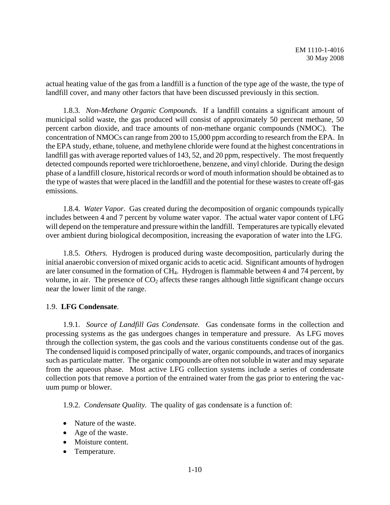actual heating value of the gas from a landfill is a function of the type age of the waste, the type of landfill cover, and many other factors that have been discussed previously in this section.

 1.8.3. *Non-Methane Organic Compounds.* If a landfill contains a significant amount of municipal solid waste, the gas produced will consist of approximately 50 percent methane, 50 percent carbon dioxide, and trace amounts of non-methane organic compounds (NMOC). The concentration of NMOCs can range from 200 to 15,000 ppm according to research from the EPA. In the EPA study, ethane, toluene, and methylene chloride were found at the highest concentrations in landfill gas with average reported values of 143, 52, and 20 ppm, respectively. The most frequently detected compounds reported were trichloroethene, benzene, and vinyl chloride. During the design phase of a landfill closure, historical records or word of mouth information should be obtained as to the type of wastes that were placed in the landfill and the potential for these wastes to create off-gas emissions.

 1.8.4. *Water Vapor.* Gas created during the decomposition of organic compounds typically includes between 4 and 7 percent by volume water vapor. The actual water vapor content of LFG will depend on the temperature and pressure within the landfill. Temperatures are typically elevated over ambient during biological decomposition, increasing the evaporation of water into the LFG.

 1.8.5. *Others.* Hydrogen is produced during waste decomposition, particularly during the initial anaerobic conversion of mixed organic acids to acetic acid. Significant amounts of hydrogen are later consumed in the formation of CH4. Hydrogen is flammable between 4 and 74 percent, by volume, in air. The presence of  $CO<sub>2</sub>$  affects these ranges although little significant change occurs near the lower limit of the range.

#### 1.9. **LFG Condensate**.

 1.9.1. *Source of Landfill Gas Condensate.* Gas condensate forms in the collection and processing systems as the gas undergoes changes in temperature and pressure. As LFG moves through the collection system, the gas cools and the various constituents condense out of the gas. The condensed liquid is composed principally of water, organic compounds, and traces of inorganics such as particulate matter. The organic compounds are often not soluble in water and may separate from the aqueous phase. Most active LFG collection systems include a series of condensate collection pots that remove a portion of the entrained water from the gas prior to entering the vacuum pump or blower.

1.9.2. *Condensate Quality.* The quality of gas condensate is a function of:

- Nature of the waste.
- Age of the waste.
- Moisture content.
- Temperature.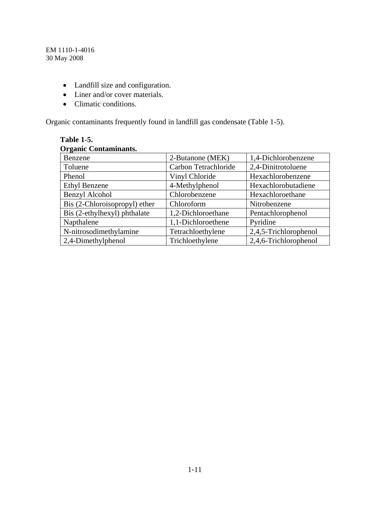- Landfill size and configuration.
- Liner and/or cover materials.
- Climatic conditions.

Organic contaminants frequently found in landfill gas condensate (Table 1-5).

| <b>Organic Contaminants.</b>  |                      |                       |  |  |
|-------------------------------|----------------------|-----------------------|--|--|
| Benzene                       | 2-Butanone (MEK)     | 1,4-Dichlorobenzene   |  |  |
| Toluene                       | Carbon Tetrachloride | 2,4-Dinitrotoluene    |  |  |
| Phenol                        | Vinyl Chloride       | Hexachlorobenzene     |  |  |
| <b>Ethyl Benzene</b>          | 4-Methylphenol       | Hexachlorobutadiene   |  |  |
| <b>Benzyl Alcohol</b>         | Chlorobenzene        | Hexachloroethane      |  |  |
| Bis (2-Chloroisopropyl) ether | Chloroform           | Nitrobenzene          |  |  |
| Bis (2-ethylhexyl) phthalate  | 1,2-Dichloroethane   | Pentachlorophenol     |  |  |
| Napthalene                    | 1,1-Dichloroethene   | Pyridine              |  |  |
| N-nitrosodimethylamine        | Tetrachloethylene    | 2,4,5-Trichlorophenol |  |  |
| 2,4-Dimethylphenol            | Trichloethylene      | 2,4,6-Trichlorophenol |  |  |

# **Table 1-5.**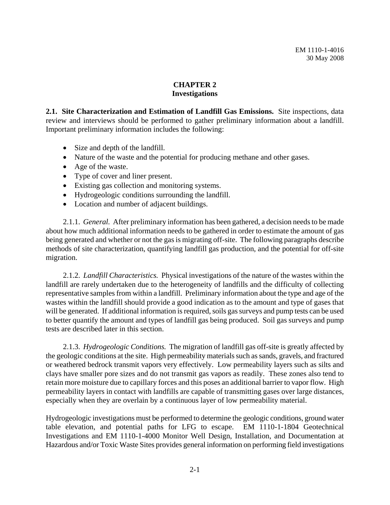## **CHAPTER 2**

### **Investigations**

**2.1. Site Characterization and Estimation of Landfill Gas Emissions.** Site inspections, data review and interviews should be performed to gather preliminary information about a landfill. Important preliminary information includes the following:

- Size and depth of the landfill.
- Nature of the waste and the potential for producing methane and other gases.
- Age of the waste.
- Type of cover and liner present.
- Existing gas collection and monitoring systems.
- Hydrogeologic conditions surrounding the landfill.
- Location and number of adjacent buildings.

 2.1.1. *General.* After preliminary information has been gathered, a decision needs to be made about how much additional information needs to be gathered in order to estimate the amount of gas being generated and whether or not the gas is migrating off-site. The following paragraphs describe methods of site characterization, quantifying landfill gas production, and the potential for off-site migration.

 2.1.2. *Landfill Characteristics.* Physical investigations of the nature of the wastes within the landfill are rarely undertaken due to the heterogeneity of landfills and the difficulty of collecting representative samples from within a landfill. Preliminary information about the type and age of the wastes within the landfill should provide a good indication as to the amount and type of gases that will be generated. If additional information is required, soils gas surveys and pump tests can be used to better quantify the amount and types of landfill gas being produced. Soil gas surveys and pump tests are described later in this section.

 2.1.3. *Hydrogeologic Conditions.* The migration of landfill gas off-site is greatly affected by the geologic conditions at the site. High permeability materials such as sands, gravels, and fractured or weathered bedrock transmit vapors very effectively. Low permeability layers such as silts and clays have smaller pore sizes and do not transmit gas vapors as readily. These zones also tend to retain more moisture due to capillary forces and this poses an additional barrier to vapor flow. High permeability layers in contact with landfills are capable of transmitting gases over large distances, especially when they are overlain by a continuous layer of low permeability material.

Hydrogeologic investigations must be performed to determine the geologic conditions, ground water table elevation, and potential paths for LFG to escape. EM 1110-1-1804 Geotechnical Investigations and EM 1110-1-4000 Monitor Well Design, Installation, and Documentation at Hazardous and/or Toxic Waste Sites provides general information on performing field investigations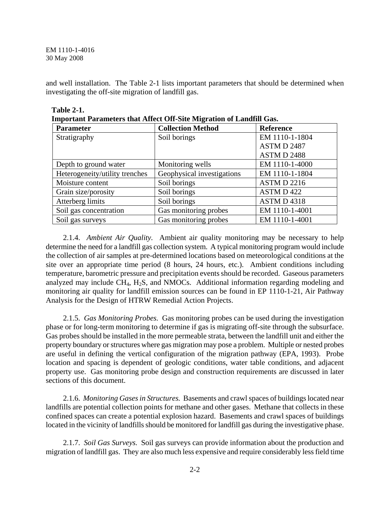and well installation. The Table 2-1 lists important parameters that should be determined when investigating the off-site migration of landfill gas.

| <b>Parameter</b>               | Important Parameters that Affect Off-Site Migration of Landfill Gas.<br><b>Collection Method</b> | <b>Reference</b>   |
|--------------------------------|--------------------------------------------------------------------------------------------------|--------------------|
| Stratigraphy                   | Soil borings                                                                                     | EM 1110-1-1804     |
|                                |                                                                                                  | ASTM D 2487        |
|                                |                                                                                                  | ASTM D 2488        |
| Depth to ground water          | Monitoring wells                                                                                 | EM 1110-1-4000     |
| Heterogeneity/utility trenches | Geophysical investigations                                                                       | EM 1110-1-1804     |
| Moisture content               | Soil borings                                                                                     | <b>ASTM D 2216</b> |
| Grain size/porosity            | Soil borings                                                                                     | ASTM D 422         |
| Atterberg limits               | Soil borings                                                                                     | ASTM D4318         |
| Soil gas concentration         | Gas monitoring probes                                                                            | EM 1110-1-4001     |
| Soil gas surveys               | Gas monitoring probes                                                                            | EM 1110-1-4001     |

**Table 2-1. Important Parameters that Affect Off-Site Migration of Landfill Gas.** 

 2.1.4. *Ambient Air Quality.* Ambient air quality monitoring may be necessary to help determine the need for a landfill gas collection system. A typical monitoring program would include the collection of air samples at pre-determined locations based on meteorological conditions at the site over an appropriate time period (8 hours, 24 hours, etc.). Ambient conditions including temperature, barometric pressure and precipitation events should be recorded. Gaseous parameters analyzed may include CH4, H2S, and NMOCs. Additional information regarding modeling and monitoring air quality for landfill emission sources can be found in EP 1110-1-21, Air Pathway Analysis for the Design of HTRW Remedial Action Projects.

 2.1.5. *Gas Monitoring Probes.* Gas monitoring probes can be used during the investigation phase or for long-term monitoring to determine if gas is migrating off-site through the subsurface. Gas probes should be installed in the more permeable strata, between the landfill unit and either the property boundary or structures where gas migration may pose a problem. Multiple or nested probes are useful in defining the vertical configuration of the migration pathway (EPA, 1993). Probe location and spacing is dependent of geologic conditions, water table conditions, and adjacent property use. Gas monitoring probe design and construction requirements are discussed in later sections of this document.

 2.1.6. *Monitoring Gases in Structures.* Basements and crawl spaces of buildings located near landfills are potential collection points for methane and other gases. Methane that collects in these confined spaces can create a potential explosion hazard. Basements and crawl spaces of buildings located in the vicinity of landfills should be monitored for landfill gas during the investigative phase.

 2.1.7. *Soil Gas Surveys.* Soil gas surveys can provide information about the production and migration of landfill gas. They are also much less expensive and require considerably less field time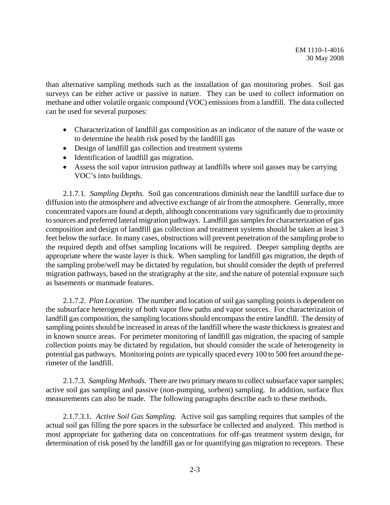than alternative sampling methods such as the installation of gas monitoring probes. Soil gas surveys can be either active or passive in nature. They can be used to collect information on methane and other volatile organic compound (VOC) emissions from a landfill. The data collected can be used for several purposes:

- Characterization of landfill gas composition as an indicator of the nature of the waste or to determine the health risk posed by the landfill gas
- Design of landfill gas collection and treatment systems
- Identification of landfill gas migration.
- Assess the soil vapor intrusion pathway at landfills where soil gasses may be carrying VOC's into buildings.

 2.1.7.1*. Sampling Depths.* Soil gas concentrations diminish near the landfill surface due to diffusion into the atmosphere and advective exchange of air from the atmosphere. Generally, more concentrated vapors are found at depth, although concentrations vary significantly due to proximity to sources and preferred lateral migration pathways. Landfill gas samples for characterization of gas composition and design of landfill gas collection and treatment systems should be taken at least 3 feet below the surface. In many cases, obstructions will prevent penetration of the sampling probe to the required depth and offset sampling locations will be required. Deeper sampling depths are appropriate where the waste layer is thick. When sampling for landfill gas migration, the depth of the sampling probe/well may be dictated by regulation, but should consider the depth of preferred migration pathways, based on the stratigraphy at the site, and the nature of potential exposure such as basements or manmade features.

 2.1.7.2. *Plan Location.* The number and location of soil gas sampling points is dependent on the subsurface heterogeneity of both vapor flow paths and vapor sources. For characterization of landfill gas composition, the sampling locations should encompass the entire landfill. The density of sampling points should be increased in areas of the landfill where the waste thickness is greatest and in known source areas. For perimeter monitoring of landfill gas migration, the spacing of sample collection points may be dictated by regulation, but should consider the scale of heterogeneity in potential gas pathways. Monitoring points are typically spaced every 100 to 500 feet around the perimeter of the landfill.

 2.1.7.3. *Sampling Methods.* There are two primary means to collect subsurface vapor samples; active soil gas sampling and passive (non-pumping, sorbent) sampling. In addition, surface flux measurements can also be made. The following paragraphs describe each to these methods.

 2.1.7.3.1. *Active Soil Gas Sampling.* Active soil gas sampling requires that samples of the actual soil gas filling the pore spaces in the subsurface be collected and analyzed. This method is most appropriate for gathering data on concentrations for off-gas treatment system design, for determination of risk posed by the landfill gas or for quantifying gas migration to receptors. These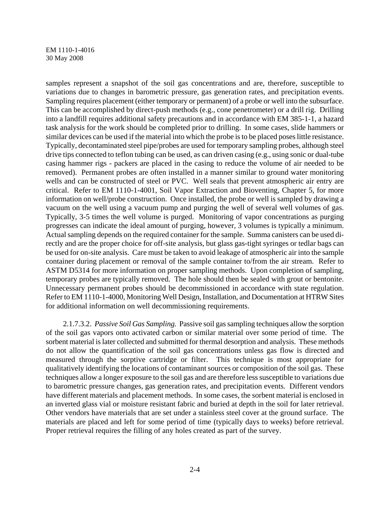samples represent a snapshot of the soil gas concentrations and are, therefore, susceptible to variations due to changes in barometric pressure, gas generation rates, and precipitation events. Sampling requires placement (either temporary or permanent) of a probe or well into the subsurface. This can be accomplished by direct-push methods (e.g., cone penetrometer) or a drill rig. Drilling into a landfill requires additional safety precautions and in accordance with EM 385-1-1, a hazard task analysis for the work should be completed prior to drilling. In some cases, slide hammers or similar devices can be used if the material into which the probe is to be placed poses little resistance. Typically, decontaminated steel pipe/probes are used for temporary sampling probes, although steel drive tips connected to teflon tubing can be used, as can driven casing (e.g., using sonic or dual-tube casing hammer rigs - packers are placed in the casing to reduce the volume of air needed to be removed). Permanent probes are often installed in a manner similar to ground water monitoring wells and can be constructed of steel or PVC. Well seals that prevent atmospheric air entry are critical. Refer to EM 1110-1-4001, Soil Vapor Extraction and Bioventing, Chapter 5, for more information on well/probe construction. Once installed, the probe or well is sampled by drawing a vacuum on the well using a vacuum pump and purging the well of several well volumes of gas. Typically, 3-5 times the well volume is purged. Monitoring of vapor concentrations as purging progresses can indicate the ideal amount of purging, however, 3 volumes is typically a minimum. Actual sampling depends on the required container for the sample. Summa canisters can be used directly and are the proper choice for off-site analysis, but glass gas-tight syringes or tedlar bags can be used for on-site analysis. Care must be taken to avoid leakage of atmospheric air into the sample container during placement or removal of the sample container to/from the air stream. Refer to ASTM D5314 for more information on proper sampling methods. Upon completion of sampling, temporary probes are typically removed. The hole should then be sealed with grout or bentonite. Unnecessary permanent probes should be decommissioned in accordance with state regulation. Refer to EM 1110-1-4000, Monitoring Well Design, Installation, and Documentation at HTRW Sites for additional information on well decommissioning requirements.

 2.1.7.3.2. *Passive Soil Gas Sampling.* Passive soil gas sampling techniques allow the sorption of the soil gas vapors onto activated carbon or similar material over some period of time. The sorbent material is later collected and submitted for thermal desorption and analysis. These methods do not allow the quantification of the soil gas concentrations unless gas flow is directed and measured through the sorptive cartridge or filter. This technique is most appropriate for qualitatively identifying the locations of contaminant sources or composition of the soil gas. These techniques allow a longer exposure to the soil gas and are therefore less susceptible to variations due to barometric pressure changes, gas generation rates, and precipitation events. Different vendors have different materials and placement methods. In some cases, the sorbent material is enclosed in an inverted glass vial or moisture resistant fabric and buried at depth in the soil for later retrieval. Other vendors have materials that are set under a stainless steel cover at the ground surface. The materials are placed and left for some period of time (typically days to weeks) before retrieval. Proper retrieval requires the filling of any holes created as part of the survey.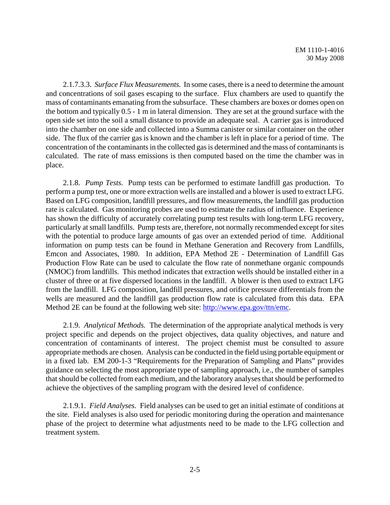2.1.7.3.3. *Surface Flux Measurements.* In some cases, there is a need to determine the amount and concentrations of soil gases escaping to the surface. Flux chambers are used to quantify the mass of contaminants emanating from the subsurface. These chambers are boxes or domes open on the bottom and typically 0.5 - 1 m in lateral dimension. They are set at the ground surface with the open side set into the soil a small distance to provide an adequate seal. A carrier gas is introduced into the chamber on one side and collected into a Summa canister or similar container on the other side. The flux of the carrier gas is known and the chamber is left in place for a period of time. The concentration of the contaminants in the collected gas is determined and the mass of contaminants is calculated. The rate of mass emissions is then computed based on the time the chamber was in place.

 2.1.8. *Pump Tests.* Pump tests can be performed to estimate landfill gas production. To perform a pump test, one or more extraction wells are installed and a blower is used to extract LFG. Based on LFG composition, landfill pressures, and flow measurements, the landfill gas production rate is calculated. Gas monitoring probes are used to estimate the radius of influence. Experience has shown the difficulty of accurately correlating pump test results with long-term LFG recovery, particularly at small landfills. Pump tests are, therefore, not normally recommended except for sites with the potential to produce large amounts of gas over an extended period of time. Additional information on pump tests can be found in Methane Generation and Recovery from Landfills, Emcon and Associates, 1980. In addition, EPA Method 2E - Determination of Landfill Gas Production Flow Rate can be used to calculate the flow rate of nonmethane organic compounds (NMOC) from landfills. This method indicates that extraction wells should be installed either in a cluster of three or at five dispersed locations in the landfill. A blower is then used to extract LFG from the landfill. LFG composition, landfill pressures, and orifice pressure differentials from the wells are measured and the landfill gas production flow rate is calculated from this data. EPA Method 2E can be found at the following web site: [http://www.epa.gov/ttn/emc.](http://www.epa.gov/ttn/emc)

 2.1.9. *Analytical Methods.* The determination of the appropriate analytical methods is very project specific and depends on the project objectives, data quality objectives, and nature and concentration of contaminants of interest. The project chemist must be consulted to assure appropriate methods are chosen. Analysis can be conducted in the field using portable equipment or in a fixed lab. EM 200-1-3 "Requirements for the Preparation of Sampling and Plans" provides guidance on selecting the most appropriate type of sampling approach, i.e., the number of samples that should be collected from each medium, and the laboratory analyses that should be performed to achieve the objectives of the sampling program with the desired level of confidence.

 2.1.9.1. *Field Analyses.* Field analyses can be used to get an initial estimate of conditions at the site. Field analyses is also used for periodic monitoring during the operation and maintenance phase of the project to determine what adjustments need to be made to the LFG collection and treatment system.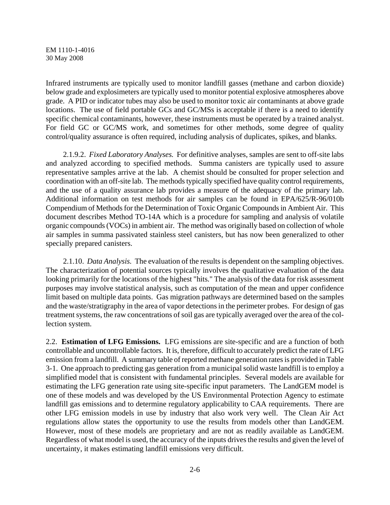Infrared instruments are typically used to monitor landfill gasses (methane and carbon dioxide) below grade and explosimeters are typically used to monitor potential explosive atmospheres above grade. A PID or indicator tubes may also be used to monitor toxic air contaminants at above grade locations. The use of field portable GCs and GC/MSs is acceptable if there is a need to identify specific chemical contaminants, however, these instruments must be operated by a trained analyst. For field GC or GC/MS work, and sometimes for other methods, some degree of quality control/quality assurance is often required, including analysis of duplicates, spikes, and blanks.

 2.1.9.2. *Fixed Laboratory Analyses.* For definitive analyses, samples are sent to off-site labs and analyzed according to specified methods. Summa canisters are typically used to assure representative samples arrive at the lab. A chemist should be consulted for proper selection and coordination with an off-site lab. The methods typically specified have quality control requirements, and the use of a quality assurance lab provides a measure of the adequacy of the primary lab. Additional information on test methods for air samples can be found in EPA/625/R-96/010b Compendium of Methods for the Determination of Toxic Organic Compounds in Ambient Air. This document describes Method TO-14A which is a procedure for sampling and analysis of volatile organic compounds (VOCs) in ambient air. The method was originally based on collection of whole air samples in summa passivated stainless steel canisters, but has now been generalized to other specially prepared canisters.

 2.1.10. *Data Analysis.* The evaluation of the results is dependent on the sampling objectives. The characterization of potential sources typically involves the qualitative evaluation of the data looking primarily for the locations of the highest "hits." The analysis of the data for risk assessment purposes may involve statistical analysis, such as computation of the mean and upper confidence limit based on multiple data points. Gas migration pathways are determined based on the samples and the waste/stratigraphy in the area of vapor detections in the perimeter probes. For design of gas treatment systems, the raw concentrations of soil gas are typically averaged over the area of the collection system.

2.2. **Estimation of LFG Emissions.** LFG emissions are site-specific and are a function of both controllable and uncontrollable factors. It is, therefore, difficult to accurately predict the rate of LFG emission from a landfill. A summary table of reported methane generation rates is provided in Table 3-1. One approach to predicting gas generation from a municipal solid waste landfill is to employ a simplified model that is consistent with fundamental principles. Several models are available for estimating the LFG generation rate using site-specific input parameters. The LandGEM model is one of these models and was developed by the US Environmental Protection Agency to estimate landfill gas emissions and to determine regulatory applicability to CAA requirements. There are other LFG emission models in use by industry that also work very well. The Clean Air Act regulations allow states the opportunity to use the results from models other than LandGEM. However, most of these models are proprietary and are not as readily available as LandGEM. Regardless of what model is used, the accuracy of the inputs drives the results and given the level of uncertainty, it makes estimating landfill emissions very difficult.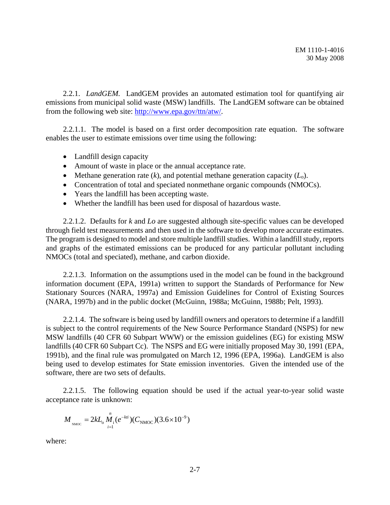2.2.1. *LandGEM.* LandGEM provides an automated estimation tool for quantifying air emissions from municipal solid waste (MSW) landfills. The LandGEM software can be obtained from the following web site: <http://www.epa.gov/ttn/atw/>.

 2.2.1.1. The model is based on a first order decomposition rate equation. The software enables the user to estimate emissions over time using the following:

- Landfill design capacity
- Amount of waste in place or the annual acceptance rate.
- Methane generation rate  $(k)$ , and potential methane generation capacity  $(L_0)$ .
- Concentration of total and speciated nonmethane organic compounds (NMOCs).
- Years the landfill has been accepting waste.
- Whether the landfill has been used for disposal of hazardous waste.

 2.2.1.2. Defaults for *k* and *Lo* are suggested although site-specific values can be developed through field test measurements and then used in the software to develop more accurate estimates. The program is designed to model and store multiple landfill studies. Within a landfill study, reports and graphs of the estimated emissions can be produced for any particular pollutant including NMOCs (total and speciated), methane, and carbon dioxide.

 2.2.1.3. Information on the assumptions used in the model can be found in the background information document (EPA, 1991a) written to support the Standards of Performance for New Stationary Sources (NARA, 1997a) and Emission Guidelines for Control of Existing Sources (NARA, 1997b) and in the public docket (McGuinn, 1988a; McGuinn, 1988b; Pelt, 1993).

 2.2.1.4. The software is being used by landfill owners and operators to determine if a landfill is subject to the control requirements of the New Source Performance Standard (NSPS) for new MSW landfills (40 CFR 60 Subpart WWW) or the emission guidelines (EG) for existing MSW landfills (40 CFR 60 Subpart Cc). The NSPS and EG were initially proposed May 30, 1991 (EPA, 1991b), and the final rule was promulgated on March 12, 1996 (EPA, 1996a). LandGEM is also being used to develop estimates for State emission inventories. Given the intended use of the software, there are two sets of defaults.

 2.2.1.5. The following equation should be used if the actual year-to-year solid waste acceptance rate is unknown:

$$
M_{\rm NMC} = 2kL_{\rm o} \frac{n}{M_{\rm i}(e^{-kt})}(C_{\rm NMOC})(3.6 \times 10^{-9})
$$

where: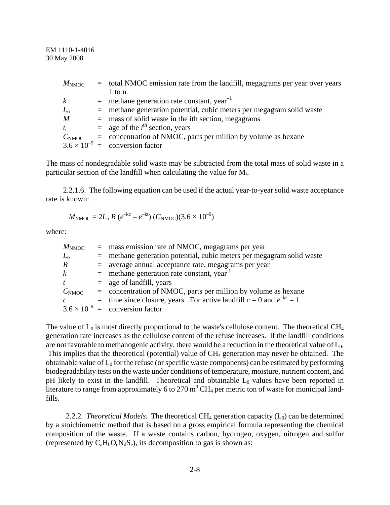| $M_{\rm NMOC}$    | $=$ total NMOC emission rate from the landfill, megagrams per year over years |
|-------------------|-------------------------------------------------------------------------------|
|                   | $1$ to n.                                                                     |
| $\boldsymbol{k}$  | $=$ methane generation rate constant, year <sup>-1</sup>                      |
| $L_{\rm o}$       | $=$ methane generation potential, cubic meters per megagram solid waste       |
| $M_{\rm i}$       | $=$ mass of solid waste in the ith section, megagrams                         |
| $t_{\rm i}$       | $=$ age of the <i>i</i> <sup>th</sup> section, years                          |
| $C_{\text{NMOC}}$ | $=$ concentration of NMOC, parts per million by volume as hexane              |
|                   | $3.6 \times 10^{-9}$ = conversion factor                                      |

The mass of nondegradable solid waste may be subtracted from the total mass of solid waste in a particular section of the landfill when calculating the value for Mi.

 2.2.1.6. The following equation can be used if the actual year-to-year solid waste acceptance rate is known:

$$
M_{\text{NMOC}} = 2L_0 R (e^{-k c} - e^{-k t}) (C_{\text{NMOC}})(3.6 \times 10^{-9})
$$

where:

| $M_{\rm NMOC}$   | $=$ mass emission rate of NMOC, megagrams per year                               |
|------------------|----------------------------------------------------------------------------------|
| $L_{\rm o}$      | $=$ methane generation potential, cubic meters per megagram solid waste          |
| $\boldsymbol{R}$ | $=$ average annual acceptance rate, megagrams per year                           |
| $\boldsymbol{k}$ | $=$ methane generation rate constant, year <sup>1</sup>                          |
| t                | $=$ age of landfill, years                                                       |
|                  | $C_{\text{NMOC}}$ = concentration of NMOC, parts per million by volume as hexane |
| $\mathcal{C}$    | = time since closure, years. For active landfill $c = 0$ and $e^{-kc} = 1$       |
|                  | $3.6 \times 10^{-9}$ = conversion factor                                         |

The value of  $L_0$  is most directly proportional to the waste's cellulose content. The theoretical CH<sub>4</sub> generation rate increases as the cellulose content of the refuse increases. If the landfill conditions are not favorable to methanogenic activity, there would be a reduction in the theoretical value of  $L_0$ . This implies that the theoretical (potential) value of CH<sub>4</sub> generation may never be obtained. The obtainable value of  $L_0$  for the refuse (or specific waste components) can be estimated by performing biodegradability tests on the waste under conditions of temperature, moisture, nutrient content, and pH likely to exist in the landfill. Theoretical and obtainable  $L_0$  values have been reported in literature to range from approximately 6 to 270  $m^3$  CH<sub>4</sub> per metric ton of waste for municipal landfills.

2.2.2. *Theoretical Models.* The theoretical  $CH_4$  generation capacity  $(L_0)$  can be determined by a stoichiometric method that is based on a gross empirical formula representing the chemical composition of the waste. If a waste contains carbon, hydrogen, oxygen, nitrogen and sulfur (represented by  $C_aH_bO_cN_dS_e$ ), its decomposition to gas is shown as: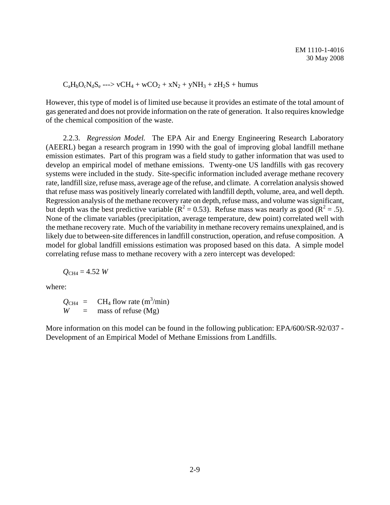$$
C_aH_bO_cN_dS_e \dashrightarrow vCH_4 + wCO_2 + xN_2 + yNH_3 + zH_2S + humus
$$

However, this type of model is of limited use because it provides an estimate of the total amount of gas generated and does not provide information on the rate of generation. It also requires knowledge of the chemical composition of the waste.

 2.2.3. *Regression Model.* The EPA Air and Energy Engineering Research Laboratory (AEERL) began a research program in 1990 with the goal of improving global landfill methane emission estimates. Part of this program was a field study to gather information that was used to develop an empirical model of methane emissions. Twenty-one US landfills with gas recovery systems were included in the study. Site-specific information included average methane recovery rate, landfill size, refuse mass, average age of the refuse, and climate. A correlation analysis showed that refuse mass was positively linearly correlated with landfill depth, volume, area, and well depth. Regression analysis of the methane recovery rate on depth, refuse mass, and volume was significant, but depth was the best predictive variable  $(R^2 = 0.53)$ . Refuse mass was nearly as good  $(R^2 = .5)$ . None of the climate variables (precipitation, average temperature, dew point) correlated well with the methane recovery rate. Much of the variability in methane recovery remains unexplained, and is likely due to between-site differences in landfill construction, operation, and refuse composition. A model for global landfill emissions estimation was proposed based on this data. A simple model correlating refuse mass to methane recovery with a zero intercept was developed:

 $Q_{CH4} = 4.52 W$ 

where:

 $Q_{CH4}$  =  $CH_4$  flow rate (m<sup>3</sup>/min)  $W =$  mass of refuse (Mg)

More information on this model can be found in the following publication: EPA/600/SR-92/037 -Development of an Empirical Model of Methane Emissions from Landfills.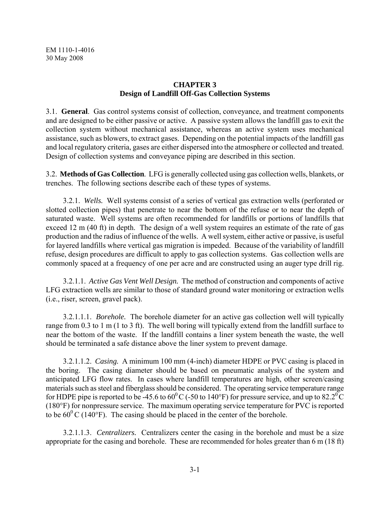#### **CHAPTER 3 Design of Landfill Off-Gas Collection Systems**

3.1. **General**. Gas control systems consist of collection, conveyance, and treatment components and are designed to be either passive or active. A passive system allows the landfill gas to exit the collection system without mechanical assistance, whereas an active system uses mechanical assistance, such as blowers, to extract gases. Depending on the potential impacts of the landfill gas and local regulatory criteria, gases are either dispersed into the atmosphere or collected and treated. Design of collection systems and conveyance piping are described in this section.

3.2. **Methods of Gas Collection**. LFG is generally collected using gas collection wells, blankets, or trenches. The following sections describe each of these types of systems.

 3.2.1. *Wells.* Well systems consist of a series of vertical gas extraction wells (perforated or slotted collection pipes) that penetrate to near the bottom of the refuse or to near the depth of saturated waste. Well systems are often recommended for landfills or portions of landfills that exceed 12 m (40 ft) in depth. The design of a well system requires an estimate of the rate of gas production and the radius of influence of the wells. A well system, either active or passive, is useful for layered landfills where vertical gas migration is impeded. Because of the variability of landfill refuse, design procedures are difficult to apply to gas collection systems. Gas collection wells are commonly spaced at a frequency of one per acre and are constructed using an auger type drill rig.

 3.2.1.1. *Active Gas Vent Well Design.* The method of construction and components of active LFG extraction wells are similar to those of standard ground water monitoring or extraction wells (i.e., riser, screen, gravel pack).

 3.2.1.1.1. *Borehole.* The borehole diameter for an active gas collection well will typically range from 0.3 to 1 m (1 to 3 ft). The well boring will typically extend from the landfill surface to near the bottom of the waste. If the landfill contains a liner system beneath the waste, the well should be terminated a safe distance above the liner system to prevent damage.

 3.2.1.1.2. *Casing.* A minimum 100 mm (4-inch) diameter HDPE or PVC casing is placed in the boring. The casing diameter should be based on pneumatic analysis of the system and anticipated LFG flow rates. In cases where landfill temperatures are high, other screen/casing materials such as steel and fiberglass should be considered. The operating service temperature range for HDPE pipe is reported to be -45.6 to  $60^{\circ}$ C (-50 to 140°F) for pressure service, and up to 82.2<sup>o</sup>C (180°F) for nonpressure service. The maximum operating service temperature for PVC is reported to be  $60^{\circ}$ C (140°F). The casing should be placed in the center of the borehole.

 3.2.1.1.3. *Centralizers.* Centralizers center the casing in the borehole and must be a size appropriate for the casing and borehole. These are recommended for holes greater than 6 m (18 ft)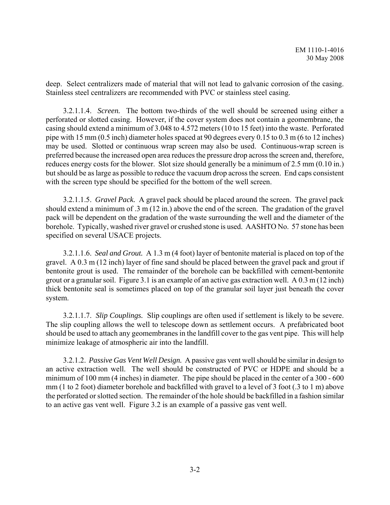deep. Select centralizers made of material that will not lead to galvanic corrosion of the casing. Stainless steel centralizers are recommended with PVC or stainless steel casing.

 3.2.1.1.4. *Screen.* The bottom two-thirds of the well should be screened using either a perforated or slotted casing. However, if the cover system does not contain a geomembrane, the casing should extend a minimum of 3.048 to 4.572 meters (10 to 15 feet) into the waste. Perforated pipe with 15 mm (0.5 inch) diameter holes spaced at 90 degrees every 0.15 to 0.3 m (6 to 12 inches) may be used. Slotted or continuous wrap screen may also be used. Continuous-wrap screen is preferred because the increased open area reduces the pressure drop across the screen and, therefore, reduces energy costs for the blower. Slot size should generally be a minimum of 2.5 mm (0.10 in.) but should be as large as possible to reduce the vacuum drop across the screen. End caps consistent with the screen type should be specified for the bottom of the well screen.

 3.2.1.1.5. *Gravel Pack.* A gravel pack should be placed around the screen. The gravel pack should extend a minimum of .3 m (12 in.) above the end of the screen. The gradation of the gravel pack will be dependent on the gradation of the waste surrounding the well and the diameter of the borehole. Typically, washed river gravel or crushed stone is used. AASHTO No. 57 stone has been specified on several USACE projects.

 3.2.1.1.6. *Seal and Grout.* A 1.3 m (4 foot) layer of bentonite material is placed on top of the gravel. A 0.3 m (12 inch) layer of fine sand should be placed between the gravel pack and grout if bentonite grout is used. The remainder of the borehole can be backfilled with cement-bentonite grout or a granular soil. Figure 3.1 is an example of an active gas extraction well. A 0.3 m (12 inch) thick bentonite seal is sometimes placed on top of the granular soil layer just beneath the cover system.

 3.2.1.1.7. *Slip Couplings.* Slip couplings are often used if settlement is likely to be severe. The slip coupling allows the well to telescope down as settlement occurs. A prefabricated boot should be used to attach any geomembranes in the landfill cover to the gas vent pipe. This will help minimize leakage of atmospheric air into the landfill.

 3.2.1.2. *Passive Gas Vent Well Design.* A passive gas vent well should be similar in design to an active extraction well. The well should be constructed of PVC or HDPE and should be a minimum of 100 mm (4 inches) in diameter. The pipe should be placed in the center of a 300 - 600 mm (1 to 2 foot) diameter borehole and backfilled with gravel to a level of 3 foot (.3 to 1 m) above the perforated or slotted section. The remainder of the hole should be backfilled in a fashion similar to an active gas vent well. Figure 3.2 is an example of a passive gas vent well.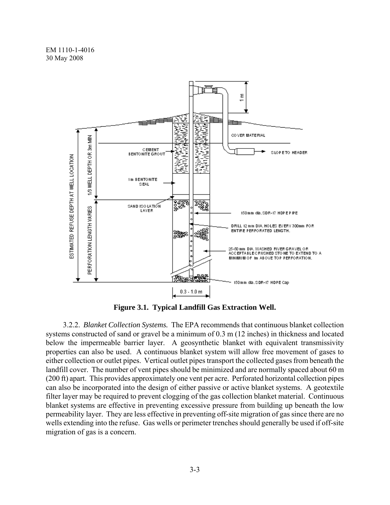

**Figure 3.1. Typical Landfill Gas Extraction Well.** 

 3.2.2. *Blanket Collection Systems.* The EPA recommends that continuous blanket collection systems constructed of sand or gravel be a minimum of 0.3 m (12 inches) in thickness and located below the impermeable barrier layer. A geosynthetic blanket with equivalent transmissivity properties can also be used. A continuous blanket system will allow free movement of gases to either collection or outlet pipes. Vertical outlet pipes transport the collected gases from beneath the landfill cover. The number of vent pipes should be minimized and are normally spaced about 60 m (200 ft) apart. This provides approximately one vent per acre. Perforated horizontal collection pipes can also be incorporated into the design of either passive or active blanket systems. A geotextile filter layer may be required to prevent clogging of the gas collection blanket material. Continuous blanket systems are effective in preventing excessive pressure from building up beneath the low permeability layer. They are less effective in preventing off-site migration of gas since there are no wells extending into the refuse. Gas wells or perimeter trenches should generally be used if off-site migration of gas is a concern.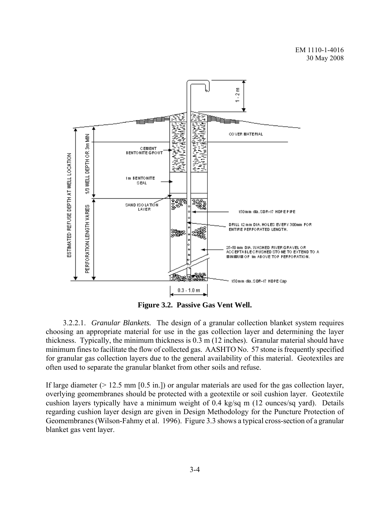

**Figure 3.2. Passive Gas Vent Well.** 

 3.2.2.1. *Granular Blankets.* The design of a granular collection blanket system requires choosing an appropriate material for use in the gas collection layer and determining the layer thickness. Typically, the minimum thickness is 0.3 m (12 inches). Granular material should have minimum fines to facilitate the flow of collected gas. AASHTO No. 57 stone is frequently specified for granular gas collection layers due to the general availability of this material. Geotextiles are often used to separate the granular blanket from other soils and refuse.

If large diameter  $(> 12.5 \text{ mm } [0.5 \text{ in.}])$  or angular materials are used for the gas collection layer, overlying geomembranes should be protected with a geotextile or soil cushion layer. Geotextile cushion layers typically have a minimum weight of 0.4 kg/sq m (12 ounces/sq yard). Details regarding cushion layer design are given in Design Methodology for the Puncture Protection of Geomembranes (Wilson-Fahmy et al. 1996). Figure 3.3 shows a typical cross-section of a granular blanket gas vent layer.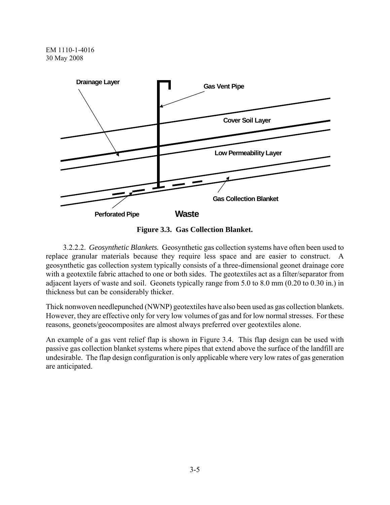

**Figure 3.3. Gas Collection Blanket.** 

 3.2.2.2. *Geosynthetic Blankets.* Geosynthetic gas collection systems have often been used to replace granular materials because they require less space and are easier to construct. A geosynthetic gas collection system typically consists of a three-dimensional geonet drainage core with a geotextile fabric attached to one or both sides. The geotextiles act as a filter/separator from adjacent layers of waste and soil. Geonets typically range from 5.0 to 8.0 mm (0.20 to 0.30 in.) in thickness but can be considerably thicker.

Thick nonwoven needlepunched (NWNP) geotextiles have also been used as gas collection blankets. However, they are effective only for very low volumes of gas and for low normal stresses. For these reasons, geonets/geocomposites are almost always preferred over geotextiles alone.

An example of a gas vent relief flap is shown in Figure 3.4. This flap design can be used with passive gas collection blanket systems where pipes that extend above the surface of the landfill are undesirable. The flap design configuration is only applicable where very low rates of gas generation are anticipated.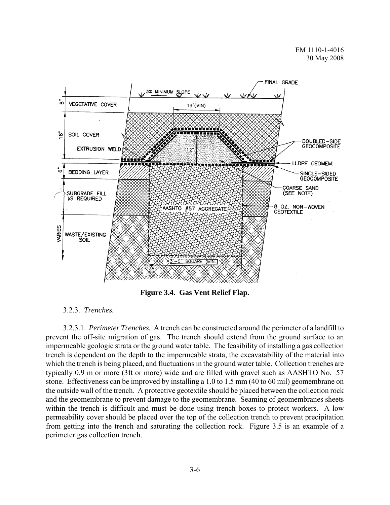

**Figure 3.4. Gas Vent Relief Flap.** 

#### 3.2.3. *Trenches.*

 3.2.3.1. *Perimeter Trenches.* A trench can be constructed around the perimeter of a landfill to prevent the off-site migration of gas. The trench should extend from the ground surface to an impermeable geologic strata or the ground water table. The feasibility of installing a gas collection trench is dependent on the depth to the impermeable strata, the excavatability of the material into which the trench is being placed, and fluctuations in the ground water table. Collection trenches are typically 0.9 m or more (3ft or more) wide and are filled with gravel such as AASHTO No. 57 stone. Effectiveness can be improved by installing a 1.0 to 1.5 mm (40 to 60 mil) geomembrane on the outside wall of the trench. A protective geotextile should be placed between the collection rock and the geomembrane to prevent damage to the geomembrane. Seaming of geomembranes sheets within the trench is difficult and must be done using trench boxes to protect workers. A low permeability cover should be placed over the top of the collection trench to prevent precipitation from getting into the trench and saturating the collection rock. Figure 3.5 is an example of a perimeter gas collection trench.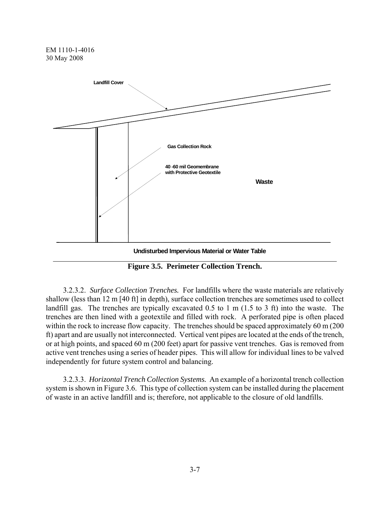

**Figure 3.5. Perimeter Collection Trench.** 

 3.2.3.2. *Surface Collection Trenches.* For landfills where the waste materials are relatively shallow (less than 12 m [40 ft] in depth), surface collection trenches are sometimes used to collect landfill gas. The trenches are typically excavated 0.5 to 1 m (1.5 to 3 ft) into the waste. The trenches are then lined with a geotextile and filled with rock. A perforated pipe is often placed within the rock to increase flow capacity. The trenches should be spaced approximately 60 m (200) ft) apart and are usually not interconnected. Vertical vent pipes are located at the ends of the trench, or at high points, and spaced 60 m (200 feet) apart for passive vent trenches. Gas is removed from active vent trenches using a series of header pipes. This will allow for individual lines to be valved independently for future system control and balancing.

 3.2.3.3. *Horizontal Trench Collection Systems.* An example of a horizontal trench collection system is shown in Figure 3.6. This type of collection system can be installed during the placement of waste in an active landfill and is; therefore, not applicable to the closure of old landfills.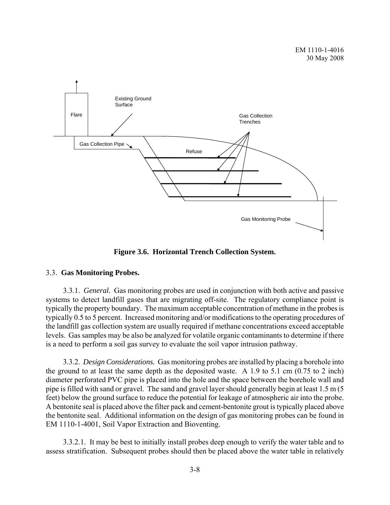

**Figure 3.6. Horizontal Trench Collection System.** 

#### 3.3. **Gas Monitoring Probes.**

 3.3.1. *General.* Gas monitoring probes are used in conjunction with both active and passive systems to detect landfill gases that are migrating off-site. The regulatory compliance point is typically the property boundary. The maximum acceptable concentration of methane in the probes is typically 0.5 to 5 percent. Increased monitoring and/or modifications to the operating procedures of the landfill gas collection system are usually required if methane concentrations exceed acceptable levels. Gas samples may be also be analyzed for volatile organic contaminants to determine if there is a need to perform a soil gas survey to evaluate the soil vapor intrusion pathway.

 3.3.2. *Design Considerations.* Gas monitoring probes are installed by placing a borehole into the ground to at least the same depth as the deposited waste. A 1.9 to 5.1 cm  $(0.75 \text{ to } 2 \text{ inch})$ diameter perforated PVC pipe is placed into the hole and the space between the borehole wall and pipe is filled with sand or gravel. The sand and gravel layer should generally begin at least 1.5 m (5 feet) below the ground surface to reduce the potential for leakage of atmospheric air into the probe. A bentonite seal is placed above the filter pack and cement-bentonite grout is typically placed above the bentonite seal. Additional information on the design of gas monitoring probes can be found in EM 1110-1-4001, Soil Vapor Extraction and Bioventing.

 3.3.2.1. It may be best to initially install probes deep enough to verify the water table and to assess stratification. Subsequent probes should then be placed above the water table in relatively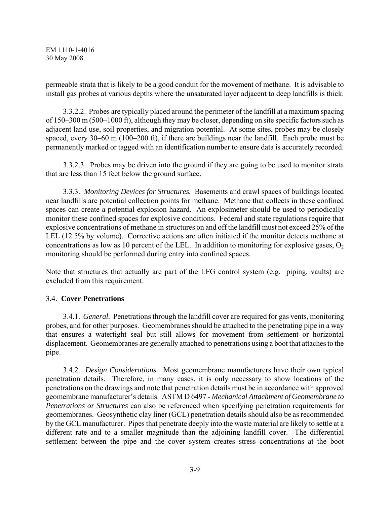permeable strata that is likely to be a good conduit for the movement of methane. It is advisable to install gas probes at various depths where the unsaturated layer adjacent to deep landfills is thick.

 3.3.2.2. Probes are typically placed around the perimeter of the landfill at a maximum spacing of 150–300 m (500–1000 ft), although they may be closer, depending on site specific factors such as adjacent land use, soil properties, and migration potential. At some sites, probes may be closely spaced, every 30–60 m (100–200 ft), if there are buildings near the landfill. Each probe must be permanently marked or tagged with an identification number to ensure data is accurately recorded.

 3.3.2.3. Probes may be driven into the ground if they are going to be used to monitor strata that are less than 15 feet below the ground surface.

 3.3.3. *Monitoring Devices for Structures.* Basements and crawl spaces of buildings located near landfills are potential collection points for methane. Methane that collects in these confined spaces can create a potential explosion hazard. An explosimeter should be used to periodically monitor these confined spaces for explosive conditions. Federal and state regulations require that explosive concentrations of methane in structures on and off the landfill must not exceed 25% of the LEL (12.5% by volume). Corrective actions are often initiated if the monitor detects methane at concentrations as low as 10 percent of the LEL. In addition to monitoring for explosive gases,  $O_2$ monitoring should be performed during entry into confined spaces.

Note that structures that actually are part of the LFG control system (e.g. piping, vaults) are excluded from this requirement.

# 3.4. **Cover Penetrations**

 3.4.1. *General.* Penetrations through the landfill cover are required for gas vents, monitoring probes, and for other purposes. Geomembranes should be attached to the penetrating pipe in a way that ensures a watertight seal but still allows for movement from settlement or horizontal displacement. Geomembranes are generally attached to penetrations using a boot that attaches to the pipe.

 3.4.2. *Design Considerations.* Most geomembrane manufacturers have their own typical penetration details. Therefore, in many cases, it is only necessary to show locations of the penetrations on the drawings and note that penetration details must be in accordance with approved geomembrane manufacturer's details. ASTM D 6497 - *Mechanical Attachment of Geomembrane to Penetrations or Structures* can also be referenced when specifying penetration requirements for geomembranes. Geosynthetic clay liner (GCL) penetration details should also be as recommended by the GCL manufacturer. Pipes that penetrate deeply into the waste material are likely to settle at a different rate and to a smaller magnitude than the adjoining landfill cover. The differential settlement between the pipe and the cover system creates stress concentrations at the boot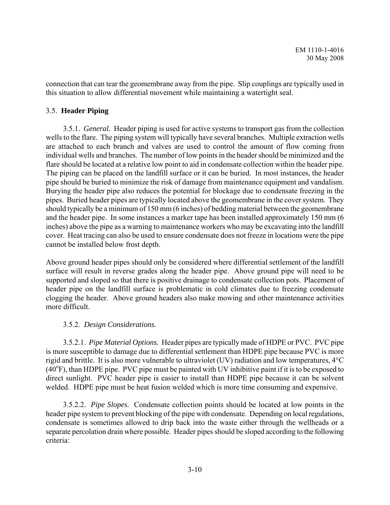connection that can tear the geomembrane away from the pipe. Slip couplings are typically used in this situation to allow differential movement while maintaining a watertight seal.

# 3.5. **Header Piping**

 3.5.1. *General.* Header piping is used for active systems to transport gas from the collection wells to the flare. The piping system will typically have several branches. Multiple extraction wells are attached to each branch and valves are used to control the amount of flow coming from individual wells and branches. The number of low points in the header should be minimized and the flare should be located at a relative low point to aid in condensate collection within the header pipe. The piping can be placed on the landfill surface or it can be buried. In most instances, the header pipe should be buried to minimize the risk of damage from maintenance equipment and vandalism. Burying the header pipe also reduces the potential for blockage due to condensate freezing in the pipes. Buried header pipes are typically located above the geomembrane in the cover system. They should typically be a minimum of 150 mm (6 inches) of bedding material between the geomembrane and the header pipe. In some instances a marker tape has been installed approximately 150 mm (6 inches) above the pipe as a warning to maintenance workers who may be excavating into the landfill cover. Heat tracing can also be used to ensure condensate does not freeze in locations were the pipe cannot be installed below frost depth.

Above ground header pipes should only be considered where differential settlement of the landfill surface will result in reverse grades along the header pipe. Above ground pipe will need to be supported and sloped so that there is positive drainage to condensate collection pots. Placement of header pipe on the landfill surface is problematic in cold climates due to freezing condensate clogging the header. Above ground headers also make mowing and other maintenance activities more difficult.

#### 3.5.2. *Design Considerations.*

 3.5.2.1. *Pipe Material Options.* Header pipes are typically made of HDPE or PVC. PVC pipe is more susceptible to damage due to differential settlement than HDPE pipe because PVC is more rigid and brittle. It is also more vulnerable to ultraviolet (UV) radiation and low temperatures, 4°C  $(40^{\circ}$ F), than HDPE pipe. PVC pipe must be painted with UV inhibitive paint if it is to be exposed to direct sunlight. PVC header pipe is easier to install than HDPE pipe because it can be solvent welded. HDPE pipe must be heat fusion welded which is more time consuming and expensive.

 3.5.2.2. *Pipe Slopes.* Condensate collection points should be located at low points in the header pipe system to prevent blocking of the pipe with condensate. Depending on local regulations, condensate is sometimes allowed to drip back into the waste either through the wellheads or a separate percolation drain where possible. Header pipes should be sloped according to the following criteria: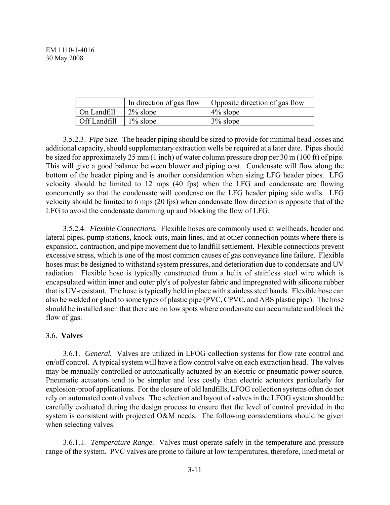|              | In direction of gas flow | Opposite direction of gas flow |
|--------------|--------------------------|--------------------------------|
| On Landfill  | $2\%$ slope              | $4\%$ slope                    |
| Off Landfill | $1\%$ slope              | $3\%$ slope                    |

 3.5.2.3. *Pipe Size.* The header piping should be sized to provide for minimal head losses and additional capacity, should supplementary extraction wells be required at a later date. Pipes should be sized for approximately 25 mm (1 inch) of water column pressure drop per 30 m (100 ft) of pipe. This will give a good balance between blower and piping cost. Condensate will flow along the bottom of the header piping and is another consideration when sizing LFG header pipes. LFG velocity should be limited to 12 mps (40 fps) when the LFG and condensate are flowing concurrently so that the condensate will condense on the LFG header piping side walls. LFG velocity should be limited to 6 mps (20 fps) when condensate flow direction is opposite that of the LFG to avoid the condensate damming up and blocking the flow of LFG.

 3.5.2.4. *Flexible Connections.* Flexible hoses are commonly used at wellheads, header and lateral pipes, pump stations, knock-outs, main lines, and at other connection points where there is expansion, contraction, and pipe movement due to landfill settlement. Flexible connections prevent excessive stress, which is one of the most common causes of gas conveyance line failure. Flexible hoses must be designed to withstand system pressures, and deterioration due to condensate and UV radiation. Flexible hose is typically constructed from a helix of stainless steel wire which is encapsulated within inner and outer ply's of polyester fabric and impregnated with silicone rubber that is UV-resistant. The hose is typically held in place with stainless steel bands. Flexible hose can also be welded or glued to some types of plastic pipe (PVC, CPVC, and ABS plastic pipe). The hose should be installed such that there are no low spots where condensate can accumulate and block the flow of gas.

#### 3.6. **Valves**

 3.6.1. *General.* Valves are utilized in LFOG collection systems for flow rate control and on/off control. A typical system will have a flow control valve on each extraction head. The valves may be manually controlled or automatically actuated by an electric or pneumatic power source. Pneumatic actuators tend to be simpler and less costly than electric actuators particularly for explosion-proof applications. For the closure of old landfills, LFOG collection systems often do not rely on automated control valves. The selection and layout of valves in the LFOG system should be carefully evaluated during the design process to ensure that the level of control provided in the system is consistent with projected O&M needs. The following considerations should be given when selecting valves.

 3.6.1.1. *Temperature Range.* Valves must operate safely in the temperature and pressure range of the system. PVC valves are prone to failure at low temperatures, therefore, lined metal or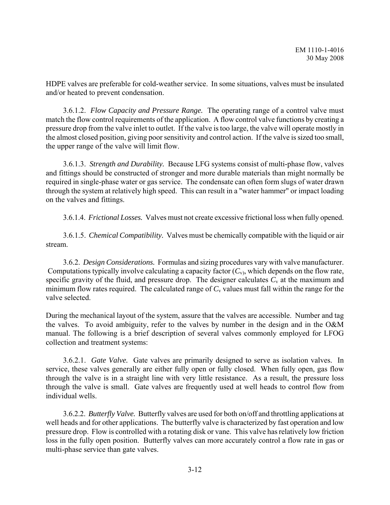HDPE valves are preferable for cold-weather service. In some situations, valves must be insulated and/or heated to prevent condensation.

 3.6.1.2. *Flow Capacity and Pressure Range.* The operating range of a control valve must match the flow control requirements of the application. A flow control valve functions by creating a pressure drop from the valve inlet to outlet. If the valve is too large, the valve will operate mostly in the almost closed position, giving poor sensitivity and control action. If the valve is sized too small, the upper range of the valve will limit flow.

 3.6.1.3. *Strength and Durability.* Because LFG systems consist of multi-phase flow, valves and fittings should be constructed of stronger and more durable materials than might normally be required in single-phase water or gas service. The condensate can often form slugs of water drawn through the system at relatively high speed. This can result in a "water hammer" or impact loading on the valves and fittings.

3.6.1.4. *Frictional Losses.* Valves must not create excessive frictional loss when fully opened.

 3.6.1.5. *Chemical Compatibility.* Valves must be chemically compatible with the liquid or air stream.

 3.6.2. *Design Considerations.* Formulas and sizing procedures vary with valve manufacturer. Computations typically involve calculating a capacity factor  $(C_v)$ , which depends on the flow rate, specific gravity of the fluid, and pressure drop. The designer calculates  $C<sub>v</sub>$  at the maximum and minimum flow rates required. The calculated range of  $C_v$  values must fall within the range for the valve selected.

During the mechanical layout of the system, assure that the valves are accessible. Number and tag the valves. To avoid ambiguity, refer to the valves by number in the design and in the O&M manual. The following is a brief description of several valves commonly employed for LFOG collection and treatment systems:

 3.6.2.1. *Gate Valve.* Gate valves are primarily designed to serve as isolation valves. In service, these valves generally are either fully open or fully closed. When fully open, gas flow through the valve is in a straight line with very little resistance. As a result, the pressure loss through the valve is small. Gate valves are frequently used at well heads to control flow from individual wells.

 3.6.2.2. *Butterfly Valve.* Butterfly valves are used for both on/off and throttling applications at well heads and for other applications. The butterfly valve is characterized by fast operation and low pressure drop. Flow is controlled with a rotating disk or vane. This valve has relatively low friction loss in the fully open position. Butterfly valves can more accurately control a flow rate in gas or multi-phase service than gate valves.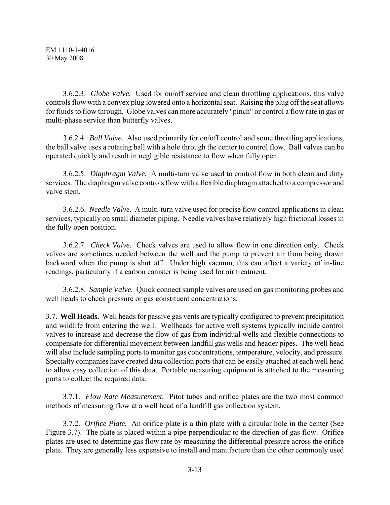3.6.2.3. *Globe Valve.* Used for on/off service and clean throttling applications, this valve controls flow with a convex plug lowered onto a horizontal seat. Raising the plug off the seat allows for fluids to flow through. Globe valves can more accurately "pinch" or control a flow rate in gas or multi-phase service than butterfly valves.

 3.6.2.4. *Ball Valve.* Also used primarily for on/off control and some throttling applications, the ball valve uses a rotating ball with a hole through the center to control flow. Ball valves can be operated quickly and result in negligible resistance to flow when fully open.

 3.6.2.5. *Diaphragm Valve.* A multi-turn valve used to control flow in both clean and dirty services. The diaphragm valve controls flow with a flexible diaphragm attached to a compressor and valve stem.

 3.6.2.6. *Needle Valve.* A multi-turn valve used for precise flow control applications in clean services, typically on small diameter piping. Needle valves have relatively high frictional losses in the fully open position.

 3.6.2.7. *Check Valve.* Check valves are used to allow flow in one direction only. Check valves are sometimes needed between the well and the pump to prevent air from being drawn backward when the pump is shut off. Under high vacuum, this can affect a variety of in-line readings, particularly if a carbon canister is being used for air treatment.

 3.6.2.8. *Sample Valve.* Quick connect sample valves are used on gas monitoring probes and well heads to check pressure or gas constituent concentrations.

3.7. **Well Heads.** Well heads for passive gas vents are typically configured to prevent precipitation and wildlife from entering the well. Wellheads for active well systems typically include control valves to increase and decrease the flow of gas from individual wells and flexible connections to compensate for differential movement between landfill gas wells and header pipes. The well head will also include sampling ports to monitor gas concentrations, temperature, velocity, and pressure. Specialty companies have created data collection ports that can be easily attached at each well head to allow easy collection of this data. Portable measuring equipment is attached to the measuring ports to collect the required data.

 3.7.1. *Flow Rate Measurement.* Pitot tubes and orifice plates are the two most common methods of measuring flow at a well head of a landfill gas collection system.

 3.7.2. *Orifice Plate.* An orifice plate is a thin plate with a circular hole in the center (See Figure 3.7). The plate is placed within a pipe perpendicular to the direction of gas flow. Orifice plates are used to determine gas flow rate by measuring the differential pressure across the orifice plate. They are generally less expensive to install and manufacture than the other commonly used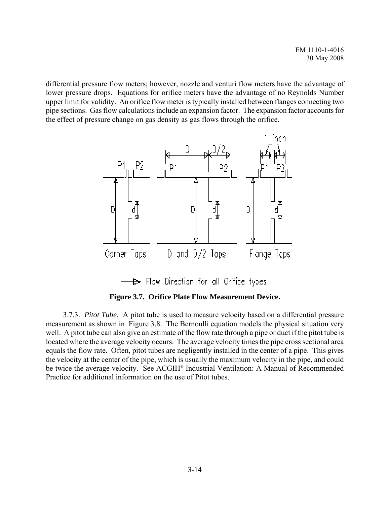differential pressure flow meters; however, nozzle and venturi flow meters have the advantage of lower pressure drops. Equations for orifice meters have the advantage of no Reynolds Number upper limit for validity. An orifice flow meter is typically installed between flanges connecting two pipe sections. Gas flow calculations include an expansion factor. The expansion factor accounts for the effect of pressure change on gas density as gas flows through the orifice.



**Figure 3.7. Orifice Plate Flow Measurement Device.** 

 3.7.3. *Pitot Tube.* A pitot tube is used to measure velocity based on a differential pressure measurement as shown in Figure 3.8. The Bernoulli equation models the physical situation very well. A pitot tube can also give an estimate of the flow rate through a pipe or duct if the pitot tube is located where the average velocity occurs. The average velocity times the pipe cross sectional area equals the flow rate. Often, pitot tubes are negligently installed in the center of a pipe. This gives the velocity at the center of the pipe, which is usually the maximum velocity in the pipe, and could be twice the average velocity. See ACGIH*®* Industrial Ventilation: A Manual of Recommended Practice for additional information on the use of Pitot tubes.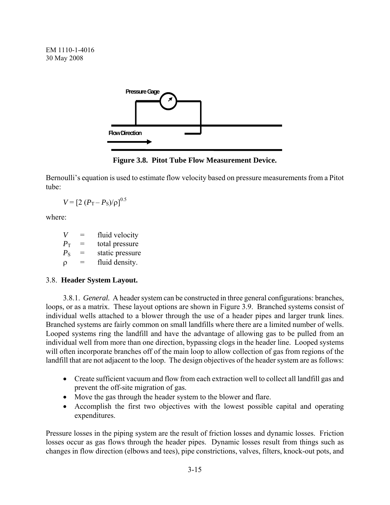

**Figure 3.8. Pitot Tube Flow Measurement Device.** 

Bernoulli's equation is used to estimate flow velocity based on pressure measurements from a Pitot tube:

$$
V = [2 (P_{\rm T} - P_{\rm S})/\rho]^{0.5}
$$

where:

 $V =$  fluid velocity  $P_{\text{T}}$  = total pressure  $P_S$  = static pressure  $\rho =$  fluid density.

# 3.8. **Header System Layout.**

 3.8.1. *General.* A header system can be constructed in three general configurations: branches, loops, or as a matrix. These layout options are shown in Figure 3.9. Branched systems consist of individual wells attached to a blower through the use of a header pipes and larger trunk lines. Branched systems are fairly common on small landfills where there are a limited number of wells. Looped systems ring the landfill and have the advantage of allowing gas to be pulled from an individual well from more than one direction, bypassing clogs in the header line. Looped systems will often incorporate branches off of the main loop to allow collection of gas from regions of the landfill that are not adjacent to the loop. The design objectives of the header system are as follows:

- Create sufficient vacuum and flow from each extraction well to collect all landfill gas and prevent the off-site migration of gas.
- Move the gas through the header system to the blower and flare.
- Accomplish the first two objectives with the lowest possible capital and operating expenditures.

Pressure losses in the piping system are the result of friction losses and dynamic losses. Friction losses occur as gas flows through the header pipes. Dynamic losses result from things such as changes in flow direction (elbows and tees), pipe constrictions, valves, filters, knock-out pots, and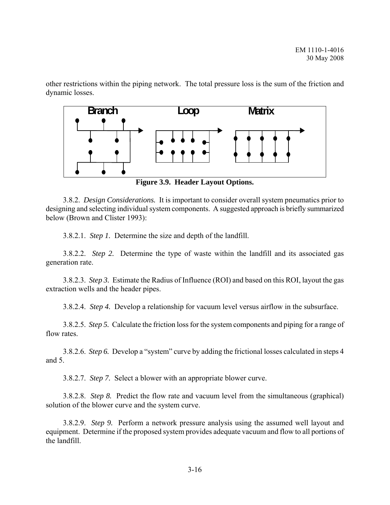other restrictions within the piping network. The total pressure loss is the sum of the friction and dynamic losses.



**Figure 3.9. Header Layout Options.** 

 3.8.2. *Design Considerations.* It is important to consider overall system pneumatics prior to designing and selecting individual system components. A suggested approach is briefly summarized below (Brown and Clister 1993):

3.8.2.1. *Step 1.* Determine the size and depth of the landfill.

 3.8.2.2. *Step 2.* Determine the type of waste within the landfill and its associated gas generation rate.

 3.8.2.3. *Step 3.* Estimate the Radius of Influence (ROI) and based on this ROI, layout the gas extraction wells and the header pipes.

3.8.2.4. *Step 4.* Develop a relationship for vacuum level versus airflow in the subsurface.

 3.8.2.5. *Step 5.* Calculate the friction loss for the system components and piping for a range of flow rates.

 3.8.2.6. *Step 6.* Develop a "system" curve by adding the frictional losses calculated in steps 4 and 5.

3.8.2.7. *Step 7.* Select a blower with an appropriate blower curve.

 3.8.2.8. *Step 8.* Predict the flow rate and vacuum level from the simultaneous (graphical) solution of the blower curve and the system curve.

 3.8.2.9. *Step 9.* Perform a network pressure analysis using the assumed well layout and equipment. Determine if the proposed system provides adequate vacuum and flow to all portions of the landfill.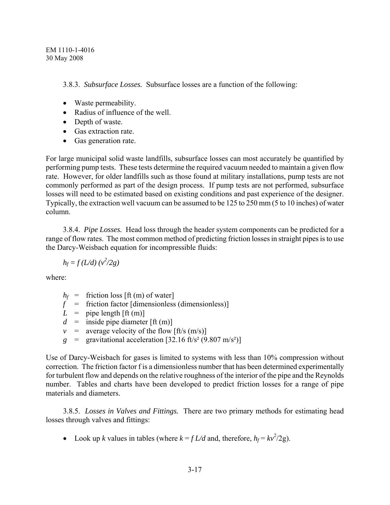3.8.3. *Subsurface Losses.* Subsurface losses are a function of the following:

- Waste permeability.
- Radius of influence of the well.
- Depth of waste.
- Gas extraction rate.
- Gas generation rate.

For large municipal solid waste landfills, subsurface losses can most accurately be quantified by performing pump tests. These tests determine the required vacuum needed to maintain a given flow rate. However, for older landfills such as those found at military installations, pump tests are not commonly performed as part of the design process. If pump tests are not performed, subsurface losses will need to be estimated based on existing conditions and past experience of the designer. Typically, the extraction well vacuum can be assumed to be 125 to 250 mm (5 to 10 inches) of water column.

 3.8.4. *Pipe Losses.* Head loss through the header system components can be predicted for a range of flow rates. The most common method of predicting friction losses in straight pipes is to use the Darcy-Weisbach equation for incompressible fluids:

$$
h_f = f(L/d) (v^2/2g)
$$

where:

- $h_f$  = friction loss [ft (m) of water]
- $f =$  friction factor [dimensionless (dimensionless)]
- $L =$  pipe length  $[ft (m)]$
- $d =$  inside pipe diameter [ft (m)]
- $v =$  average velocity of the flow  $[ft/s (m/s)]$
- $g =$  gravitational acceleration [32.16 ft/s<sup>2</sup> (9.807 m/s<sup>2</sup>)]

Use of Darcy-Weisbach for gases is limited to systems with less than 10% compression without correction. The friction factor f is a dimensionless number that has been determined experimentally for turbulent flow and depends on the relative roughness of the interior of the pipe and the Reynolds number. Tables and charts have been developed to predict friction losses for a range of pipe materials and diameters.

 3.8.5. *Losses in Valves and Fittings.* There are two primary methods for estimating head losses through valves and fittings:

• Look up *k* values in tables (where  $k = f L/d$  and, therefore,  $h_f = kv^2/2g$ ).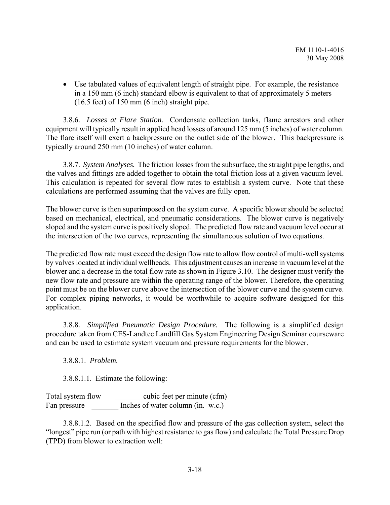• Use tabulated values of equivalent length of straight pipe. For example, the resistance in a 150 mm (6 inch) standard elbow is equivalent to that of approximately 5 meters (16.5 feet) of 150 mm (6 inch) straight pipe.

 3.8.6. *Losses at Flare Station.* Condensate collection tanks, flame arrestors and other equipment will typically result in applied head losses of around 125 mm (5 inches) of water column. The flare itself will exert a backpressure on the outlet side of the blower. This backpressure is typically around 250 mm (10 inches) of water column.

 3.8.7. *System Analyses.* The friction losses from the subsurface, the straight pipe lengths, and the valves and fittings are added together to obtain the total friction loss at a given vacuum level. This calculation is repeated for several flow rates to establish a system curve. Note that these calculations are performed assuming that the valves are fully open.

The blower curve is then superimposed on the system curve. A specific blower should be selected based on mechanical, electrical, and pneumatic considerations. The blower curve is negatively sloped and the system curve is positively sloped. The predicted flow rate and vacuum level occur at the intersection of the two curves, representing the simultaneous solution of two equations.

The predicted flow rate must exceed the design flow rate to allow flow control of multi-well systems by valves located at individual wellheads. This adjustment causes an increase in vacuum level at the blower and a decrease in the total flow rate as shown in Figure 3.10. The designer must verify the new flow rate and pressure are within the operating range of the blower. Therefore, the operating point must be on the blower curve above the intersection of the blower curve and the system curve. For complex piping networks, it would be worthwhile to acquire software designed for this application.

 3.8.8. *Simplified Pneumatic Design Procedure.* The following is a simplified design procedure taken from CES-Landtec Landfill Gas System Engineering Design Seminar courseware and can be used to estimate system vacuum and pressure requirements for the blower.

3.8.8.1. *Problem.*

3.8.8.1.1. Estimate the following:

Total system flow cubic feet per minute (cfm) Fan pressure **Inches of water column (in. w.c.)** 

 3.8.8.1.2. Based on the specified flow and pressure of the gas collection system, select the "longest" pipe run (or path with highest resistance to gas flow) and calculate the Total Pressure Drop (TPD) from blower to extraction well: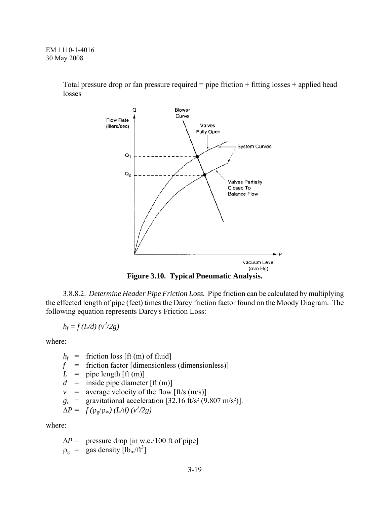Total pressure drop or fan pressure required = pipe friction + fitting losses + applied head losses



**Figure 3.10. Typical Pneumatic Analysis.** 

 3.8.8.2. *Determine Header Pipe Friction Loss.* Pipe friction can be calculated by multiplying the effected length of pipe (feet) times the Darcy friction factor found on the Moody Diagram. The following equation represents Darcy's Friction Loss:

$$
h_f = f(L/d) \left(v^2/2g\right)
$$

where:

 $h_f$  = friction loss [ft (m) of fluid]

- $f =$  friction factor [dimensionless (dimensionless)]
- $L =$  pipe length [ft (m)]
- $d =$  inside pipe diameter [ft (m)]
- $v =$  average velocity of the flow  $[ft/s (m/s)]$
- $g_c$  = gravitational acceleration [32.16 ft/s<sup>2</sup> (9.807 m/s<sup>2</sup>)].

$$
\Delta P = f(\rho_{g}/\rho_{w}) (L/d) (v^{2}/2g)
$$

where:

 $\Delta P =$  pressure drop [in w.c./100 ft of pipe]

 $\rho_{\rm g}$  = gas density  $[\rm{lb}_{\rm m}/\rm{ft}^3]$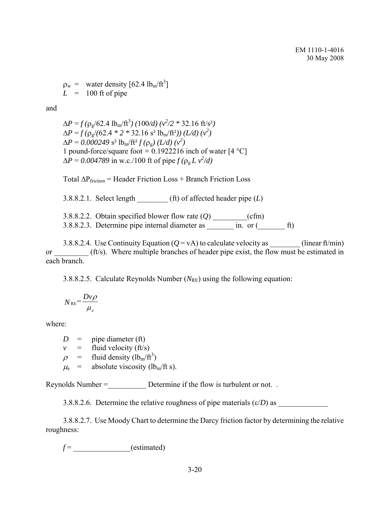$\rho_w =$  water density  $[62.4 \text{ lb}_m/\text{ft}^3]$  $L = 100$  ft of pipe

and

 $\Delta P = f(\rho_g/62.4 \text{ lb}_m/\text{ft}^3) (100/d) (\nu^2/2 * 32.16 \text{ ft/s}^2)$  $\Delta P = f(\rho_g/(62.4 * 2 * 32.16 \text{ s}^2 \text{ lb}_m/\text{ft}^2)) (L/d) (v^2)$  $\Delta P = 0.000249 \text{ s}^2 \text{ lb}_{\text{m}}/\text{ft}^2 f(\rho_{\text{g}}) (L/d) (v^2)$  1 pound-force/square foot *=* 0.1922216 inch of water [4 °C]  $\Delta P = 0.004789$  in w.c./100 ft of pipe  $f(\rho_g L v^2/d)$ 

Total  $\Delta P_{\text{friction}}$  = Header Friction Loss + Branch Friction Loss

3.8.8.2.1. Select length \_\_\_\_\_\_\_\_ (ft) of affected header pipe (*L*)

3.8.8.2.2. Obtain specified blower flow rate  $(Q)$  (cfm) 3.8.8.2.3. Determine pipe internal diameter as  $\frac{1}{\sqrt{2\pi}}$  in. or ( $\frac{1}{\sqrt{2\pi}}$  ft)

3.8.8.2.4. Use Continuity Equation  $(Q = vA)$  to calculate velocity as  $\qquad$  (linear ft/min) or \_\_\_\_\_\_\_\_\_ (ft/s). Where multiple branches of header pipe exist, the flow must be estimated in each branch.

3.8.8.2.5. Calculate Reynolds Number  $(N_{RE})$  using the following equation:

$$
N_{\text{RE}} = \frac{D v \rho}{\mu_{\text{e}}}
$$

where:

- $D =$  pipe diameter (ft)
- $v =$  fluid velocity (ft/s)
- $\rho$  = fluid density (lb<sub>m</sub>/ft<sup>3</sup>)
- $\mu_{\rm e}$  = absolute viscosity (lb<sub>m</sub>/ft s).

Reynolds Number  $=$  Determine if the flow is turbulent or not. .

3.8.8.2.6. Determine the relative roughness of pipe materials  $(\epsilon/D)$  as

 3.8.8.2.7. Use Moody Chart to determine the Darcy friction factor by determining the relative roughness:

 $f =$  (estimated)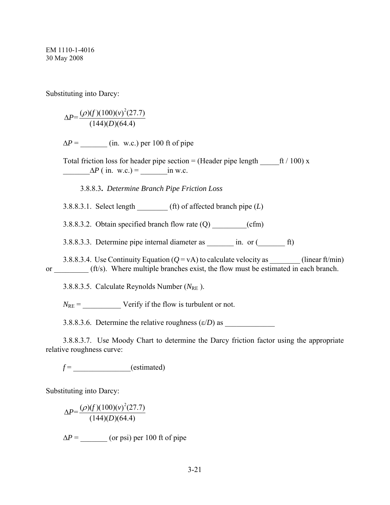Substituting into Darcy:

 $\Delta P = \frac{(\rho)(f)(100)(v)^2(27.7)}{(144)(D)(64.4)}$ *D*

 $\Delta P =$  (in. w.c.) per 100 ft of pipe

Total friction loss for header pipe section = (Header pipe length  $\frac{ft}{100}$  x \_\_\_\_\_\_\_Δ*P* ( in. w.c.) = \_\_\_\_\_\_\_in w.c.

3.8.8.3**.** *Determine Branch Pipe Friction Loss* 

3.8.8.3.1. Select length \_\_\_\_\_\_\_\_ (ft) of affected branch pipe (*L*)

3.8.8.3.2. Obtain specified branch flow rate  $(Q)$  (cfm)

3.8.8.3.3. Determine pipe internal diameter as \_\_\_\_\_\_\_ in. or (\_\_\_\_\_\_\_ ft)

3.8.8.3.4. Use Continuity Equation  $(Q = vA)$  to calculate velocity as (linear ft/min) or \_\_\_\_\_\_\_\_\_ (ft/s). Where multiple branches exist, the flow must be estimated in each branch.

3.8.8.3.5. Calculate Reynolds Number ( $N_{\text{RE}}$ ).

 $N_{RE} =$  Verify if the flow is turbulent or not.

3.8.8.3.6. Determine the relative roughness  $(\varepsilon/D)$  as

 3.8.8.3.7. Use Moody Chart to determine the Darcy friction factor using the appropriate relative roughness curve:

 $f =$  (estimated)

Substituting into Darcy:

 $\Delta P = \frac{(\rho)(f)(100)(v)^2(27.7)}{(144)(D)(64.4)}$ *D*

 $\Delta P =$  \_\_\_\_\_\_\_ (or psi) per 100 ft of pipe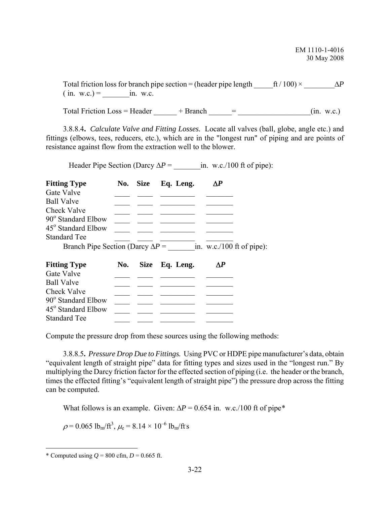Total friction loss for branch pipe section = (header pipe length  $ft / 100$ ) ×  $\Delta P$  $(\text{in. w.c.}) = \text{in. w.c.}$ 

Total Friction Loss = Header  $+$  Branch  $=$   $(in. w.c.)$ 

 3.8.8.4**.** *Calculate Valve and Fitting Losses.* Locate all valves (ball, globe, angle etc.) and fittings (elbows, tees, reducers, etc.), which are in the "longest run" of piping and are points of resistance against flow from the extraction well to the blower.

Header Pipe Section (Darcy  $\Delta P =$  in. w.c./100 ft of pipe):

| <b>Size</b> | Eq. Leng. | ΛP                                      |                           |
|-------------|-----------|-----------------------------------------|---------------------------|
|             |           |                                         |                           |
|             |           |                                         |                           |
|             |           |                                         |                           |
|             |           |                                         |                           |
|             |           |                                         |                           |
|             |           |                                         |                           |
|             |           |                                         |                           |
|             | No.       | Branch Pipe Section (Darcy $\Delta P =$ | in. w.c./100 ft of pipe): |

| <b>Fitting Type</b> | No. | Size Eq. Leng. | ЛP |
|---------------------|-----|----------------|----|
| Gate Valve          |     |                |    |
| <b>Ball Valve</b>   |     |                |    |
| Check Valve         |     |                |    |
| 90° Standard Elbow  |     |                |    |
| 45° Standard Elbow  |     |                |    |
| <b>Standard Tee</b> |     |                |    |

Compute the pressure drop from these sources using the following methods:

 3.8.8.5**.** *Pressure Drop Due to Fittings.* Using PVC or HDPE pipe manufacturer's data, obtain "equivalent length of straight pipe" data for fitting types and sizes used in the "longest run." By multiplying the Darcy friction factor for the effected section of piping (i.e. the header or the branch, times the effected fitting's "equivalent length of straight pipe") the pressure drop across the fitting can be computed.

What follows is an example. Given:  $\Delta P = 0.654$  in. w.c./100 ft of pipe<sup>[\\*](#page-50-0)</sup>

 $\rho = 0.065 \text{ lbm/ft}^3$ ,  $\mu_e = 8.14 \times 10^{-6} \text{ lbm/fts}$ 

<span id="page-50-0"></span> $\overline{a}$ \* Computed using  $Q = 800$  cfm,  $D = 0.665$  ft.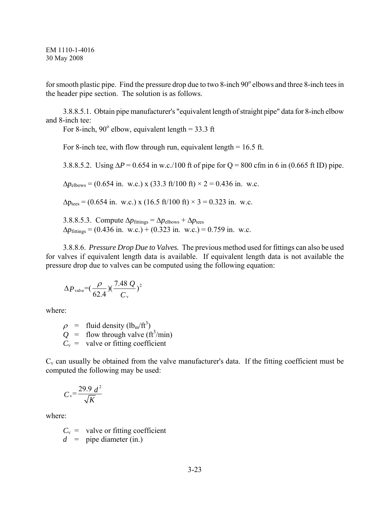for smooth plastic pipe. Find the pressure drop due to two 8-inch 90° elbows and three 8-inch tees in the header pipe section. The solution is as follows.

 3.8.8.5.1. Obtain pipe manufacturer's "equivalent length of straight pipe" data for 8-inch elbow and 8-inch tee:

For 8-inch,  $90^{\circ}$  elbow, equivalent length = 33.3 ft

For 8-inch tee, with flow through run, equivalent length = 16.5 ft.

3.8.8.5.2. Using  $\Delta P = 0.654$  in w.c./100 ft of pipe for  $Q = 800$  cfm in 6 in (0.665 ft ID) pipe.

 $\Delta p_{\text{elbows}} = (0.654 \text{ in. W.c.}) \times (33.3 \text{ ft}/100 \text{ ft}) \times 2 = 0.436 \text{ in. W.c.}$ 

 $\Delta p_{\text{tees}} = (0.654 \text{ in. W.c.}) \times (16.5 \text{ ft}/100 \text{ ft}) \times 3 = 0.323 \text{ in. W.c.}$ 

3.8.8.5.3. Compute  $\Delta p_{\text{fittings}} = \Delta p_{\text{elbows}} + \Delta p_{\text{tees}}$  $\Delta p_{\text{fittings}} = (0.436 \text{ in. W.c.}) + (0.323 \text{ in. W.c.}) = 0.759 \text{ in. W.c.}$ 

 3.8.8.6. *Pressure Drop Due to Valves.* The previous method used for fittings can also be used for valves if equivalent length data is available. If equivalent length data is not available the pressure drop due to valves can be computed using the following equation:

$$
\Delta P_{\text{value}} = \left(\frac{\rho}{62.4}\right) \left(\frac{7.48 \text{ } Q}{C_{\text{v}}}\right)^2
$$

where:

 $\rho$  = fluid density (lb<sub>m</sub>/ft<sup>3</sup>)

 $Q =$  flow through valve (ft<sup>3</sup>/min)

 $C_v$  = valve or fitting coefficient

 $C_v$  can usually be obtained from the valve manufacturer's data. If the fitting coefficient must be computed the following may be used:

$$
C_{\rm v} = \frac{29.9 \ d^2}{\sqrt{K}}
$$

where:

- $C_v$  = valve or fitting coefficient
- $d =$  pipe diameter (in.)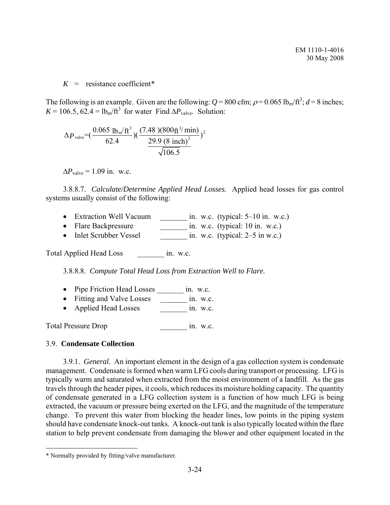## $K =$  resistance coefficient[\\*](#page-52-0)

The following is an example. Given are the following:  $Q = 800$  cfm;  $\rho = 0.065$  lb<sub>m</sub>/ft<sup>3</sup>;  $d = 8$  inches;  $K = 106.5$ ,  $62.4 = lb<sub>m</sub>/ft<sup>3</sup>$  for water Find  $\Delta P_{\text{value}}$ . Solution:

$$
\Delta P_{\text{value}} = \left(\frac{0.065 \text{ lbm/ft}^3}{62.4}\right) \left(\frac{(7.48)(800 \text{ ft}^3/\text{min})}{29.9 \text{ (8 inch)}^2}\right)^2
$$

$$
\frac{29.9 \text{ (8 inch)}^2}{\sqrt{106.5}}
$$

 $\Delta P_{\text{valve}} = 1.09$  in. w.c.

 3.8.8.7. *Calculate/Determine Applied Head Losses.* Applied head losses for gas control systems usually consist of the following:

- Extraction Well Vacuum \_\_\_\_\_\_\_\_ in. w.c. (typical: 5–10 in. w.c.)
- Flare Backpressure  $\overline{\qquad \qquad}$  in. w.c. (typical: 10 in. w.c.)
- Inlet Scrubber Vessel  $\overline{\qquad \qquad}$  in. w.c. (typical: 2–5 in w.c.)

Total Applied Head Loss in. w.c.

3.8.8.8. *Compute Total Head Loss from Extraction Well to Flare.*

- Pipe Friction Head Losses \_\_\_\_\_\_\_ in. w.c.
- Fitting and Valve Losses \_\_\_\_\_\_\_\_ in. w.c.
- Applied Head Losses in. w.c.

Total Pressure Drop \_\_\_\_\_\_\_ in. w.c.

# 3.9. **Condensate Collection**

 $\overline{a}$ 

 3.9.1. *General.* An important element in the design of a gas collection system is condensate management. Condensate is formed when warm LFG cools during transport or processing. LFG is typically warm and saturated when extracted from the moist environment of a landfill. As the gas travels through the header pipes, it cools, which reduces its moisture holding capacity. The quantity of condensate generated in a LFG collection system is a function of how much LFG is being extracted, the vacuum or pressure being exerted on the LFG, and the magnitude of the temperature change. To prevent this water from blocking the header lines, low points in the piping system should have condensate knock-out tanks. A knock-out tank is also typically located within the flare station to help prevent condensate from damaging the blower and other equipment located in the

<span id="page-52-0"></span><sup>\*</sup> Normally provided by fitting/valve manufacturer.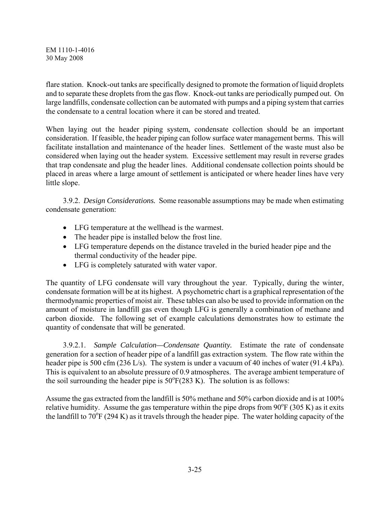flare station. Knock-out tanks are specifically designed to promote the formation of liquid droplets and to separate these droplets from the gas flow. Knock-out tanks are periodically pumped out. On large landfills, condensate collection can be automated with pumps and a piping system that carries the condensate to a central location where it can be stored and treated.

When laying out the header piping system, condensate collection should be an important consideration. If feasible, the header piping can follow surface water management berms. This will facilitate installation and maintenance of the header lines. Settlement of the waste must also be considered when laying out the header system. Excessive settlement may result in reverse grades that trap condensate and plug the header lines. Additional condensate collection points should be placed in areas where a large amount of settlement is anticipated or where header lines have very little slope.

 3.9.2. *Design Considerations.* Some reasonable assumptions may be made when estimating condensate generation:

- LFG temperature at the wellhead is the warmest.
- The header pipe is installed below the frost line.
- LFG temperature depends on the distance traveled in the buried header pipe and the thermal conductivity of the header pipe.
- LFG is completely saturated with water vapor.

The quantity of LFG condensate will vary throughout the year. Typically, during the winter, condensate formation will be at its highest. A psychometric chart is a graphical representation of the thermodynamic properties of moist air. These tables can also be used to provide information on the amount of moisture in landfill gas even though LFG is generally a combination of methane and carbon dioxide. The following set of example calculations demonstrates how to estimate the quantity of condensate that will be generated.

 3.9.2.1. *Sample Calculation—Condensate Quantity.* Estimate the rate of condensate generation for a section of header pipe of a landfill gas extraction system. The flow rate within the header pipe is 500 cfm (236 L/s). The system is under a vacuum of 40 inches of water (91.4 kPa). This is equivalent to an absolute pressure of 0.9 atmospheres. The average ambient temperature of the soil surrounding the header pipe is  $50^{\circ}F(283 \text{ K})$ . The solution is as follows:

Assume the gas extracted from the landfill is 50% methane and 50% carbon dioxide and is at 100% relative humidity. Assume the gas temperature within the pipe drops from  $90^{\circ}$ F (305 K) as it exits the landfill to  $70^{\circ}$ F (294 K) as it travels through the header pipe. The water holding capacity of the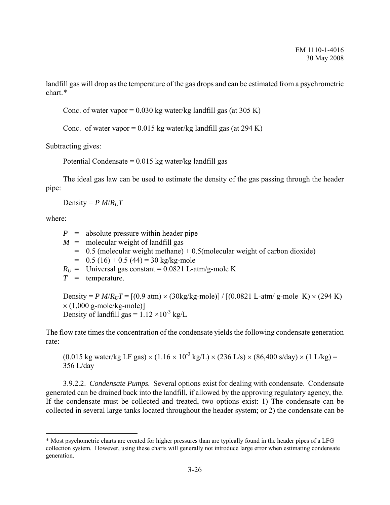landfill gas will drop as the temperature of the gas drops and can be estimated from a psychrometric chart [\\*](#page-54-0)

Conc. of water vapor =  $0.030$  kg water/kg landfill gas (at 305 K)

Conc. of water vapor =  $0.015$  kg water/kg landfill gas (at 294 K)

Subtracting gives:

Potential Condensate  $= 0.015$  kg water/kg landfill gas

 The ideal gas law can be used to estimate the density of the gas passing through the header pipe:

Density =  $P M/R_U T$ 

where:

 $\overline{a}$ 

*P* = absolute pressure within header pipe  $M =$  molecular weight of landfill gas  $=$  0.5 (molecular weight methane) + 0.5 (molecular weight of carbon dioxide)  $=$  0.5 (16) + 0.5 (44) = 30 kg/kg-mole  $R_U$  = Universal gas constant = 0.0821 L-atm/g-mole K *T* = temperature.

Density = *P M*/*R<sub>U</sub>T* =  $[(0.9 \text{ atm}) \times (30 \text{kg/kg-mole})] / [(0.0821 \text{ L-atm/s-mole K}) \times (294 \text{ K})]$  $\times$  (1,000 g-mole/kg-mole)] Density of landfill gas =  $1.12 \times 10^{-3}$  kg/L

The flow rate times the concentration of the condensate yields the following condensate generation rate:

 $(0.015 \text{ kg water/kg LF gas}) \times (1.16 \times 10^{-3} \text{ kg/L}) \times (236 \text{ L/s}) \times (86,400 \text{ s/day}) \times (1 \text{ L/kg}) =$ 356 L/day

 3.9.2.2. *Condensate Pumps.* Several options exist for dealing with condensate. Condensate generated can be drained back into the landfill, if allowed by the approving regulatory agency, the. If the condensate must be collected and treated, two options exist: 1) The condensate can be collected in several large tanks located throughout the header system; or 2) the condensate can be

<span id="page-54-0"></span><sup>\*</sup> Most psychometric charts are created for higher pressures than are typically found in the header pipes of a LFG collection system. However, using these charts will generally not introduce large error when estimating condensate generation.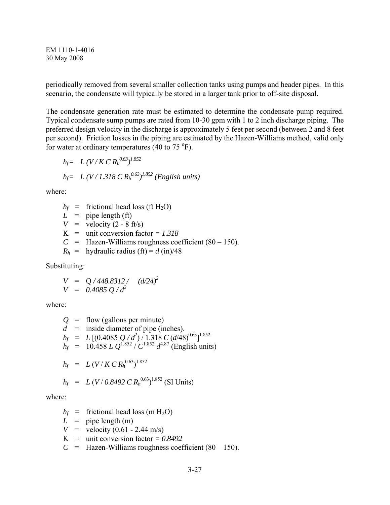periodically removed from several smaller collection tanks using pumps and header pipes. In this scenario, the condensate will typically be stored in a larger tank prior to off-site disposal.

The condensate generation rate must be estimated to determine the condensate pump required. Typical condensate sump pumps are rated from 10-30 gpm with 1 to 2 inch discharge piping. The preferred design velocity in the discharge is approximately 5 feet per second (between 2 and 8 feet per second). Friction losses in the piping are estimated by the Hazen-Williams method, valid only for water at ordinary temperatures  $(40 \text{ to } 75 \text{ °F})$ .

$$
h_f = L (V/K C R_h^{0.63})^{1.852}
$$
  

$$
h_f = L (V/1.318 C R_h^{0.63})^{1.852}
$$
 (English units)

where:

 $h_f$  = frictional head loss (ft H<sub>2</sub>O)

- $L =$  pipe length (ft)  $V =$  velocity (2 - 8 ft/s)
- $K =$  unit conversion factor = 1.318
- $C =$  Hazen-Williams roughness coefficient (80 150).
- $R_h$  = hydraulic radius (ft) = *d* (in)/48

Substituting:

$$
V = Q / 448.8312 / (d/24)^{2}
$$
  

$$
V = 0.4085 Q / d^{2}
$$

where:

$$
Q = \text{flow (gallons per minute)}
$$
  
\n
$$
d = \text{inside diameter of pipe (inches)}.
$$
  
\n
$$
h_f = L [(0.4085 Q/d^2)/1.318 C (d/48)^{0.63}]^{1.852}
$$
  
\n
$$
h_f = 10.458 L Q^{1.852} / C^{1.852} d^{4.87} \text{ (English units)}
$$
  
\n
$$
h_f = L (V/K C R_h^{0.63})^{1.852}
$$
  
\n
$$
h_f = L (V/0.8492 C R_h^{0.63})^{1.852} \text{ (SI Units)}
$$

where:

- $h_f$  = frictional head loss (m H<sub>2</sub>O)
- $L =$  pipe length (m)
- *V* = velocity  $(0.61 2.44 \text{ m/s})$
- K = unit conversion factor =  $0.8492$
- $C =$  Hazen-Williams roughness coefficient  $(80 150)$ .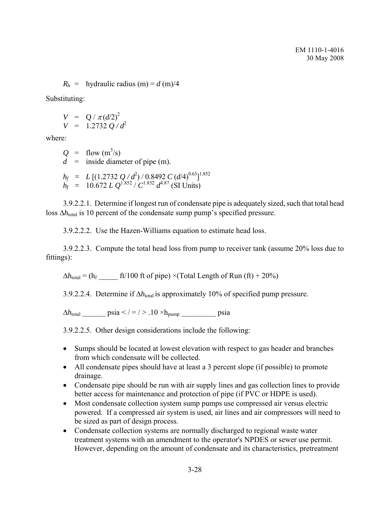$$
R_h
$$
 = hydraulic radius (m) =  $d$  (m)/4

Substituting:

$$
V = Q / \pi (d/2)^{2}
$$
  

$$
V = 1.2732 Q / d^{2}
$$

where:

$$
Q = \text{flow (m}^3/\text{s})
$$
  
\n
$$
d = \text{inside diameter of pipe (m)}.
$$
  
\n
$$
h_f = L [(1.2732 Q/d^2)/0.8492 C (d/4)^{0.63}]^{1.852}
$$
  
\n
$$
h_f = 10.672 L Q^{1.852} / C^{1.852} d^{4.87} \text{ (SI Units)}
$$

 3.9.2.2.1. Determine if longest run of condensate pipe is adequately sized, such that total head loss  $\Delta h_{\text{total}}$  is 10 percent of the condensate sump pump's specified pressure.

3.9.2.2.2. Use the Hazen-Williams equation to estimate head loss.

 3.9.2.2.3. Compute the total head loss from pump to receiver tank (assume 20% loss due to fittings):

 $\Delta h_{\text{total}} = (h_f \quad$  ft/100 ft of pipe) ×(Total Length of Run (ft) + 20%)

3.9.2.2.4. Determine if Δ*h*total is approximately 10% of specified pump pressure.

 $\Delta h_{\text{total}}$  psia < / = / > .10 ×h<sub>pump</sub> psia

3.9.2.2.5. Other design considerations include the following:

- Sumps should be located at lowest elevation with respect to gas header and branches from which condensate will be collected.
- All condensate pipes should have at least a 3 percent slope (if possible) to promote drainage.
- Condensate pipe should be run with air supply lines and gas collection lines to provide better access for maintenance and protection of pipe (if PVC or HDPE is used).
- Most condensate collection system sump pumps use compressed air versus electric powered. If a compressed air system is used, air lines and air compressors will need to be sized as part of design process.
- Condensate collection systems are normally discharged to regional waste water treatment systems with an amendment to the operator's NPDES or sewer use permit. However, depending on the amount of condensate and its characteristics, pretreatment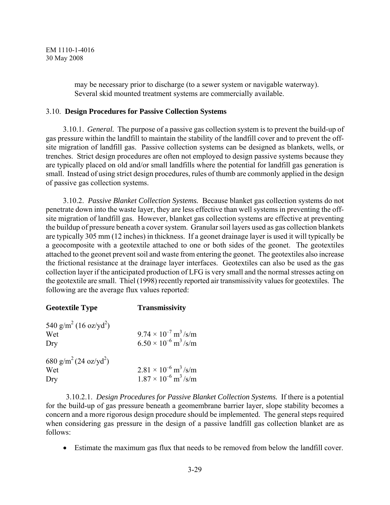> may be necessary prior to discharge (to a sewer system or navigable waterway). Several skid mounted treatment systems are commercially available.

#### 3.10. **Design Procedures for Passive Collection Systems**

 3.10.1. *General.* The purpose of a passive gas collection system is to prevent the build-up of gas pressure within the landfill to maintain the stability of the landfill cover and to prevent the offsite migration of landfill gas. Passive collection systems can be designed as blankets, wells, or trenches. Strict design procedures are often not employed to design passive systems because they are typically placed on old and/or small landfills where the potential for landfill gas generation is small. Instead of using strict design procedures, rules of thumb are commonly applied in the design of passive gas collection systems.

 3.10.2. *Passive Blanket Collection Systems.* Because blanket gas collection systems do not penetrate down into the waste layer, they are less effective than well systems in preventing the offsite migration of landfill gas. However, blanket gas collection systems are effective at preventing the buildup of pressure beneath a cover system. Granular soil layers used as gas collection blankets are typically 305 mm (12 inches) in thickness. If a geonet drainage layer is used it will typically be a geocomposite with a geotextile attached to one or both sides of the geonet. The geotextiles attached to the geonet prevent soil and waste from entering the geonet. The geotextiles also increase the frictional resistance at the drainage layer interfaces. Geotextiles can also be used as the gas collection layer if the anticipated production of LFG is very small and the normal stresses acting on the geotextile are small. Thiel (1998) recently reported air transmissivity values for geotextiles. The following are the average flux values reported:

| <b>Geotextile Type</b>                                      | <b>Transmissivity</b>                                                                  |
|-------------------------------------------------------------|----------------------------------------------------------------------------------------|
| 540 g/m <sup>2</sup> (16 oz/yd <sup>2</sup> )<br>Wet<br>Dry | $9.74 \times 10^{-7}$ m <sup>3</sup> /s/m<br>$6.50 \times 10^{-6}$ m <sup>3</sup> /s/m |
| 680 g/m <sup>2</sup> (24 oz/yd <sup>2</sup> )<br>Wet<br>Dry | $2.81 \times 10^{-6}$ m <sup>3</sup> /s/m<br>$1.87 \times 10^{-6}$ m <sup>3</sup> /s/m |

 3.10.2.1. *Design Procedures for Passive Blanket Collection Systems.* If there is a potential for the build-up of gas pressure beneath a geomembrane barrier layer, slope stability becomes a concern and a more rigorous design procedure should be implemented. The general steps required when considering gas pressure in the design of a passive landfill gas collection blanket are as follows:

• Estimate the maximum gas flux that needs to be removed from below the landfill cover.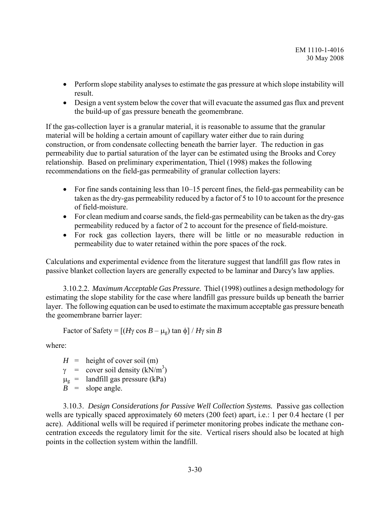- Perform slope stability analyses to estimate the gas pressure at which slope instability will result.
- Design a vent system below the cover that will evacuate the assumed gas flux and prevent the build-up of gas pressure beneath the geomembrane.

If the gas-collection layer is a granular material, it is reasonable to assume that the granular material will be holding a certain amount of capillary water either due to rain during construction, or from condensate collecting beneath the barrier layer. The reduction in gas permeability due to partial saturation of the layer can be estimated using the Brooks and Corey relationship. Based on preliminary experimentation, Thiel (1998) makes the following recommendations on the field-gas permeability of granular collection layers:

- For fine sands containing less than 10–15 percent fines, the field-gas permeability can be taken as the dry-gas permeability reduced by a factor of 5 to 10 to account for the presence of field-moisture.
- For clean medium and coarse sands, the field-gas permeability can be taken as the dry-gas permeability reduced by a factor of 2 to account for the presence of field-moisture.
- For rock gas collection layers, there will be little or no measurable reduction in permeability due to water retained within the pore spaces of the rock.

Calculations and experimental evidence from the literature suggest that landfill gas flow rates in passive blanket collection layers are generally expected to be laminar and Darcy's law applies.

 3.10.2.2. *Maximum Acceptable Gas Pressure.* Thiel (1998) outlines a design methodology for estimating the slope stability for the case where landfill gas pressure builds up beneath the barrier layer. The following equation can be used to estimate the maximum acceptable gas pressure beneath the geomembrane barrier layer:

Factor of Safety =  $[(H\gamma \cos B - \mu_{\rm g}) \tan \phi]/H\gamma \sin B$ 

where:

- $H =$  height of cover soil (m)
- $\gamma$  = cover soil density (kN/m<sup>3</sup>)
- $\mu_{\alpha}$  = landfill gas pressure (kPa)
- $B =$  slope angle.

 3.10.3. *Design Considerations for Passive Well Collection Systems.* Passive gas collection wells are typically spaced approximately 60 meters (200 feet) apart, i.e.: 1 per 0.4 hectare (1 per acre). Additional wells will be required if perimeter monitoring probes indicate the methane concentration exceeds the regulatory limit for the site. Vertical risers should also be located at high points in the collection system within the landfill.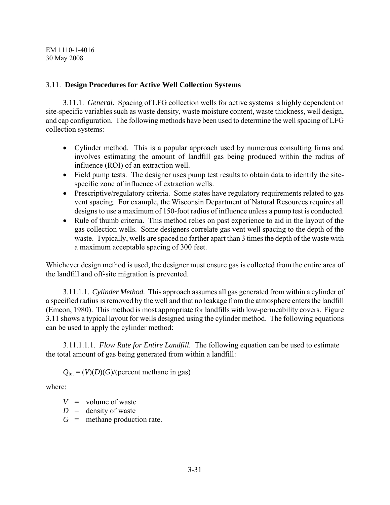#### 3.11. **Design Procedures for Active Well Collection Systems**

 3.11.1. *General.* Spacing of LFG collection wells for active systems is highly dependent on site-specific variables such as waste density, waste moisture content, waste thickness, well design, and cap configuration. The following methods have been used to determine the well spacing of LFG collection systems:

- Cylinder method. This is a popular approach used by numerous consulting firms and involves estimating the amount of landfill gas being produced within the radius of influence (ROI) of an extraction well.
- Field pump tests. The designer uses pump test results to obtain data to identify the sitespecific zone of influence of extraction wells.
- Prescriptive/regulatory criteria. Some states have regulatory requirements related to gas vent spacing. For example, the Wisconsin Department of Natural Resources requires all designs to use a maximum of 150-foot radius of influence unless a pump test is conducted.
- Rule of thumb criteria. This method relies on past experience to aid in the layout of the gas collection wells. Some designers correlate gas vent well spacing to the depth of the waste. Typically, wells are spaced no farther apart than 3 times the depth of the waste with a maximum acceptable spacing of 300 feet.

Whichever design method is used, the designer must ensure gas is collected from the entire area of the landfill and off-site migration is prevented.

 3.11.1.1. *Cylinder Method.* This approach assumes all gas generated from within a cylinder of a specified radius is removed by the well and that no leakage from the atmosphere enters the landfill (Emcon, 1980). This method is most appropriate for landfills with low-permeability covers. Figure 3.11 shows a typical layout for wells designed using the cylinder method. The following equations can be used to apply the cylinder method:

 3.11.1.1.1. *Flow Rate for Entire Landfill.* The following equation can be used to estimate the total amount of gas being generated from within a landfill:

 $Q_{\text{tot}} = (V)(D)(G)$ /(percent methane in gas)

where:

 $V =$  volume of waste

- $D =$  density of waste
- *G* = methane production rate.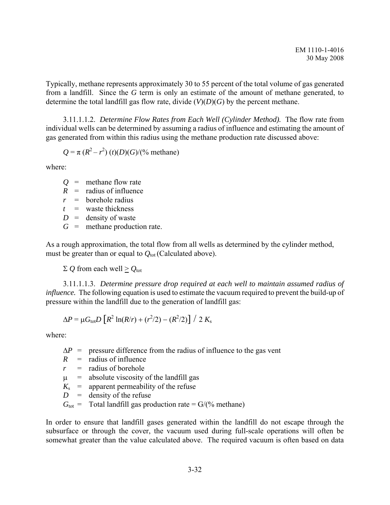Typically, methane represents approximately 30 to 55 percent of the total volume of gas generated from a landfill. Since the *G* term is only an estimate of the amount of methane generated, to determine the total landfill gas flow rate, divide  $(V)(D)(G)$  by the percent methane.

 3.11.1.1.2. *Determine Flow Rates from Each Well (Cylinder Method).* The flow rate from individual wells can be determined by assuming a radius of influence and estimating the amount of gas generated from within this radius using the methane production rate discussed above:

$$
Q = \pi (R^2 - r^2) (t)(D)(G)/(96
$$
 methane)

where:

- $Q =$  methane flow rate
- $R =$  radius of influence
- $r =$  borehole radius
- $t =$  waste thickness
- $D =$  density of waste
- $G =$  methane production rate.

As a rough approximation, the total flow from all wells as determined by the cylinder method, must be greater than or equal to  $Q_{\text{tot}}$  (Calculated above).

 $\Sigma$  *Q* from each well >  $Q_{\text{tot}}$ 

 3.11.1.1.3. *Determine pressure drop required at each well to maintain assumed radius of influence.* The following equation is used to estimate the vacuum required to prevent the build-up of pressure within the landfill due to the generation of landfill gas:

$$
\Delta P = \mu G_{\text{tot}} D \left[ R^2 \ln(R/r) + (r^2/2) - (R^2/2) \right] / 2 K_{\text{s}}
$$

where:

- $\Delta P$  = pressure difference from the radius of influence to the gas vent
- $R =$  radius of influence
- $r =$  radius of borehole
- $\mu$  = absolute viscosity of the landfill gas
- $K_s$  = apparent permeability of the refuse
- $D =$  density of the refuse
- $G<sub>tot</sub>$  = Total landfill gas production rate =  $G/(%$  methane)

In order to ensure that landfill gases generated within the landfill do not escape through the subsurface or through the cover, the vacuum used during full-scale operations will often be somewhat greater than the value calculated above. The required vacuum is often based on data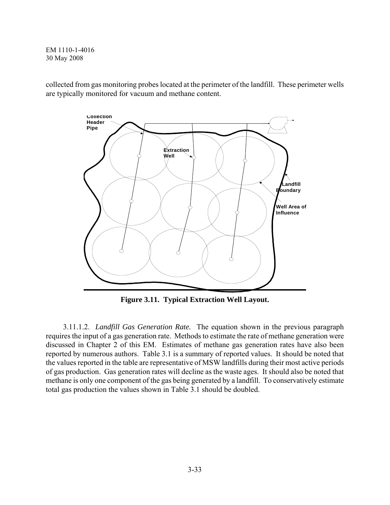collected from gas monitoring probes located at the perimeter of the landfill. These perimeter wells are typically monitored for vacuum and methane content.



**Figure 3.11. Typical Extraction Well Layout.** 

 3.11.1.2. *Landfill Gas Generation Rate.* The equation shown in the previous paragraph requires the input of a gas generation rate. Methods to estimate the rate of methane generation were discussed in Chapter 2 of this EM. Estimates of methane gas generation rates have also been reported by numerous authors. Table 3.1 is a summary of reported values. It should be noted that the values reported in the table are representative of MSW landfills during their most active periods of gas production. Gas generation rates will decline as the waste ages. It should also be noted that methane is only one component of the gas being generated by a landfill. To conservatively estimate total gas production the values shown in Table 3.1 should be doubled.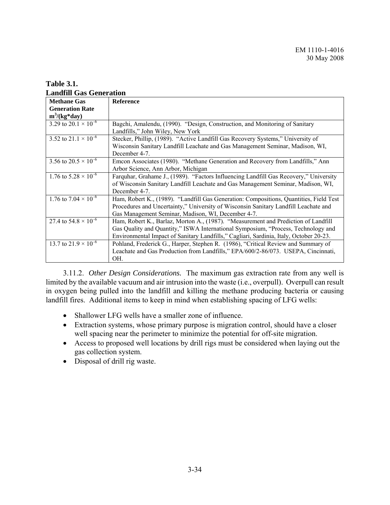| <b>Table 3.1.</b>              |  |  |
|--------------------------------|--|--|
| <b>Landfill Gas Generation</b> |  |  |
|                                |  |  |

| <b>Methane Gas</b>                     | <b>Reference</b>                                                                       |
|----------------------------------------|----------------------------------------------------------------------------------------|
| <b>Generation Rate</b>                 |                                                                                        |
| $m^3/(kg*day)$                         |                                                                                        |
| 3.29 to 20.1 $\times$ 10 <sup>-6</sup> | Bagchi, Amalendu, (1990). "Design, Construction, and Monitoring of Sanitary            |
|                                        | Landfills," John Wiley, New York                                                       |
| 3.52 to $21.1 \times 10^{-6}$          | Stecker, Phillip, (1989). "Active Landfill Gas Recovery Systems," University of        |
|                                        | Wisconsin Sanitary Landfill Leachate and Gas Management Seminar, Madison, WI,          |
|                                        | December 4-7.                                                                          |
| 3.56 to 20.5 $\times$ 10 <sup>-6</sup> | Emcon Associates (1980). "Methane Generation and Recovery from Landfills," Ann         |
|                                        | Arbor Science, Ann Arbor, Michigan                                                     |
| 1.76 to $5.28 \times 10^{-6}$          | Farquhar, Grahame J., (1989). "Factors Influencing Landfill Gas Recovery," University  |
|                                        | of Wisconsin Sanitary Landfill Leachate and Gas Management Seminar, Madison, WI,       |
|                                        | December 4-7.                                                                          |
| 1.76 to $7.04 \times 10^{-6}$          | Ham, Robert K., (1989). "Landfill Gas Generation: Compositions, Quantities, Field Test |
|                                        | Procedures and Uncertainty," University of Wisconsin Sanitary Landfill Leachate and    |
|                                        | Gas Management Seminar, Madison, WI, December 4-7.                                     |
| 27.4 to 54.8 $\times$ 10 <sup>-6</sup> | Ham, Robert K., Barlaz, Morton A., (1987). "Measurement and Prediction of Landfill     |
|                                        | Gas Quality and Quantity," ISWA International Symposium, "Process, Technology and      |
|                                        | Environmental Impact of Sanitary Landfills," Cagliari, Sardinia, Italy, October 20-23. |
| 13.7 to $21.9 \times 10^{-6}$          | Pohland, Frederick G., Harper, Stephen R. (1986), "Critical Review and Summary of      |
|                                        | Leachate and Gas Production from Landfills," EPA/600/2-86/073. USEPA, Cincinnati,      |
|                                        | OH.                                                                                    |

 3.11.2. *Other Design Considerations.* The maximum gas extraction rate from any well is limited by the available vacuum and air intrusion into the waste (i.e., overpull). Overpull can result in oxygen being pulled into the landfill and killing the methane producing bacteria or causing landfill fires. Additional items to keep in mind when establishing spacing of LFG wells:

- Shallower LFG wells have a smaller zone of influence.
- Extraction systems, whose primary purpose is migration control, should have a closer well spacing near the perimeter to minimize the potential for off-site migration.
- Access to proposed well locations by drill rigs must be considered when laying out the gas collection system.
- Disposal of drill rig waste.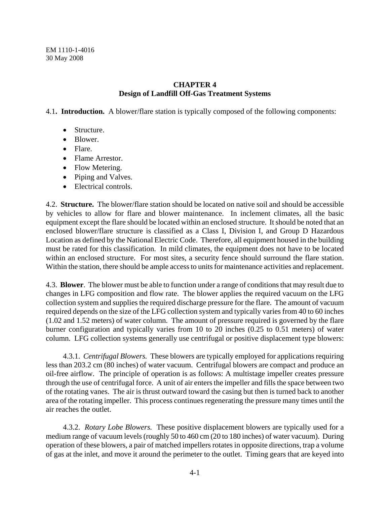### **CHAPTER 4 Design of Landfill Off-Gas Treatment Systems**

4.1**. Introduction.** A blower/flare station is typically composed of the following components:

- Structure.
- Blower.
- Flare.
- Flame Arrestor.
- Flow Metering.
- Piping and Valves.
- Electrical controls.

4.2. **Structure.** The blower/flare station should be located on native soil and should be accessible by vehicles to allow for flare and blower maintenance. In inclement climates, all the basic equipment except the flare should be located within an enclosed structure. It should be noted that an enclosed blower/flare structure is classified as a Class I, Division I, and Group D Hazardous Location as defined by the National Electric Code. Therefore, all equipment housed in the building must be rated for this classification. In mild climates, the equipment does not have to be located within an enclosed structure. For most sites, a security fence should surround the flare station. Within the station, there should be ample access to units for maintenance activities and replacement.

4.3. **Blower**. The blower must be able to function under a range of conditions that may result due to changes in LFG composition and flow rate. The blower applies the required vacuum on the LFG collection system and supplies the required discharge pressure for the flare. The amount of vacuum required depends on the size of the LFG collection system and typically varies from 40 to 60 inches (1.02 and 1.52 meters) of water column. The amount of pressure required is governed by the flare burner configuration and typically varies from 10 to 20 inches (0.25 to 0.51 meters) of water column. LFG collection systems generally use centrifugal or positive displacement type blowers:

 4.3.1. *Centrifugal Blowers.* These blowers are typically employed for applications requiring less than 203.2 cm (80 inches) of water vacuum. Centrifugal blowers are compact and produce an oil-free airflow. The principle of operation is as follows: A multistage impeller creates pressure through the use of centrifugal force. A unit of air enters the impeller and fills the space between two of the rotating vanes. The air is thrust outward toward the casing but then is turned back to another area of the rotating impeller. This process continues regenerating the pressure many times until the air reaches the outlet.

 4.3.2. *Rotary Lobe Blowers.* These positive displacement blowers are typically used for a medium range of vacuum levels (roughly 50 to 460 cm (20 to 180 inches) of water vacuum). During operation of these blowers, a pair of matched impellers rotates in opposite directions, trap a volume of gas at the inlet, and move it around the perimeter to the outlet. Timing gears that are keyed into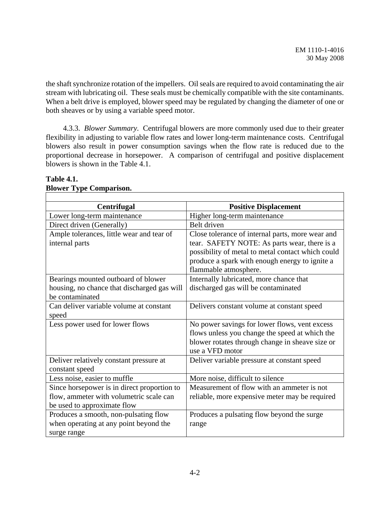the shaft synchronize rotation of the impellers. Oil seals are required to avoid contaminating the air stream with lubricating oil. These seals must be chemically compatible with the site contaminants. When a belt drive is employed, blower speed may be regulated by changing the diameter of one or both sheaves or by using a variable speed motor.

 4.3.3. *Blower Summary.* Centrifugal blowers are more commonly used due to their greater flexibility in adjusting to variable flow rates and lower long-term maintenance costs. Centrifugal blowers also result in power consumption savings when the flow rate is reduced due to the proportional decrease in horsepower. A comparison of centrifugal and positive displacement blowers is shown in the Table 4.1.

| Centrifugal                                 | <b>Positive Displacement</b>                      |  |  |
|---------------------------------------------|---------------------------------------------------|--|--|
| Lower long-term maintenance                 | Higher long-term maintenance                      |  |  |
| Direct driven (Generally)                   | Belt driven                                       |  |  |
| Ample tolerances, little wear and tear of   | Close tolerance of internal parts, more wear and  |  |  |
| internal parts                              | tear. SAFETY NOTE: As parts wear, there is a      |  |  |
|                                             | possibility of metal to metal contact which could |  |  |
|                                             | produce a spark with enough energy to ignite a    |  |  |
|                                             | flammable atmosphere.                             |  |  |
| Bearings mounted outboard of blower         | Internally lubricated, more chance that           |  |  |
| housing, no chance that discharged gas will | discharged gas will be contaminated               |  |  |
| be contaminated                             |                                                   |  |  |
| Can deliver variable volume at constant     | Delivers constant volume at constant speed        |  |  |
| speed                                       |                                                   |  |  |
| Less power used for lower flows             | No power savings for lower flows, vent excess     |  |  |
|                                             | flows unless you change the speed at which the    |  |  |
|                                             | blower rotates through change in sheave size or   |  |  |
|                                             | use a VFD motor                                   |  |  |
| Deliver relatively constant pressure at     | Deliver variable pressure at constant speed       |  |  |
| constant speed                              |                                                   |  |  |
| Less noise, easier to muffle                | More noise, difficult to silence                  |  |  |
| Since horsepower is in direct proportion to | Measurement of flow with an ammeter is not        |  |  |
| flow, ammeter with volumetric scale can     | reliable, more expensive meter may be required    |  |  |
| be used to approximate flow                 |                                                   |  |  |
| Produces a smooth, non-pulsating flow       | Produces a pulsating flow beyond the surge        |  |  |
| when operating at any point beyond the      | range                                             |  |  |
| surge range                                 |                                                   |  |  |

# **Table 4.1.**

**Blower Type Comparison.**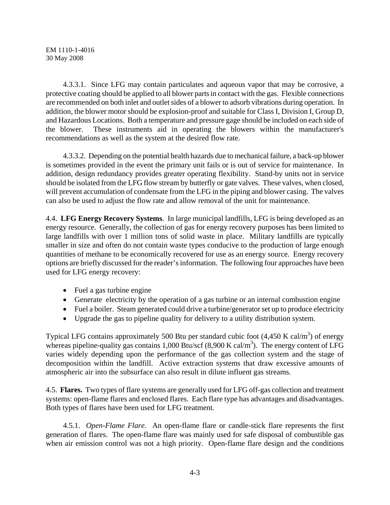4.3.3.1. Since LFG may contain particulates and aqueous vapor that may be corrosive, a protective coating should be applied to all blower parts in contact with the gas. Flexible connections are recommended on both inlet and outlet sides of a blower to adsorb vibrations during operation. In addition, the blower motor should be explosion-proof and suitable for Class I, Division I, Group D, and Hazardous Locations. Both a temperature and pressure gage should be included on each side of the blower. These instruments aid in operating the blowers within the manufacturer's recommendations as well as the system at the desired flow rate.

 4.3.3.2. Depending on the potential health hazards due to mechanical failure, a back-up blower is sometimes provided in the event the primary unit fails or is out of service for maintenance. In addition, design redundancy provides greater operating flexibility. Stand-by units not in service should be isolated from the LFG flow stream by butterfly or gate valves. These valves, when closed, will prevent accumulation of condensate from the LFG in the piping and blower casing. The valves can also be used to adjust the flow rate and allow removal of the unit for maintenance.

4.4. **LFG Energy Recovery Systems**. In large municipal landfills, LFG is being developed as an energy resource. Generally, the collection of gas for energy recovery purposes has been limited to large landfills with over 1 million tons of solid waste in place. Military landfills are typically smaller in size and often do not contain waste types conducive to the production of large enough quantities of methane to be economically recovered for use as an energy source. Energy recovery options are briefly discussed for the reader's information. The following four approaches have been used for LFG energy recovery:

- Fuel a gas turbine engine
- Generate electricity by the operation of a gas turbine or an internal combustion engine
- Fuel a boiler. Steam generated could drive a turbine/generator set up to produce electricity
- Upgrade the gas to pipeline quality for delivery to a utility distribution system.

Typical LFG contains approximately 500 Btu per standard cubic foot  $(4,450 \text{ K cal/m}^3)$  of energy whereas pipeline-quality gas contains  $1,000$  Btu/scf (8,900 K cal/m<sup>3</sup>). The energy content of LFG varies widely depending upon the performance of the gas collection system and the stage of decomposition within the landfill. Active extraction systems that draw excessive amounts of atmospheric air into the subsurface can also result in dilute influent gas streams.

4.5. **Flares.** Two types of flare systems are generally used for LFG off-gas collection and treatment systems: open-flame flares and enclosed flares. Each flare type has advantages and disadvantages. Both types of flares have been used for LFG treatment.

 4.5.1. *Open-Flame Flare.* An open-flame flare or candle-stick flare represents the first generation of flares. The open-flame flare was mainly used for safe disposal of combustible gas when air emission control was not a high priority. Open-flame flare design and the conditions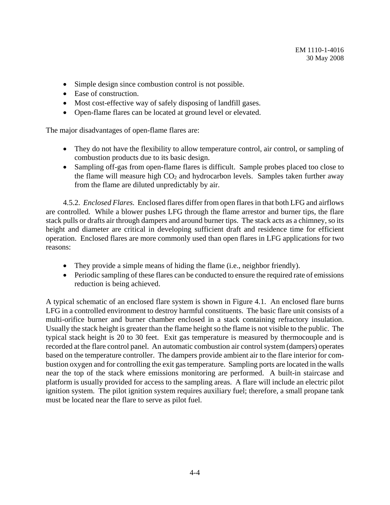- Simple design since combustion control is not possible.
- Ease of construction.
- Most cost-effective way of safely disposing of landfill gases.
- Open-flame flares can be located at ground level or elevated.

The major disadvantages of open-flame flares are:

- They do not have the flexibility to allow temperature control, air control, or sampling of combustion products due to its basic design.
- Sampling off-gas from open-flame flares is difficult. Sample probes placed too close to the flame will measure high  $CO<sub>2</sub>$  and hydrocarbon levels. Samples taken further away from the flame are diluted unpredictably by air.

 4.5.2. *Enclosed Flares.* Enclosed flares differ from open flares in that both LFG and airflows are controlled. While a blower pushes LFG through the flame arrestor and burner tips, the flare stack pulls or drafts air through dampers and around burner tips. The stack acts as a chimney, so its height and diameter are critical in developing sufficient draft and residence time for efficient operation. Enclosed flares are more commonly used than open flares in LFG applications for two reasons:

- They provide a simple means of hiding the flame (i.e., neighbor friendly).
- Periodic sampling of these flares can be conducted to ensure the required rate of emissions reduction is being achieved.

A typical schematic of an enclosed flare system is shown in Figure 4.1. An enclosed flare burns LFG in a controlled environment to destroy harmful constituents. The basic flare unit consists of a multi-orifice burner and burner chamber enclosed in a stack containing refractory insulation. Usually the stack height is greater than the flame height so the flame is not visible to the public. The typical stack height is 20 to 30 feet. Exit gas temperature is measured by thermocouple and is recorded at the flare control panel. An automatic combustion air control system (dampers) operates based on the temperature controller. The dampers provide ambient air to the flare interior for combustion oxygen and for controlling the exit gas temperature. Sampling ports are located in the walls near the top of the stack where emissions monitoring are performed. A built-in staircase and platform is usually provided for access to the sampling areas. A flare will include an electric pilot ignition system. The pilot ignition system requires auxiliary fuel; therefore, a small propane tank must be located near the flare to serve as pilot fuel.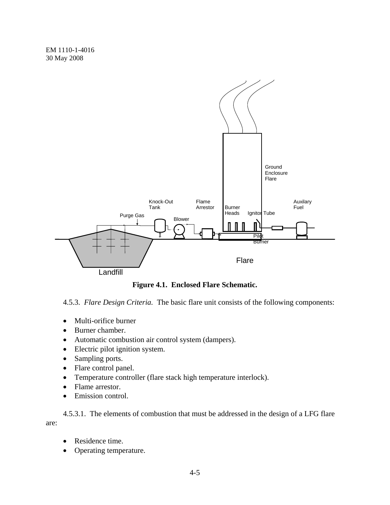

**Figure 4.1. Enclosed Flare Schematic.** 

4.5.3. *Flare Design Criteria.* The basic flare unit consists of the following components:

- Multi-orifice burner
- Burner chamber.
- Automatic combustion air control system (dampers).
- Electric pilot ignition system.
- Sampling ports.
- Flare control panel.
- Temperature controller (flare stack high temperature interlock).
- Flame arrestor.
- Emission control.

 4.5.3.1. The elements of combustion that must be addressed in the design of a LFG flare are:

- Residence time.
- Operating temperature.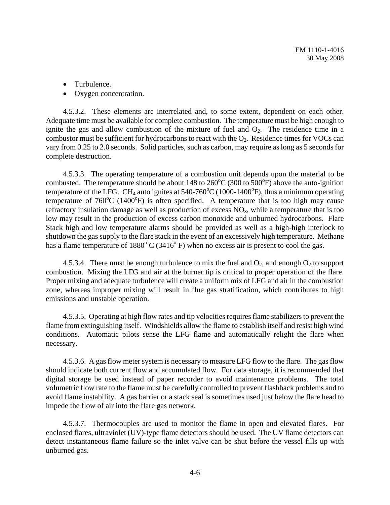- Turbulence.
- Oxygen concentration.

 4.5.3.2. These elements are interrelated and, to some extent, dependent on each other. Adequate time must be available for complete combustion. The temperature must be high enough to ignite the gas and allow combustion of the mixture of fuel and  $O<sub>2</sub>$ . The residence time in a combustor must be sufficient for hydrocarbons to react with the  $O_2$ . Residence times for VOCs can vary from 0.25 to 2.0 seconds. Solid particles, such as carbon, may require as long as 5 seconds for complete destruction.

 4.5.3.3. The operating temperature of a combustion unit depends upon the material to be combusted. The temperature should be about 148 to  $260^{\circ}$ C (300 to 500°F) above the auto-ignition temperature of the LFG. CH<sub>4</sub> auto ignites at 540-760°C (1000-1400°F), thus a minimum operating temperature of  $760^{\circ}$ C (1400 $^{\circ}$ F) is often specified. A temperature that is too high may cause refractory insulation damage as well as production of excess  $NO<sub>x</sub>$ , while a temperature that is too low may result in the production of excess carbon monoxide and unburned hydrocarbons. Flare Stack high and low temperature alarms should be provided as well as a high-high interlock to shutdown the gas supply to the flare stack in the event of an excessively high temperature. Methane has a flame temperature of  $1880^{\circ}$  C (3416<sup>o</sup> F) when no excess air is present to cool the gas.

4.5.3.4. There must be enough turbulence to mix the fuel and  $O_2$ , and enough  $O_2$  to support combustion. Mixing the LFG and air at the burner tip is critical to proper operation of the flare. Proper mixing and adequate turbulence will create a uniform mix of LFG and air in the combustion zone, whereas improper mixing will result in flue gas stratification, which contributes to high emissions and unstable operation.

 4.5.3.5. Operating at high flow rates and tip velocities requires flame stabilizers to prevent the flame from extinguishing itself. Windshields allow the flame to establish itself and resist high wind conditions. Automatic pilots sense the LFG flame and automatically relight the flare when necessary.

 4.5.3.6. A gas flow meter system is necessary to measure LFG flow to the flare. The gas flow should indicate both current flow and accumulated flow. For data storage, it is recommended that digital storage be used instead of paper recorder to avoid maintenance problems. The total volumetric flow rate to the flame must be carefully controlled to prevent flashback problems and to avoid flame instability. A gas barrier or a stack seal is sometimes used just below the flare head to impede the flow of air into the flare gas network.

 4.5.3.7. Thermocouples are used to monitor the flame in open and elevated flares. For enclosed flares, ultraviolet (UV)-type flame detectors should be used. The UV flame detectors can detect instantaneous flame failure so the inlet valve can be shut before the vessel fills up with unburned gas.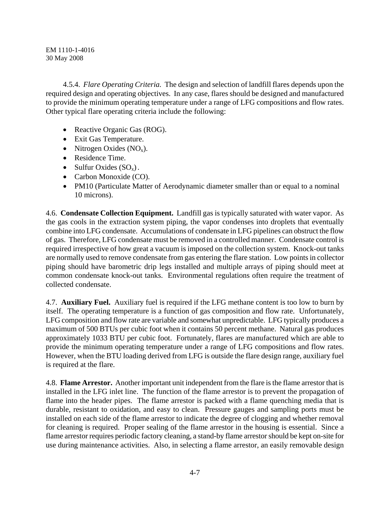4.5.4. *Flare Operating Criteria.* The design and selection of landfill flares depends upon the required design and operating objectives. In any case, flares should be designed and manufactured to provide the minimum operating temperature under a range of LFG compositions and flow rates. Other typical flare operating criteria include the following:

- Reactive Organic Gas (ROG).
- Exit Gas Temperature.
- Nitrogen Oxides  $(NO_x)$ .
- Residence Time.
- Sulfur Oxides  $(SO_x)$ .
- Carbon Monoxide (CO).
- PM10 (Particulate Matter of Aerodynamic diameter smaller than or equal to a nominal 10 microns).

4.6. **Condensate Collection Equipment.** Landfill gas is typically saturated with water vapor. As the gas cools in the extraction system piping, the vapor condenses into droplets that eventually combine into LFG condensate. Accumulations of condensate in LFG pipelines can obstruct the flow of gas. Therefore, LFG condensate must be removed in a controlled manner. Condensate control is required irrespective of how great a vacuum is imposed on the collection system. Knock-out tanks are normally used to remove condensate from gas entering the flare station. Low points in collector piping should have barometric drip legs installed and multiple arrays of piping should meet at common condensate knock-out tanks. Environmental regulations often require the treatment of collected condensate.

4.7. **Auxiliary Fuel.** Auxiliary fuel is required if the LFG methane content is too low to burn by itself. The operating temperature is a function of gas composition and flow rate. Unfortunately, LFG composition and flow rate are variable and somewhat unpredictable. LFG typically produces a maximum of 500 BTUs per cubic foot when it contains 50 percent methane. Natural gas produces approximately 1033 BTU per cubic foot. Fortunately, flares are manufactured which are able to provide the minimum operating temperature under a range of LFG compositions and flow rates. However, when the BTU loading derived from LFG is outside the flare design range, auxiliary fuel is required at the flare.

4.8. **Flame Arrestor.** Another important unit independent from the flare is the flame arrestor that is installed in the LFG inlet line. The function of the flame arrestor is to prevent the propagation of flame into the header pipes. The flame arrestor is packed with a flame quenching media that is durable, resistant to oxidation, and easy to clean. Pressure gauges and sampling ports must be installed on each side of the flame arrestor to indicate the degree of clogging and whether removal for cleaning is required. Proper sealing of the flame arrestor in the housing is essential. Since a flame arrestor requires periodic factory cleaning, a stand-by flame arrestor should be kept on-site for use during maintenance activities. Also, in selecting a flame arrestor, an easily removable design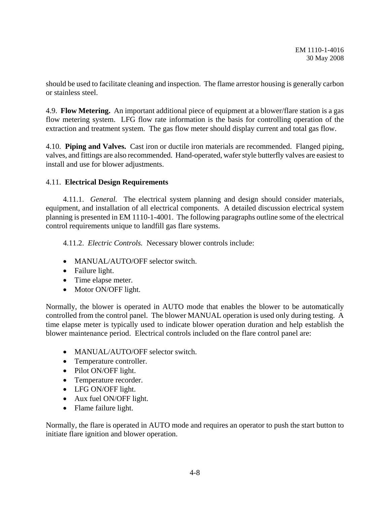should be used to facilitate cleaning and inspection. The flame arrestor housing is generally carbon or stainless steel.

4.9. **Flow Metering.** An important additional piece of equipment at a blower/flare station is a gas flow metering system. LFG flow rate information is the basis for controlling operation of the extraction and treatment system. The gas flow meter should display current and total gas flow.

4.10. **Piping and Valves.** Cast iron or ductile iron materials are recommended. Flanged piping, valves, and fittings are also recommended. Hand-operated, wafer style butterfly valves are easiest to install and use for blower adjustments.

# 4.11. **Electrical Design Requirements**

 4.11.1. *General.* The electrical system planning and design should consider materials, equipment, and installation of all electrical components. A detailed discussion electrical system planning is presented in EM 1110-1-4001. The following paragraphs outline some of the electrical control requirements unique to landfill gas flare systems.

4.11.2. *Electric Controls.* Necessary blower controls include:

- MANUAL/AUTO/OFF selector switch.
- Failure light.
- Time elapse meter.
- Motor ON/OFF light.

Normally, the blower is operated in AUTO mode that enables the blower to be automatically controlled from the control panel. The blower MANUAL operation is used only during testing. A time elapse meter is typically used to indicate blower operation duration and help establish the blower maintenance period. Electrical controls included on the flare control panel are:

- MANUAL/AUTO/OFF selector switch.
- Temperature controller.
- Pilot ON/OFF light.
- Temperature recorder.
- LFG ON/OFF light.
- Aux fuel ON/OFF light.
- Flame failure light.

Normally, the flare is operated in AUTO mode and requires an operator to push the start button to initiate flare ignition and blower operation.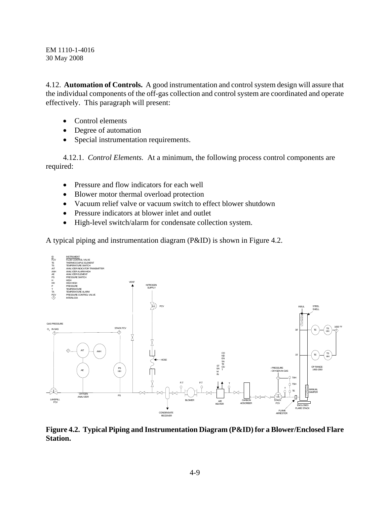4.12. **Automation of Controls.** A good instrumentation and control system design will assure that the individual components of the off-gas collection and control system are coordinated and operate effectively. This paragraph will present:

- Control elements
- Degree of automation
- Special instrumentation requirements.

 4.12.1. *Control Elements.* At a minimum, the following process control components are required:

- Pressure and flow indicators for each well
- Blower motor thermal overload protection
- Vacuum relief valve or vacuum switch to effect blower shutdown
- Pressure indicators at blower inlet and outlet
- High-level switch/alarm for condensate collection system.

A typical piping and instrumentation diagram (P&ID) is shown in Figure 4.2.



**Figure 4.2. Typical Piping and Instrumentation Diagram (P&ID) for a Blower/Enclosed Flare Station.**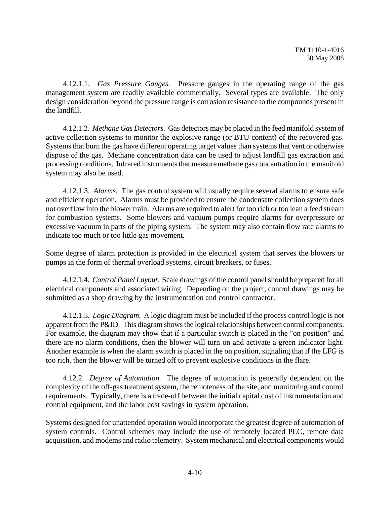4.12.1.1. *Gas Pressure Gauges.* Pressure gauges in the operating range of the gas management system are readily available commercially. Several types are available. The only design consideration beyond the pressure range is corrosion resistance to the compounds present in the landfill.

 4.12.1.2. *Methane Gas Detectors.* Gas detectors may be placed in the feed manifold system of active collection systems to monitor the explosive range (or BTU content) of the recovered gas. Systems that burn the gas have different operating target values than systems that vent or otherwise dispose of the gas. Methane concentration data can be used to adjust landfill gas extraction and processing conditions. Infrared instruments that measuremethane gas concentration in the manifold system may also be used.

 4.12.1.3. *Alarms.* The gas control system will usually require several alarms to ensure safe and efficient operation. Alarms must be provided to ensure the condensate collection system does not overflow into the blower train. Alarms are required to alert for too rich or too lean a feed stream for combustion systems. Some blowers and vacuum pumps require alarms for overpressure or excessive vacuum in parts of the piping system. The system may also contain flow rate alarms to indicate too much or too little gas movement.

Some degree of alarm protection is provided in the electrical system that serves the blowers or pumps in the form of thermal overload systems, circuit breakers, or fuses.

 4.12.1.4. *Control Panel Layout.* Scale drawings of the control panel should be prepared for all electrical components and associated wiring. Depending on the project, control drawings may be submitted as a shop drawing by the instrumentation and control contractor.

 4.12.1.5. *Logic Diagram.* A logic diagram must be included if the process control logic is not apparent from the P&ID. This diagram shows the logical relationships between control components. For example, the diagram may show that if a particular switch is placed in the "on position" and there are no alarm conditions, then the blower will turn on and activate a green indicator light. Another example is when the alarm switch is placed in the on position, signaling that if the LFG is too rich, then the blower will be turned off to prevent explosive conditions in the flare.

 4.12.2. *Degree of Automation.* The degree of automation is generally dependent on the complexity of the off-gas treatment system, the remoteness of the site, and monitoring and control requirements. Typically, there is a trade-off between the initial capital cost of instrumentation and control equipment, and the labor cost savings in system operation.

Systems designed for unattended operation would incorporate the greatest degree of automation of system controls. Control schemes may include the use of remotely located PLC, remote data acquisition, and modems and radio telemetry. System mechanical and electrical components would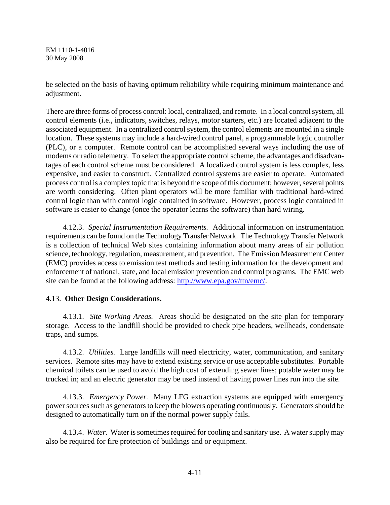be selected on the basis of having optimum reliability while requiring minimum maintenance and adjustment.

There are three forms of process control: local, centralized, and remote. In a local control system, all control elements (i.e., indicators, switches, relays, motor starters, etc.) are located adjacent to the associated equipment. In a centralized control system, the control elements are mounted in a single location. These systems may include a hard-wired control panel, a programmable logic controller (PLC), or a computer. Remote control can be accomplished several ways including the use of modems or radio telemetry. To select the appropriate control scheme, the advantages and disadvantages of each control scheme must be considered. A localized control system is less complex, less expensive, and easier to construct. Centralized control systems are easier to operate. Automated process control is a complex topic that is beyond the scope of this document; however, several points are worth considering. Often plant operators will be more familiar with traditional hard-wired control logic than with control logic contained in software. However, process logic contained in software is easier to change (once the operator learns the software) than hard wiring.

 4.12.3. *Special Instrumentation Requirements.* Additional information on instrumentation requirements can be found on the Technology Transfer Network. The Technology Transfer Network is a collection of technical Web sites containing information about many areas of air pollution science, technology, regulation, measurement, and prevention. The Emission Measurement Center (EMC) provides access to emission test methods and testing information for the development and enforcement of national, state, and local emission prevention and control programs. The EMC web site can be found at the following address:<http://www.epa.gov/ttn/emc/>.

#### 4.13. **Other Design Considerations.**

 4.13.1. *Site Working Areas.* Areas should be designated on the site plan for temporary storage. Access to the landfill should be provided to check pipe headers, wellheads, condensate traps, and sumps.

 4.13.2. *Utilities.* Large landfills will need electricity, water, communication, and sanitary services. Remote sites may have to extend existing service or use acceptable substitutes. Portable chemical toilets can be used to avoid the high cost of extending sewer lines; potable water may be trucked in; and an electric generator may be used instead of having power lines run into the site.

 4.13.3. *Emergency Power.* Many LFG extraction systems are equipped with emergency power sources such as generators to keep the blowers operating continuously. Generators should be designed to automatically turn on if the normal power supply fails.

 4.13.4. *Water.* Water is sometimes required for cooling and sanitary use. A water supply may also be required for fire protection of buildings and or equipment.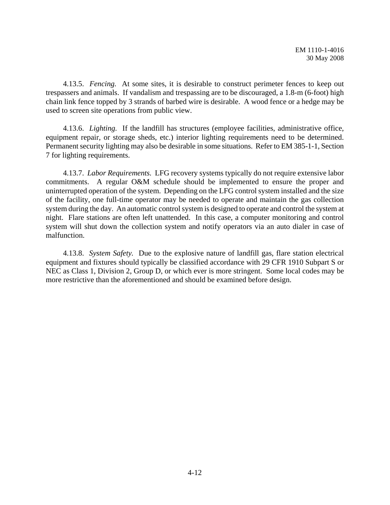4.13.5. *Fencing.* At some sites, it is desirable to construct perimeter fences to keep out trespassers and animals. If vandalism and trespassing are to be discouraged, a 1.8-m (6-foot) high chain link fence topped by 3 strands of barbed wire is desirable. A wood fence or a hedge may be used to screen site operations from public view.

 4.13.6. *Lighting.* If the landfill has structures (employee facilities, administrative office, equipment repair, or storage sheds, etc.) interior lighting requirements need to be determined. Permanent security lighting may also be desirable in some situations. Refer to EM 385-1-1, Section 7 for lighting requirements.

 4.13.7. *Labor Requirements.* LFG recovery systems typically do not require extensive labor commitments. A regular O&M schedule should be implemented to ensure the proper and uninterrupted operation of the system. Depending on the LFG control system installed and the size of the facility, one full-time operator may be needed to operate and maintain the gas collection system during the day. An automatic control system is designed to operate and control the system at night. Flare stations are often left unattended. In this case, a computer monitoring and control system will shut down the collection system and notify operators via an auto dialer in case of malfunction.

 4.13.8. *System Safety.* Due to the explosive nature of landfill gas, flare station electrical equipment and fixtures should typically be classified accordance with 29 CFR 1910 Subpart S or NEC as Class 1, Division 2, Group D, or which ever is more stringent. Some local codes may be more restrictive than the aforementioned and should be examined before design.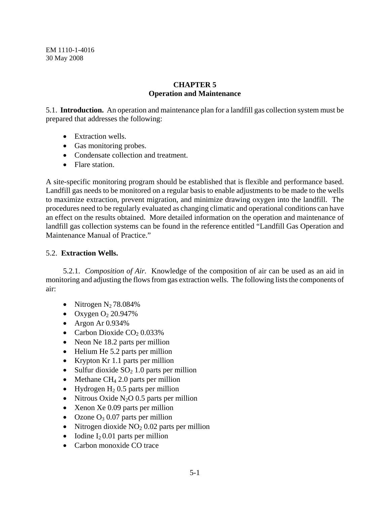# **CHAPTER 5 Operation and Maintenance**

5.1. **Introduction.** An operation and maintenance plan for a landfill gas collection system must be prepared that addresses the following:

- Extraction wells.
- Gas monitoring probes.
- Condensate collection and treatment.
- Flare station.

A site-specific monitoring program should be established that is flexible and performance based. Landfill gas needs to be monitored on a regular basis to enable adjustments to be made to the wells to maximize extraction, prevent migration, and minimize drawing oxygen into the landfill. The procedures need to be regularly evaluated as changing climatic and operational conditions can have an effect on the results obtained. More detailed information on the operation and maintenance of landfill gas collection systems can be found in the reference entitled "Landfill Gas Operation and Maintenance Manual of Practice."

# 5.2. **Extraction Wells.**

 5.2.1. *Composition of Air.* Knowledge of the composition of air can be used as an aid in monitoring and adjusting the flows from gas extraction wells. The following lists the components of air:

- Nitrogen  $N_2$  78.084%
- Oxygen  $O_2$  20.947%
- Argon Ar  $0.934\%$
- Carbon Dioxide  $CO<sub>2</sub> 0.033%$
- Neon Ne 18.2 parts per million
- Helium He 5.2 parts per million
- Krypton Kr 1.1 parts per million
- Sulfur dioxide  $SO<sub>2</sub> 1.0$  parts per million
- Methane  $CH<sub>4</sub> 2.0$  parts per million
- Hydrogen  $H_2$  0.5 parts per million
- Nitrous Oxide  $N_2$ O 0.5 parts per million
- Xenon Xe 0.09 parts per million
- Ozone  $O_3$  0.07 parts per million
- Nitrogen dioxide  $NO<sub>2</sub> 0.02$  parts per million
- Iodine  $I_2$  0.01 parts per million
- Carbon monoxide CO trace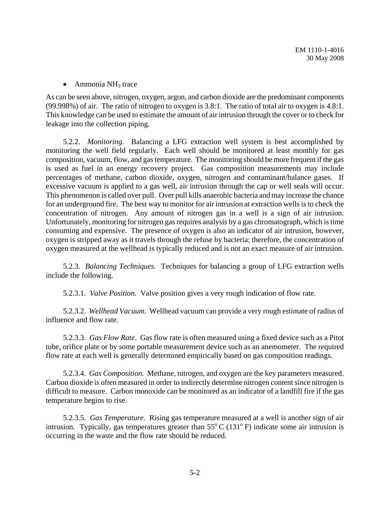• Ammonia  $NH<sub>3</sub>$  trace

As can be seen above, nitrogen, oxygen, argon, and carbon dioxide are the predominant components (99.998%) of air. The ratio of nitrogen to oxygen is 3.8:1. The ratio of total air to oxygen is 4.8:1. This knowledge can be used to estimate the amount of air intrusion through the cover or to check for leakage into the collection piping.

 5.2.2. *Monitoring.* Balancing a LFG extraction well system is best accomplished by monitoring the well field regularly. Each well should be monitored at least monthly for gas composition, vacuum, flow, and gas temperature. The monitoring should be more frequent if the gas is used as fuel in an energy recovery project. Gas composition measurements may include percentages of methane, carbon dioxide, oxygen, nitrogen and contaminant/balance gases. If excessive vacuum is applied to a gas well, air intrusion through the cap or well seals will occur. This phenomenon is called over pull. Over pull kills anaerobic bacteria and may increase the chance for an underground fire. The best way to monitor for air intrusion at extraction wells is to check the concentration of nitrogen. Any amount of nitrogen gas in a well is a sign of air intrusion. Unfortunately, monitoring for nitrogen gas requires analysis by a gas chromatograph, which is time consuming and expensive. The presence of oxygen is also an indicator of air intrusion, however, oxygen is stripped away as it travels through the refuse by bacteria; therefore, the concentration of oxygen measured at the wellhead is typically reduced and is not an exact measure of air intrusion.

 5.2.3. *Balancing Techniques.* Techniques for balancing a group of LFG extraction wells include the following.

5.2.3.1. *Valve Position.* Valve position gives a very rough indication of flow rate.

 5.2.3.2. *Wellhead Vacuum.* Wellhead vacuum can provide a very rough estimate of radius of influence and flow rate.

 5.2.3.3. *Gas Flow Rate.* Gas flow rate is often measured using a fixed device such as a Pitot tube, orifice plate or by some portable measurement device such as an anemometer. The required flow rate at each well is generally determined empirically based on gas composition readings.

 5.2.3.4. *Gas Composition.* Methane, nitrogen, and oxygen are the key parameters measured. Carbon dioxide is often measured in order to indirectly determine nitrogen content since nitrogen is difficult to measure. Carbon monoxide can be monitored as an indicator of a landfill fire if the gas temperature begins to rise.

 5.2.3.5. *Gas Temperature.* Rising gas temperature measured at a well is another sign of air intrusion. Typically, gas temperatures greater than  $55^{\circ}$  C (131<sup>o</sup> F) indicate some air intrusion is occurring in the waste and the flow rate should be reduced.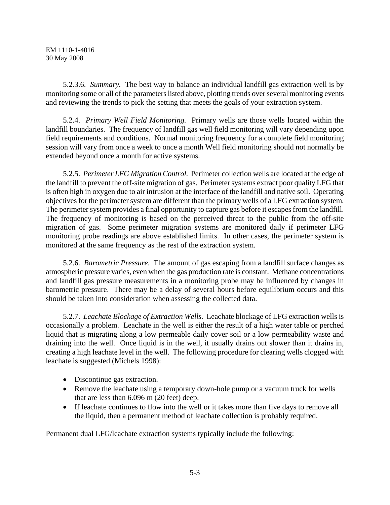5.2.3.6. *Summary.* The best way to balance an individual landfill gas extraction well is by monitoring some or all of the parameters listed above, plotting trends over several monitoring events and reviewing the trends to pick the setting that meets the goals of your extraction system.

 5.2.4. *Primary Well Field Monitoring.* Primary wells are those wells located within the landfill boundaries. The frequency of landfill gas well field monitoring will vary depending upon field requirements and conditions. Normal monitoring frequency for a complete field monitoring session will vary from once a week to once a month Well field monitoring should not normally be extended beyond once a month for active systems.

 5.2.5. *Perimeter LFG Migration Control.* Perimeter collection wells are located at the edge of the landfill to prevent the off-site migration of gas. Perimeter systems extract poor quality LFG that is often high in oxygen due to air intrusion at the interface of the landfill and native soil. Operating objectives for the perimeter system are different than the primary wells of a LFG extraction system. The perimeter system provides a final opportunity to capture gas before it escapes from the landfill. The frequency of monitoring is based on the perceived threat to the public from the off-site migration of gas. Some perimeter migration systems are monitored daily if perimeter LFG monitoring probe readings are above established limits. In other cases, the perimeter system is monitored at the same frequency as the rest of the extraction system.

 5.2.6. *Barometric Pressure.* The amount of gas escaping from a landfill surface changes as atmospheric pressure varies, even when the gas production rate is constant. Methane concentrations and landfill gas pressure measurements in a monitoring probe may be influenced by changes in barometric pressure. There may be a delay of several hours before equilibrium occurs and this should be taken into consideration when assessing the collected data.

 5.2.7. *Leachate Blockage of Extraction Wells.* Leachate blockage of LFG extraction wells is occasionally a problem. Leachate in the well is either the result of a high water table or perched liquid that is migrating along a low permeable daily cover soil or a low permeability waste and draining into the well. Once liquid is in the well, it usually drains out slower than it drains in, creating a high leachate level in the well. The following procedure for clearing wells clogged with leachate is suggested (Michels 1998):

- Discontinue gas extraction.
- Remove the leachate using a temporary down-hole pump or a vacuum truck for wells that are less than 6.096 m (20 feet) deep.
- If leachate continues to flow into the well or it takes more than five days to remove all the liquid, then a permanent method of leachate collection is probably required.

Permanent dual LFG/leachate extraction systems typically include the following: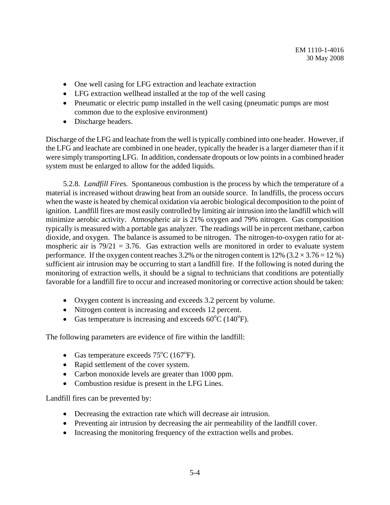- One well casing for LFG extraction and leachate extraction
- LFG extraction wellhead installed at the top of the well casing
- Pneumatic or electric pump installed in the well casing (pneumatic pumps are most common due to the explosive environment)
- Discharge headers.

Discharge of the LFG and leachate from the well is typically combined into one header. However, if the LFG and leachate are combined in one header, typically the header is a larger diameter than if it were simply transporting LFG. In addition, condensate dropouts or low points in a combined header system must be enlarged to allow for the added liquids.

 5.2.8. *Landfill Fires.* Spontaneous combustion is the process by which the temperature of a material is increased without drawing heat from an outside source. In landfills, the process occurs when the waste is heated by chemical oxidation via aerobic biological decomposition to the point of ignition. Landfill fires are most easily controlled by limiting air intrusion into the landfill which will minimize aerobic activity. Atmospheric air is 21% oxygen and 79% nitrogen. Gas composition typically is measured with a portable gas analyzer. The readings will be in percent methane, carbon dioxide, and oxygen. The balance is assumed to be nitrogen. The nitrogen-to-oxygen ratio for atmospheric air is  $79/21 = 3.76$ . Gas extraction wells are monitored in order to evaluate system performance. If the oxygen content reaches 3.2% or the nitrogen content is  $12\%$  (3.2 × 3.76 = 12 %) sufficient air intrusion may be occurring to start a landfill fire. If the following is noted during the monitoring of extraction wells, it should be a signal to technicians that conditions are potentially favorable for a landfill fire to occur and increased monitoring or corrective action should be taken:

- Oxygen content is increasing and exceeds 3.2 percent by volume.
- Nitrogen content is increasing and exceeds 12 percent.
- Gas temperature is increasing and exceeds  $60^{\circ}$ C (140 $^{\circ}$ F).

The following parameters are evidence of fire within the landfill:

- Gas temperature exceeds  $75^{\circ}$ C (167 $^{\circ}$ F).
- Rapid settlement of the cover system.
- Carbon monoxide levels are greater than 1000 ppm.
- Combustion residue is present in the LFG Lines.

Landfill fires can be prevented by:

- Decreasing the extraction rate which will decrease air intrusion.
- Preventing air intrusion by decreasing the air permeability of the landfill cover.
- Increasing the monitoring frequency of the extraction wells and probes.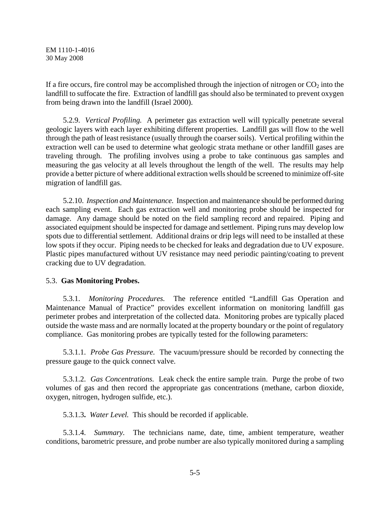If a fire occurs, fire control may be accomplished through the injection of nitrogen or  $CO<sub>2</sub>$  into the landfill to suffocate the fire. Extraction of landfill gas should also be terminated to prevent oxygen from being drawn into the landfill (Israel 2000).

 5.2.9. *Vertical Profiling.* A perimeter gas extraction well will typically penetrate several geologic layers with each layer exhibiting different properties. Landfill gas will flow to the well through the path of least resistance (usually through the coarser soils). Vertical profiling within the extraction well can be used to determine what geologic strata methane or other landfill gases are traveling through. The profiling involves using a probe to take continuous gas samples and measuring the gas velocity at all levels throughout the length of the well. The results may help provide a better picture of where additional extraction wells should be screened to minimize off-site migration of landfill gas.

 5.2.10. *Inspection and Maintenance.* Inspection and maintenance should be performed during each sampling event. Each gas extraction well and monitoring probe should be inspected for damage. Any damage should be noted on the field sampling record and repaired. Piping and associated equipment should be inspected for damage and settlement. Piping runs may develop low spots due to differential settlement. Additional drains or drip legs will need to be installed at these low spots if they occur. Piping needs to be checked for leaks and degradation due to UV exposure. Plastic pipes manufactured without UV resistance may need periodic painting/coating to prevent cracking due to UV degradation.

#### 5.3. **Gas Monitoring Probes.**

 5.3.1. *Monitoring Procedures.* The reference entitled "Landfill Gas Operation and Maintenance Manual of Practice" provides excellent information on monitoring landfill gas perimeter probes and interpretation of the collected data. Monitoring probes are typically placed outside the waste mass and are normally located at the property boundary or the point of regulatory compliance. Gas monitoring probes are typically tested for the following parameters:

 5.3.1.1. *Probe Gas Pressure.* The vacuum/pressure should be recorded by connecting the pressure gauge to the quick connect valve.

 5.3.1.2. *Gas Concentrations.* Leak check the entire sample train. Purge the probe of two volumes of gas and then record the appropriate gas concentrations (methane, carbon dioxide, oxygen, nitrogen, hydrogen sulfide, etc.).

5.3.1.3**.** *Water Level.* This should be recorded if applicable.

 5.3.1.4. *Summary.* The technicians name, date, time, ambient temperature, weather conditions, barometric pressure, and probe number are also typically monitored during a sampling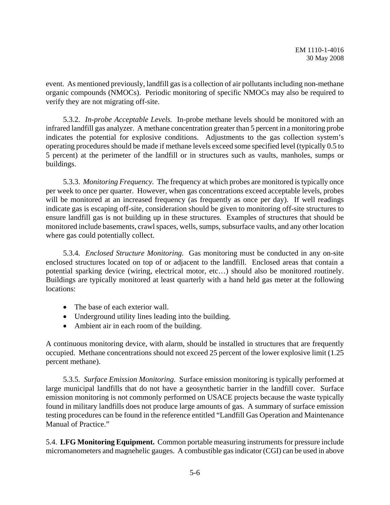event. As mentioned previously, landfill gas is a collection of air pollutants including non-methane organic compounds (NMOCs). Periodic monitoring of specific NMOCs may also be required to verify they are not migrating off-site.

 5.3.2. *In-probe Acceptable Levels.* In-probe methane levels should be monitored with an infrared landfill gas analyzer. A methane concentration greater than 5 percent in a monitoring probe indicates the potential for explosive conditions. Adjustments to the gas collection system's operating procedures should be made if methane levels exceed some specified level (typically 0.5 to 5 percent) at the perimeter of the landfill or in structures such as vaults, manholes, sumps or buildings.

 5.3.3. *Monitoring Frequency.* The frequency at which probes are monitored is typically once per week to once per quarter. However, when gas concentrations exceed acceptable levels, probes will be monitored at an increased frequency (as frequently as once per day). If well readings indicate gas is escaping off-site, consideration should be given to monitoring off-site structures to ensure landfill gas is not building up in these structures. Examples of structures that should be monitored include basements, crawl spaces, wells, sumps, subsurface vaults, and any other location where gas could potentially collect.

 5.3.4. *Enclosed Structure Monitoring.* Gas monitoring must be conducted in any on-site enclosed structures located on top of or adjacent to the landfill. Enclosed areas that contain a potential sparking device (wiring, electrical motor, etc…) should also be monitored routinely. Buildings are typically monitored at least quarterly with a hand held gas meter at the following locations:

- The base of each exterior wall.
- Underground utility lines leading into the building.
- Ambient air in each room of the building.

A continuous monitoring device, with alarm, should be installed in structures that are frequently occupied. Methane concentrations should not exceed 25 percent of the lower explosive limit (1.25 percent methane).

 5.3.5. *Surface Emission Monitoring.* Surface emission monitoring is typically performed at large municipal landfills that do not have a geosynthetic barrier in the landfill cover. Surface emission monitoring is not commonly performed on USACE projects because the waste typically found in military landfills does not produce large amounts of gas. A summary of surface emission testing procedures can be found in the reference entitled "Landfill Gas Operation and Maintenance Manual of Practice."

5.4. **LFG Monitoring Equipment.** Common portable measuring instruments for pressure include micromanometers and magnehelic gauges. A combustible gas indicator (CGI) can be used in above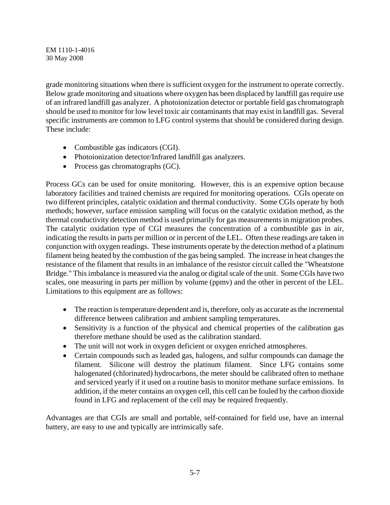grade monitoring situations when there is sufficient oxygen for the instrument to operate correctly. Below grade monitoring and situations where oxygen has been displaced by landfill gas require use of an infrared landfill gas analyzer. A photoionization detector or portable field gas chromatograph should be used to monitor for low level toxic air contaminants that may exist in landfill gas. Several specific instruments are common to LFG control systems that should be considered during design. These include:

- Combustible gas indicators (CGI).
- Photoionization detector/Infrared landfill gas analyzers.
- Process gas chromatographs (GC).

Process GCs can be used for onsite monitoring. However, this is an expensive option because laboratory facilities and trained chemists are required for monitoring operations. CGIs operate on two different principles, catalytic oxidation and thermal conductivity. Some CGIs operate by both methods; however, surface emission sampling will focus on the catalytic oxidation method, as the thermal conductivity detection method is used primarily for gas measurements in migration probes. The catalytic oxidation type of CGI measures the concentration of a combustible gas in air, indicating the results in parts per million or in percent of the LEL. Often these readings are taken in conjunction with oxygen readings. These instruments operate by the detection method of a platinum filament being heated by the combustion of the gas being sampled. The increase in heat changes the resistance of the filament that results in an imbalance of the resistor circuit called the "Wheatstone Bridge." This imbalance is measured via the analog or digital scale of the unit. Some CGIs have two scales, one measuring in parts per million by volume (ppmv) and the other in percent of the LEL. Limitations to this equipment are as follows:

- The reaction is temperature dependent and is, therefore, only as accurate as the incremental difference between calibration and ambient sampling temperatures.
- Sensitivity is a function of the physical and chemical properties of the calibration gas therefore methane should be used as the calibration standard.
- The unit will not work in oxygen deficient or oxygen enriched atmospheres.
- Certain compounds such as leaded gas, halogens, and sulfur compounds can damage the filament. Silicone will destroy the platinum filament. Since LFG contains some halogenated (chlorinated) hydrocarbons, the meter should be calibrated often to methane and serviced yearly if it used on a routine basis to monitor methane surface emissions. In addition, if the meter contains an oxygen cell, this cell can be fouled by the carbon dioxide found in LFG and replacement of the cell may be required frequently.

Advantages are that CGIs are small and portable, self-contained for field use, have an internal battery, are easy to use and typically are intrinsically safe.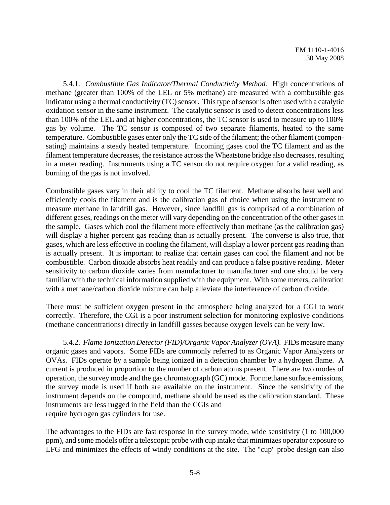5.4.1. *Combustible Gas Indicator/Thermal Conductivity Method.* High concentrations of methane (greater than 100% of the LEL or 5% methane) are measured with a combustible gas indicator using a thermal conductivity (TC) sensor. This type of sensor is often used with a catalytic oxidation sensor in the same instrument. The catalytic sensor is used to detect concentrations less than 100% of the LEL and at higher concentrations, the TC sensor is used to measure up to 100% gas by volume. The TC sensor is composed of two separate filaments, heated to the same temperature. Combustible gases enter only the TC side of the filament; the other filament (compensating) maintains a steady heated temperature. Incoming gases cool the TC filament and as the filament temperature decreases, the resistance across the Wheatstone bridge also decreases, resulting in a meter reading. Instruments using a TC sensor do not require oxygen for a valid reading, as burning of the gas is not involved.

Combustible gases vary in their ability to cool the TC filament. Methane absorbs heat well and efficiently cools the filament and is the calibration gas of choice when using the instrument to measure methane in landfill gas. However, since landfill gas is comprised of a combination of different gases, readings on the meter will vary depending on the concentration of the other gases in the sample. Gases which cool the filament more effectively than methane (as the calibration gas) will display a higher percent gas reading than is actually present. The converse is also true, that gases, which are less effective in cooling the filament, will display a lower percent gas reading than is actually present. It is important to realize that certain gases can cool the filament and not be combustible. Carbon dioxide absorbs heat readily and can produce a false positive reading. Meter sensitivity to carbon dioxide varies from manufacturer to manufacturer and one should be very familiar with the technical information supplied with the equipment. With some meters, calibration with a methane/carbon dioxide mixture can help alleviate the interference of carbon dioxide.

There must be sufficient oxygen present in the atmosphere being analyzed for a CGI to work correctly. Therefore, the CGI is a poor instrument selection for monitoring explosive conditions (methane concentrations) directly in landfill gasses because oxygen levels can be very low.

 5.4.2. *Flame Ionization Detector (FID)/Organic Vapor Analyzer (OVA).* FIDs measure many organic gases and vapors. Some FIDs are commonly referred to as Organic Vapor Analyzers or OVAs. FIDs operate by a sample being ionized in a detection chamber by a hydrogen flame. A current is produced in proportion to the number of carbon atoms present. There are two modes of operation, the survey mode and the gas chromatograph (GC) mode. For methane surface emissions, the survey mode is used if both are available on the instrument. Since the sensitivity of the instrument depends on the compound, methane should be used as the calibration standard. These instruments are less rugged in the field than the CGIs and require hydrogen gas cylinders for use.

The advantages to the FIDs are fast response in the survey mode, wide sensitivity (1 to 100,000 ppm), and some models offer a telescopic probe with cup intake that minimizes operator exposure to LFG and minimizes the effects of windy conditions at the site. The "cup" probe design can also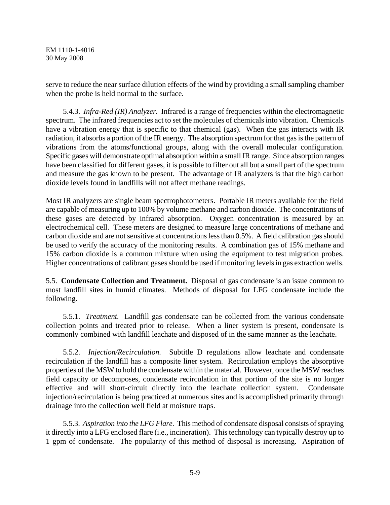serve to reduce the near surface dilution effects of the wind by providing a small sampling chamber when the probe is held normal to the surface.

 5.4.3. *Infra-Red (IR) Analyzer.* Infrared is a range of frequencies within the electromagnetic spectrum. The infrared frequencies act to set the molecules of chemicals into vibration. Chemicals have a vibration energy that is specific to that chemical (gas). When the gas interacts with IR radiation, it absorbs a portion of the IR energy. The absorption spectrum for that gas is the pattern of vibrations from the atoms/functional groups, along with the overall molecular configuration. Specific gases will demonstrate optimal absorption within a small IR range. Since absorption ranges have been classified for different gases, it is possible to filter out all but a small part of the spectrum and measure the gas known to be present. The advantage of IR analyzers is that the high carbon dioxide levels found in landfills will not affect methane readings.

Most IR analyzers are single beam spectrophotometers. Portable IR meters available for the field are capable of measuring up to 100% by volume methane and carbon dioxide. The concentrations of these gases are detected by infrared absorption. Oxygen concentration is measured by an electrochemical cell. These meters are designed to measure large concentrations of methane and carbon dioxide and are not sensitive at concentrations less than 0.5%. A field calibration gas should be used to verify the accuracy of the monitoring results. A combination gas of 15% methane and 15% carbon dioxide is a common mixture when using the equipment to test migration probes. Higher concentrations of calibrant gases should be used if monitoring levels in gas extraction wells.

5.5. **Condensate Collection and Treatment.** Disposal of gas condensate is an issue common to most landfill sites in humid climates. Methods of disposal for LFG condensate include the following.

 5.5.1. *Treatment.* Landfill gas condensate can be collected from the various condensate collection points and treated prior to release. When a liner system is present, condensate is commonly combined with landfill leachate and disposed of in the same manner as the leachate.

 5.5.2. *Injection/Recirculation.* Subtitle D regulations allow leachate and condensate recirculation if the landfill has a composite liner system. Recirculation employs the absorptive properties of the MSW to hold the condensate within the material. However, once the MSW reaches field capacity or decomposes, condensate recirculation in that portion of the site is no longer effective and will short-circuit directly into the leachate collection system. Condensate injection/recirculation is being practiced at numerous sites and is accomplished primarily through drainage into the collection well field at moisture traps.

 5.5.3. *Aspiration into the LFG Flare.* This method of condensate disposal consists of spraying it directly into a LFG enclosed flare (i.e., incineration). This technology can typically destroy up to 1 gpm of condensate. The popularity of this method of disposal is increasing. Aspiration of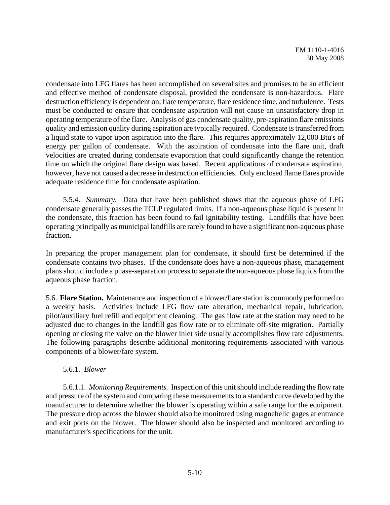condensate into LFG flares has been accomplished on several sites and promises to be an efficient and effective method of condensate disposal, provided the condensate is non-hazardous. Flare destruction efficiency is dependent on: flare temperature, flare residence time, and turbulence. Tests must be conducted to ensure that condensate aspiration will not cause an unsatisfactory drop in operating temperature of the flare. Analysis of gas condensate quality, pre-aspiration flare emissions quality and emission quality during aspiration are typically required. Condensate is transferred from a liquid state to vapor upon aspiration into the flare. This requires approximately 12,000 Btu's of energy per gallon of condensate. With the aspiration of condensate into the flare unit, draft velocities are created during condensate evaporation that could significantly change the retention time on which the original flare design was based. Recent applications of condensate aspiration, however, have not caused a decrease in destruction efficiencies. Only enclosed flame flares provide adequate residence time for condensate aspiration.

 5.5.4. *Summary.* Data that have been published shows that the aqueous phase of LFG condensate generally passes the TCLP regulated limits. If a non-aqueous phase liquid is present in the condensate, this fraction has been found to fail ignitability testing. Landfills that have been operating principally as municipal landfills are rarely found to have a significant non-aqueous phase fraction.

In preparing the proper management plan for condensate, it should first be determined if the condensate contains two phases. If the condensate does have a non-aqueous phase, management plans should include a phase-separation process to separate the non-aqueous phase liquids from the aqueous phase fraction.

5.6. **Flare Station.** Maintenance and inspection of a blower/flare station is commonly performed on a weekly basis. Activities include LFG flow rate alteration, mechanical repair, lubrication, pilot/auxiliary fuel refill and equipment cleaning. The gas flow rate at the station may need to be adjusted due to changes in the landfill gas flow rate or to eliminate off-site migration. Partially opening or closing the valve on the blower inlet side usually accomplishes flow rate adjustments. The following paragraphs describe additional monitoring requirements associated with various components of a blower/fare system.

#### 5.6.1. *Blower*

 5.6.1.1. *Monitoring Requirements.* Inspection of this unit should include reading the flow rate and pressure of the system and comparing these measurements to a standard curve developed by the manufacturer to determine whether the blower is operating within a safe range for the equipment. The pressure drop across the blower should also be monitored using magnehelic gages at entrance and exit ports on the blower. The blower should also be inspected and monitored according to manufacturer's specifications for the unit.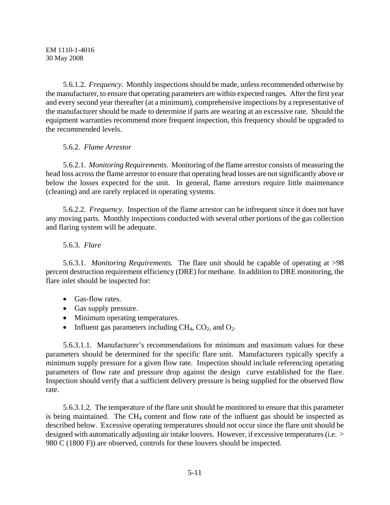5.6.1.2. *Frequency.* Monthly inspections should be made, unless recommended otherwise by the manufacturer, to ensure that operating parameters are within expected ranges. After the first year and every second year thereafter (at a minimum), comprehensive inspections by a representative of the manufacturer should be made to determine if parts are wearing at an excessive rate. Should the equipment warranties recommend more frequent inspection, this frequency should be upgraded to the recommended levels.

5.6.2. *Flame Arrestor*

 5.6.2.1. *Monitoring Requirements.* Monitoring of the flame arrestor consists of measuring the head loss across the flame arrestor to ensure that operating head losses are not significantly above or below the losses expected for the unit. In general, flame arrestors require little maintenance (cleaning) and are rarely replaced in operating systems.

 5.6.2.2. *Frequency.* Inspection of the flame arrestor can be infrequent since it does not have any moving parts. Monthly inspections conducted with several other portions of the gas collection and flaring system will be adequate.

## 5.6.3. *Flare*

 5.6.3.1. *Monitoring Requirements.* The flare unit should be capable of operating at >98 percent destruction requirement efficiency (DRE) for methane. In addition to DRE monitoring, the flare inlet should be inspected for:

- Gas-flow rates.
- Gas supply pressure.
- Minimum operating temperatures.
- Influent gas parameters including  $CH_4$ ,  $CO_2$ , and  $O_2$ .

 5.6.3.1.1. Manufacturer's recommendations for minimum and maximum values for these parameters should be determined for the specific flare unit. Manufacturers typically specify a minimum supply pressure for a given flow rate. Inspection should include referencing operating parameters of flow rate and pressure drop against the design curve established for the flare. Inspection should verify that a sufficient delivery pressure is being supplied for the observed flow rate.

 5.6.3.1.2. The temperature of the flare unit should be monitored to ensure that this parameter is being maintained. The  $CH_4$  content and flow rate of the influent gas should be inspected as described below. Excessive operating temperatures should not occur since the flare unit should be designed with automatically adjusting air intake louvers. However, if excessive temperatures (i.e. > 980 C (1800 F)) are observed, controls for these louvers should be inspected.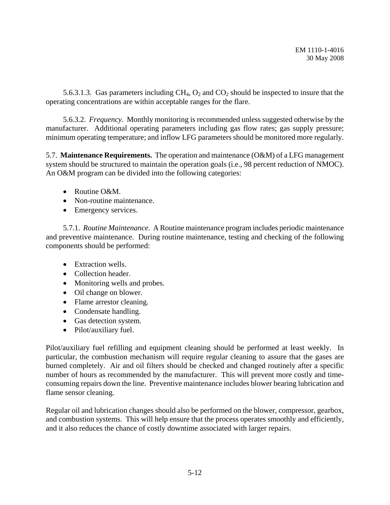5.6.3.1.3. Gas parameters including  $CH_4$ ,  $O_2$  and  $CO_2$  should be inspected to insure that the operating concentrations are within acceptable ranges for the flare.

 5.6.3.2. *Frequency.* Monthly monitoring is recommended unless suggested otherwise by the manufacturer. Additional operating parameters including gas flow rates; gas supply pressure; minimum operating temperature; and inflow LFG parameters should be monitored more regularly.

5.7. **Maintenance Requirements.** The operation and maintenance (O&M) of a LFG management system should be structured to maintain the operation goals (i.e., 98 percent reduction of NMOC). An O&M program can be divided into the following categories:

- Routine O&M.
- Non-routine maintenance.
- Emergency services.

 5.7.1. *Routine Maintenance.* A Routine maintenance program includes periodic maintenance and preventive maintenance. During routine maintenance, testing and checking of the following components should be performed:

- Extraction wells.
- Collection header.
- Monitoring wells and probes.
- Oil change on blower.
- Flame arrestor cleaning.
- Condensate handling.
- Gas detection system.
- Pilot/auxiliary fuel.

Pilot/auxiliary fuel refilling and equipment cleaning should be performed at least weekly. In particular, the combustion mechanism will require regular cleaning to assure that the gases are burned completely. Air and oil filters should be checked and changed routinely after a specific number of hours as recommended by the manufacturer. This will prevent more costly and timeconsuming repairs down the line. Preventive maintenance includes blower bearing lubrication and flame sensor cleaning.

Regular oil and lubrication changes should also be performed on the blower, compressor, gearbox, and combustion systems. This will help ensure that the process operates smoothly and efficiently, and it also reduces the chance of costly downtime associated with larger repairs.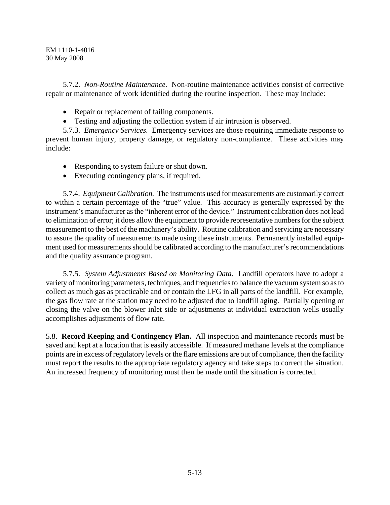5.7.2. *Non-Routine Maintenance.* Non-routine maintenance activities consist of corrective repair or maintenance of work identified during the routine inspection. These may include:

- Repair or replacement of failing components.
- Testing and adjusting the collection system if air intrusion is observed.

 5.7.3. *Emergency Services.* Emergency services are those requiring immediate response to prevent human injury, property damage, or regulatory non-compliance. These activities may include:

- Responding to system failure or shut down.
- Executing contingency plans, if required.

 5.7.4. *Equipment Calibration.* The instruments used for measurements are customarily correct to within a certain percentage of the "true" value. This accuracy is generally expressed by the instrument's manufacturer as the "inherent error of the device." Instrument calibration does not lead to elimination of error; it does allow the equipment to provide representative numbers for the subject measurement to the best of the machinery's ability. Routine calibration and servicing are necessary to assure the quality of measurements made using these instruments. Permanently installed equipment used for measurements should be calibrated according to the manufacturer's recommendations and the quality assurance program.

 5.7.5. *System Adjustments Based on Monitoring Data.* Landfill operators have to adopt a variety of monitoring parameters, techniques, and frequencies to balance the vacuum system so as to collect as much gas as practicable and or contain the LFG in all parts of the landfill. For example, the gas flow rate at the station may need to be adjusted due to landfill aging. Partially opening or closing the valve on the blower inlet side or adjustments at individual extraction wells usually accomplishes adjustments of flow rate.

5.8. **Record Keeping and Contingency Plan.** All inspection and maintenance records must be saved and kept at a location that is easily accessible. If measured methane levels at the compliance points are in excess of regulatory levels or the flare emissions are out of compliance, then the facility must report the results to the appropriate regulatory agency and take steps to correct the situation. An increased frequency of monitoring must then be made until the situation is corrected.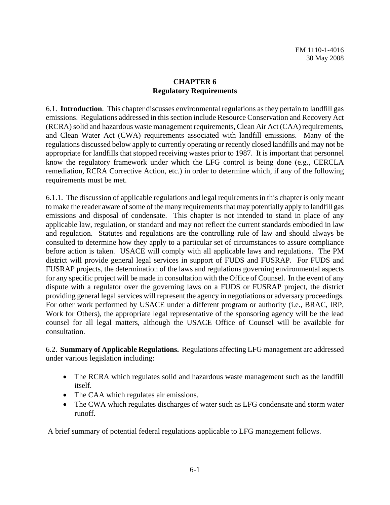# **CHAPTER 6 Regulatory Requirements**

6.1. **Introduction**. This chapter discusses environmental regulations as they pertain to landfill gas emissions. Regulations addressed in this section include Resource Conservation and Recovery Act (RCRA) solid and hazardous waste management requirements, Clean Air Act (CAA) requirements, and Clean Water Act (CWA) requirements associated with landfill emissions. Many of the regulations discussed below apply to currently operating or recently closed landfills and may not be appropriate for landfills that stopped receiving wastes prior to 1987. It is important that personnel know the regulatory framework under which the LFG control is being done (e.g., CERCLA remediation, RCRA Corrective Action, etc.) in order to determine which, if any of the following requirements must be met.

6.1.1. The discussion of applicable regulations and legal requirements in this chapter is only meant to make the reader aware of some of the many requirements that may potentially apply to landfill gas emissions and disposal of condensate. This chapter is not intended to stand in place of any applicable law, regulation, or standard and may not reflect the current standards embodied in law and regulation. Statutes and regulations are the controlling rule of law and should always be consulted to determine how they apply to a particular set of circumstances to assure compliance before action is taken. USACE will comply with all applicable laws and regulations. The PM district will provide general legal services in support of FUDS and FUSRAP. For FUDS and FUSRAP projects, the determination of the laws and regulations governing environmental aspects for any specific project will be made in consultation with the Office of Counsel. In the event of any dispute with a regulator over the governing laws on a FUDS or FUSRAP project, the district providing general legal services will represent the agency in negotiations or adversary proceedings. For other work performed by USACE under a different program or authority (i.e., BRAC, IRP, Work for Others), the appropriate legal representative of the sponsoring agency will be the lead counsel for all legal matters, although the USACE Office of Counsel will be available for consultation.

6.2. **Summary of Applicable Regulations.** Regulations affecting LFG management are addressed under various legislation including:

- The RCRA which regulates solid and hazardous waste management such as the landfill itself.
- The CAA which regulates air emissions.
- The CWA which regulates discharges of water such as LFG condensate and storm water runoff.

A brief summary of potential federal regulations applicable to LFG management follows.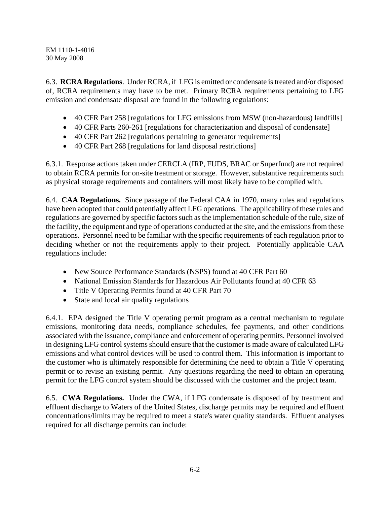6.3. **RCRA Regulations**. Under RCRA, if LFG is emitted or condensate is treated and/or disposed of, RCRA requirements may have to be met. Primary RCRA requirements pertaining to LFG emission and condensate disposal are found in the following regulations:

- 40 CFR Part 258 [regulations for LFG emissions from MSW (non-hazardous) landfills]
- 40 CFR Parts 260-261 [regulations for characterization and disposal of condensate]
- 40 CFR Part 262 [regulations pertaining to generator requirements]
- 40 CFR Part 268 [regulations for land disposal restrictions]

6.3.1. Response actions taken under CERCLA (IRP, FUDS, BRAC or Superfund) are not required to obtain RCRA permits for on-site treatment or storage. However, substantive requirements such as physical storage requirements and containers will most likely have to be complied with.

6.4. **CAA Regulations.** Since passage of the Federal CAA in 1970, many rules and regulations have been adopted that could potentially affect LFG operations. The applicability of these rules and regulations are governed by specific factors such as the implementation schedule of the rule, size of the facility, the equipment and type of operations conducted at the site, and the emissions from these operations. Personnel need to be familiar with the specific requirements of each regulation prior to deciding whether or not the requirements apply to their project. Potentially applicable CAA regulations include:

- New Source Performance Standards (NSPS) found at 40 CFR Part 60
- National Emission Standards for Hazardous Air Pollutants found at 40 CFR 63
- Title V Operating Permits found at 40 CFR Part 70
- State and local air quality regulations

6.4.1. EPA designed the Title V operating permit program as a central mechanism to regulate emissions, monitoring data needs, compliance schedules, fee payments, and other conditions associated with the issuance, compliance and enforcement of operating permits. Personnel involved in designing LFG control systems should ensure that the customer is made aware of calculated LFG emissions and what control devices will be used to control them. This information is important to the customer who is ultimately responsible for determining the need to obtain a Title V operating permit or to revise an existing permit. Any questions regarding the need to obtain an operating permit for the LFG control system should be discussed with the customer and the project team.

6.5. **CWA Regulations.** Under the CWA, if LFG condensate is disposed of by treatment and effluent discharge to Waters of the United States, discharge permits may be required and effluent concentrations/limits may be required to meet a state's water quality standards. Effluent analyses required for all discharge permits can include: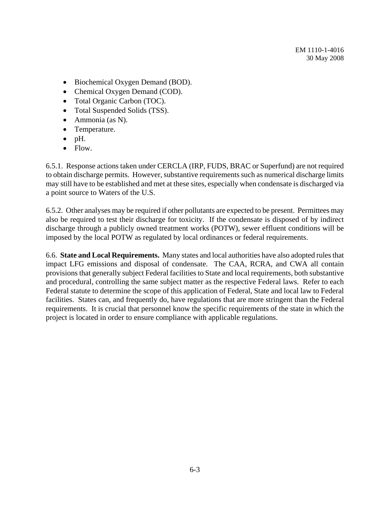- Biochemical Oxygen Demand (BOD).
- Chemical Oxygen Demand (COD).
- Total Organic Carbon (TOC).
- Total Suspended Solids (TSS).
- Ammonia (as N).
- Temperature.
- $\bullet$  pH.
- Flow.

6.5.1. Response actions taken under CERCLA (IRP, FUDS, BRAC or Superfund) are not required to obtain discharge permits. However, substantive requirements such as numerical discharge limits may still have to be established and met at these sites, especially when condensate is discharged via a point source to Waters of the U.S.

6.5.2. Other analyses may be required if other pollutants are expected to be present. Permittees may also be required to test their discharge for toxicity. If the condensate is disposed of by indirect discharge through a publicly owned treatment works (POTW), sewer effluent conditions will be imposed by the local POTW as regulated by local ordinances or federal requirements.

6.6. **State and Local Requirements.** Many states and local authorities have also adopted rules that impact LFG emissions and disposal of condensate. The CAA, RCRA, and CWA all contain provisions that generally subject Federal facilities to State and local requirements, both substantive and procedural, controlling the same subject matter as the respective Federal laws. Refer to each Federal statute to determine the scope of this application of Federal, State and local law to Federal facilities. States can, and frequently do, have regulations that are more stringent than the Federal requirements. It is crucial that personnel know the specific requirements of the state in which the project is located in order to ensure compliance with applicable regulations.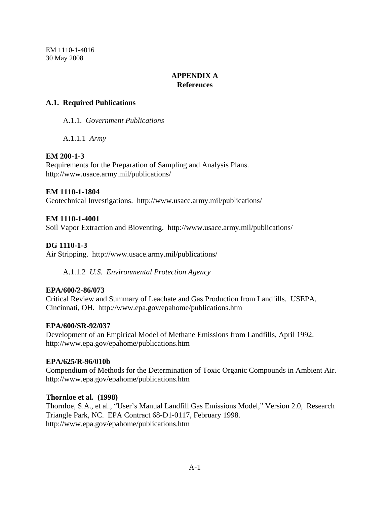# **APPENDIX A References**

## **A.1. Required Publications**

A.1.1. *Government Publications* 

A.1.1.1 *Army* 

## **EM 200-1-3**

Requirements for the Preparation of Sampling and Analysis Plans. http://www.usace.army.mil/publications/

#### **EM 1110-1-1804**

Geotechnical Investigations. http://www.usace.army.mil/publications/

## **EM 1110-1-4001**

Soil Vapor Extraction and Bioventing. http://www.usace.army.mil/publications/

## **DG 1110-1-3**

Air Stripping. http://www.usace.army.mil/publications/

A.1.1.2 *U.S. Environmental Protection Agency*

#### **EPA/600/2-86/073**

Critical Review and Summary of Leachate and Gas Production from Landfills. USEPA, Cincinnati, OH. http://www.epa.gov/epahome/publications.htm

#### **EPA/600/SR-92/037**

Development of an Empirical Model of Methane Emissions from Landfills, April 1992. http://www.epa.gov/epahome/publications.htm

#### **EPA/625/R-96/010b**

Compendium of Methods for the Determination of Toxic Organic Compounds in Ambient Air. http://www.epa.gov/epahome/publications.htm

#### **Thornloe et al. (1998)**

Thornloe, S.A., et al., "User's Manual Landfill Gas Emissions Model," Version 2.0, Research Triangle Park, NC. EPA Contract 68-D1-0117, February 1998. http://www.epa.gov/epahome/publications.htm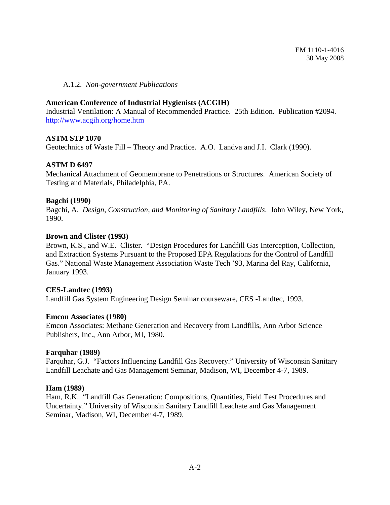A.1.2. *Non-government Publications* 

## **American Conference of Industrial Hygienists (ACGIH)**

Industrial Ventilation: A Manual of Recommended Practice. 25th Edition. Publication #2094. <http://www.acgih.org/home.htm>

## **ASTM STP 1070**

Geotechnics of Waste Fill – Theory and Practice. A.O. Landva and J.I. Clark (1990).

## **ASTM D 6497**

Mechanical Attachment of Geomembrane to Penetrations or Structures. American Society of Testing and Materials, Philadelphia, PA.

## **Bagchi (1990)**

Bagchi, A. *Design, Construction, and Monitoring of Sanitary Landfills*. John Wiley, New York, 1990.

#### **Brown and Clister (1993)**

Brown, K.S., and W.E. Clister. "Design Procedures for Landfill Gas Interception, Collection, and Extraction Systems Pursuant to the Proposed EPA Regulations for the Control of Landfill Gas." National Waste Management Association Waste Tech '93, Marina del Ray, California, January 1993.

#### **CES-Landtec (1993)**

Landfill Gas System Engineering Design Seminar courseware, CES -Landtec, 1993.

#### **Emcon Associates (1980)**

Emcon Associates: Methane Generation and Recovery from Landfills, Ann Arbor Science Publishers, Inc., Ann Arbor, MI, 1980.

#### **Farquhar (1989)**

Farquhar, G.J. "Factors Influencing Landfill Gas Recovery." University of Wisconsin Sanitary Landfill Leachate and Gas Management Seminar, Madison, WI, December 4-7, 1989.

#### **Ham (1989)**

Ham, R.K. "Landfill Gas Generation: Compositions, Quantities, Field Test Procedures and Uncertainty." University of Wisconsin Sanitary Landfill Leachate and Gas Management Seminar, Madison, WI, December 4-7, 1989.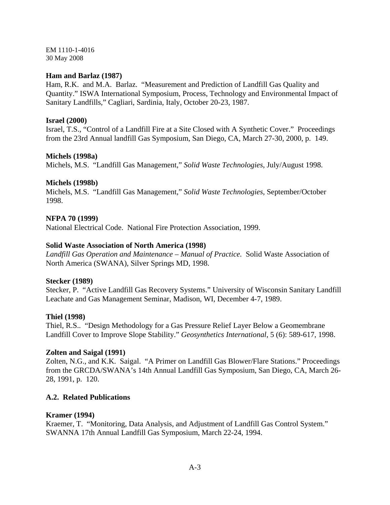#### **Ham and Barlaz (1987)**

Ham, R.K. and M.A. Barlaz. "Measurement and Prediction of Landfill Gas Quality and Quantity." ISWA International Symposium, Process, Technology and Environmental Impact of Sanitary Landfills," Cagliari, Sardinia, Italy, October 20-23, 1987.

#### **Israel (2000)**

Israel, T.S., "Control of a Landfill Fire at a Site Closed with A Synthetic Cover." Proceedings from the 23rd Annual landfill Gas Symposium, San Diego, CA, March 27-30, 2000, p. 149.

#### **Michels (1998a)**

Michels, M.S. "Landfill Gas Management," *Solid Waste Technologies*, July/August 1998.

#### **Michels (1998b)**

Michels, M.S. "Landfill Gas Management," *Solid Waste Technologies*, September/October 1998.

#### **NFPA 70 (1999)**

National Electrical Code. National Fire Protection Association, 1999.

#### **Solid Waste Association of North America (1998)**

*Landfill Gas Operation and Maintenance – Manual of Practice.* Solid Waste Association of North America (SWANA), Silver Springs MD, 1998.

#### **Stecker (1989)**

Stecker, P. "Active Landfill Gas Recovery Systems." University of Wisconsin Sanitary Landfill Leachate and Gas Management Seminar, Madison, WI, December 4-7, 1989.

#### **Thiel (1998)**

Thiel, R.S.. "Design Methodology for a Gas Pressure Relief Layer Below a Geomembrane Landfill Cover to Improve Slope Stability." *Geosynthetics International*, 5 (6): 589-617, 1998.

#### **Zolten and Saigal (1991)**

Zolten, N.G., and K.K. Saigal. "A Primer on Landfill Gas Blower/Flare Stations." Proceedings from the GRCDA/SWANA's 14th Annual Landfill Gas Symposium, San Diego, CA, March 26- 28, 1991, p. 120.

#### **A.2. Related Publications**

#### **Kramer (1994)**

Kraemer, T. "Monitoring, Data Analysis, and Adjustment of Landfill Gas Control System." SWANNA 17th Annual Landfill Gas Symposium, March 22-24, 1994.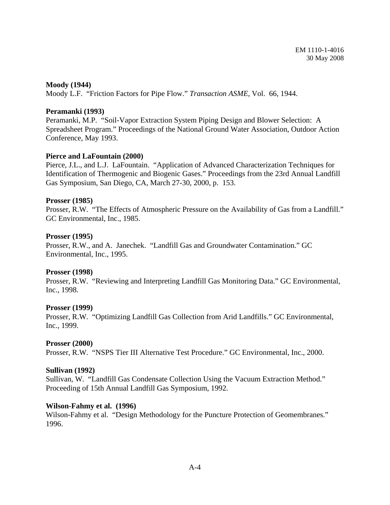#### **Moody (1944)**

Moody L.F. "Friction Factors for Pipe Flow." *Transaction ASME*, Vol. 66, 1944.

#### **Peramanki (1993)**

Peramanki, M.P. "Soil-Vapor Extraction System Piping Design and Blower Selection: A Spreadsheet Program." Proceedings of the National Ground Water Association, Outdoor Action Conference, May 1993.

#### **Pierce and LaFountain (2000)**

Pierce, J.L., and L.J. LaFountain. "Application of Advanced Characterization Techniques for Identification of Thermogenic and Biogenic Gases." Proceedings from the 23rd Annual Landfill Gas Symposium, San Diego, CA, March 27-30, 2000, p. 153.

#### **Prosser (1985)**

Prosser, R.W. "The Effects of Atmospheric Pressure on the Availability of Gas from a Landfill." GC Environmental, Inc., 1985.

#### **Prosser (1995)**

Prosser, R.W., and A. Janechek. "Landfill Gas and Groundwater Contamination." GC Environmental, Inc., 1995.

#### **Prosser (1998)**

Prosser, R.W. "Reviewing and Interpreting Landfill Gas Monitoring Data." GC Environmental, Inc., 1998.

#### **Prosser (1999)**

Prosser, R.W. "Optimizing Landfill Gas Collection from Arid Landfills." GC Environmental, Inc., 1999.

#### **Prosser (2000)**

Prosser, R.W. "NSPS Tier III Alternative Test Procedure." GC Environmental, Inc., 2000.

#### **Sullivan (1992)**

Sullivan, W. "Landfill Gas Condensate Collection Using the Vacuum Extraction Method." Proceeding of 15th Annual Landfill Gas Symposium, 1992.

#### **Wilson-Fahmy et al. (1996)**

Wilson-Fahmy et al. "Design Methodology for the Puncture Protection of Geomembranes." 1996.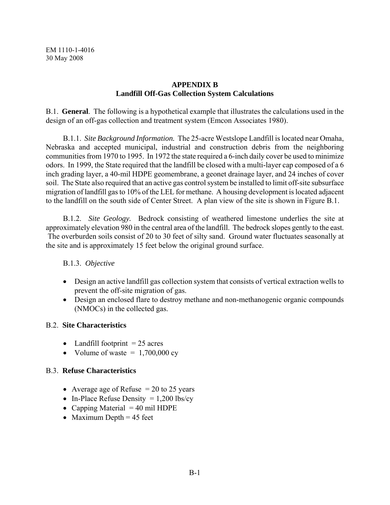# **APPENDIX B Landfill Off-Gas Collection System Calculations**

B.1. **General**. The following is a hypothetical example that illustrates the calculations used in the design of an off-gas collection and treatment system (Emcon Associates 1980).

 B.1.1. *Site Background Information.* The 25-acre Westslope Landfill is located near Omaha, Nebraska and accepted municipal, industrial and construction debris from the neighboring communities from 1970 to 1995. In 1972 the state required a 6-inch daily cover be used to minimize odors. In 1999, the State required that the landfill be closed with a multi-layer cap composed of a 6 inch grading layer, a 40-mil HDPE geomembrane, a geonet drainage layer, and 24 inches of cover soil. The State also required that an active gas control system be installed to limit off-site subsurface migration of landfill gas to 10% of the LEL for methane. A housing development is located adjacent to the landfill on the south side of Center Street. A plan view of the site is shown in Figure B.1.

 B.1.2. *Site Geology.* Bedrock consisting of weathered limestone underlies the site at approximately elevation 980 in the central area of the landfill. The bedrock slopes gently to the east. The overburden soils consist of 20 to 30 feet of silty sand. Ground water fluctuates seasonally at the site and is approximately 15 feet below the original ground surface.

# B.1.3. *Objective*

- Design an active landfill gas collection system that consists of vertical extraction wells to prevent the off-site migration of gas.
- Design an enclosed flare to destroy methane and non-methanogenic organic compounds (NMOCs) in the collected gas.

#### B.2. **Site Characteristics**

- Landfill footprint  $= 25$  acres
- Volume of waste =  $1,700,000$  cy

# B.3. **Refuse Characteristics**

- Average age of Refuse  $= 20$  to 25 years
- In-Place Refuse Density =  $1,200$  lbs/cy
- Capping Material  $= 40$  mil HDPE
- Maximum Depth  $= 45$  feet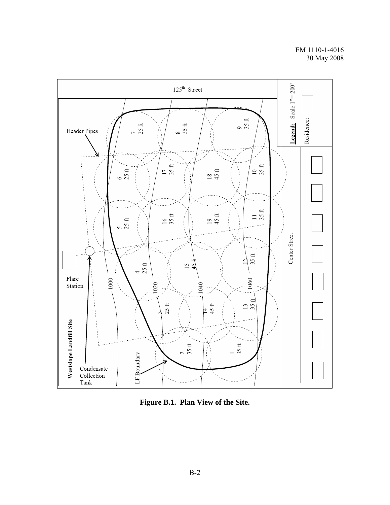

**Figure B.1. Plan View of the Site.**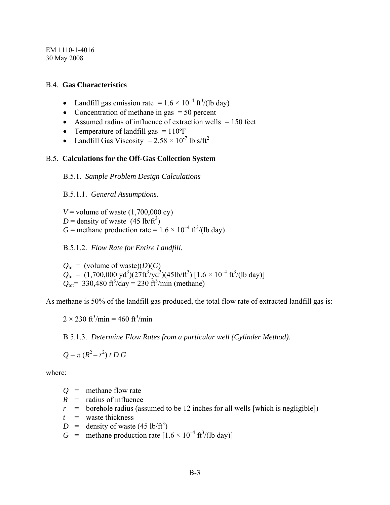#### B.4. **Gas Characteristics**

- Landfill gas emission rate =  $1.6 \times 10^{-4}$  ft<sup>3</sup>/(lb day)
- Concentration of methane in gas  $= 50$  percent
- Assumed radius of influence of extraction wells  $= 150$  feet
- Temperature of landfill gas  $= 110^{\circ}F$
- Landfill Gas Viscosity =  $2.58 \times 10^{-7}$  lb s/ft<sup>2</sup>

#### B.5. **Calculations for the Off-Gas Collection System**

B.5.1. *Sample Problem Design Calculations*

B.5.1.1. *General Assumptions.*

 $V =$  volume of waste  $(1,700,000 \text{ cy})$  $D =$  density of waste  $(45 \text{ lb/ft}^3)$ *G* = methane production rate =  $1.6 \times 10^{-4}$  ft<sup>3</sup>/(lb day)

B.5.1.2. *Flow Rate for Entire Landfill.*

 $Q_{\text{tot}}$  = (volume of waste)(*D*)(*G*)  $Q_{\text{tot}} = (1,700,000 \text{ yd}^3)(27 \text{ ft}^3/\text{yd}^3)(45 \text{ lb/ft}^3) [1.6 \times 10^{-4} \text{ ft}^3/(\text{lb day})]$  $Q_{\text{tot}}$  = 330,480 ft<sup>3</sup>/day = 230 ft<sup>3</sup>/min (methane)

As methane is 50% of the landfill gas produced, the total flow rate of extracted landfill gas is:

 $2 \times 230$  ft<sup>3</sup>/min = 460 ft<sup>3</sup>/min

B.5.1.3. *Determine Flow Rates from a particular well (Cylinder Method).*

 $Q = \pi (R^2 - r^2) t D G$ 

where:

 $Q =$  methane flow rate

- $R$  = radius of influence
- $r =$  borehole radius (assumed to be 12 inches for all wells [which is negligible])
- $t =$  waste thickness
- $D =$  density of waste (45 lb/ft<sup>3</sup>)
- $G =$  methane production rate  $[1.6 \times 10^{-4} \text{ ft}^3/(1b \text{ day})]$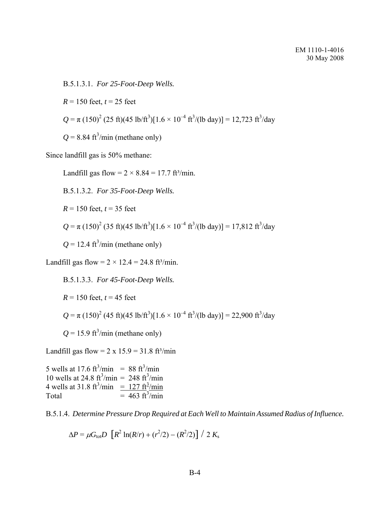B.5.1.3.1. *For 25-Foot-Deep Wells.*

 $R = 150$  feet,  $t = 25$  feet

 $Q = \pi (150)^2 (25 \text{ ft}) (45 \text{ lb/ft}^3) [1.6 \times 10^{-4} \text{ ft}^3/(\text{lb day})] = 12{,}723 \text{ ft}^3/\text{day}$ 

 $Q = 8.84$  ft<sup>3</sup>/min (methane only)

Since landfill gas is 50% methane:

Landfill gas flow =  $2 \times 8.84 = 17.7$  ft<sup>3</sup>/min.

B.5.1.3.2. *For 35-Foot-Deep Wells.*

 $R = 150$  feet,  $t = 35$  feet

 $Q = \pi (150)^2 (35 \text{ ft}) (45 \text{ lb/ft}^3) [1.6 \times 10^{-4} \text{ ft}^3/(\text{lb day})] = 17,812 \text{ ft}^3/\text{day}$ 

 $Q = 12.4$  ft<sup>3</sup>/min (methane only)

Landfill gas flow =  $2 \times 12.4 = 24.8$  ft<sup>3</sup>/min.

 B.5.1.3.3. *For 45-Foot-Deep Wells.*  $R = 150$  feet,  $t = 45$  feet  $Q = \pi (150)^2 (45 \text{ ft}) (45 \text{ lb/ft}^3) [1.6 \times 10^{-4} \text{ ft}^3/(\text{lb day})] = 22,900 \text{ ft}^3/\text{day}$  $Q = 15.9$  ft<sup>3</sup>/min (methane only)

Landfill gas flow =  $2 \times 15.9 = 31.8$  ft<sup>3</sup>/min

5 wells at 17.6 ft<sup>3</sup>/min = 88 ft<sup>3</sup>/min 10 wells at 24.8 ft<sup>3</sup>/min = 248 ft<sup>3</sup>/min 4 wells at 31.8 ft<sup>3</sup>/min =  $127 \text{ ft}^3\text{/min}$ Total  $= 463 \text{ ft}^3/\text{min}$ 

B.5.1.4. *Determine Pressure Drop Required at Each Well to Maintain Assumed Radius of Influence.* 

 $\Delta P = \mu G_{\text{tot}} D \left[ R^2 \ln(R/r) + (r^2/2) - (R^2/2) \right] / 2 K_{\text{s}}$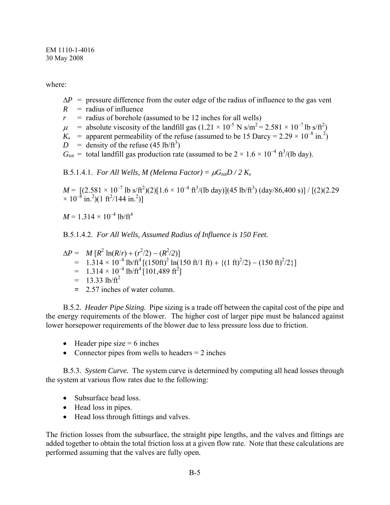where:

- $\Delta P$  = pressure difference from the outer edge of the radius of influence to the gas vent
- $R$  = radius of influence
- $r =$  radius of borehole (assumed to be 12 inches for all wells)
- $\mu$  = absolute viscosity of the landfill gas (1.21 × 10<sup>-5</sup> N s/m<sup>2</sup> = 2.581 × 10<sup>-7</sup> lb s/ft<sup>2</sup>)
- $K_s$  = apparent permeability of the refuse (assumed to be 15 Darcy = 2.29  $\times$  10<sup>-8</sup> in.<sup>2</sup>)
- $D =$  density of the refuse (45 lb/ft<sup>3</sup>)

 $G_{\text{tot}} = \text{total landfill gas production rate (assumed to be } 2 \times 1.6 \times 10^{-4} \text{ ft}^3/(\text{lb day}).$ 

B.5.1.4.1. *For All Wells, M (Melema Factor)* =  $\mu$ G<sub>tot</sub>D / 2 K<sub>s</sub>

 $M = [(2.581 \times 10^{-7} \text{ lb s/ft}^2)(2)[1.6 \times 10^{-4} \text{ ft}^3/(lb \text{ day})](45 \text{ lb/ft}^3) (\text{day/86,400 s})] / [(2)(2.29$  $\times$  10<sup>-8</sup> in.<sup>2</sup>)(1 ft<sup>2</sup>/144 in.<sup>2</sup>)]

 $M = 1.314 \times 10^{-4}$  lb/ft<sup>4</sup>

B.5.1.4.2. *For All Wells, Assumed Radius of Influence is 150 Feet.*

 $\Delta P = M [R^2 \ln(R/r) + (r^2/2) - (R^2/2)]$ =  $1.314 \times 10^{-4}$  lb/ft<sup>4</sup> [(150ft)<sup>2</sup> ln(150 ft/1 ft) + {(1 ft)<sup>2</sup>/2) – (150 ft)<sup>2</sup>/2}]  $= 1.314 \times 10^{-4}$  lb/ft<sup>4</sup> [101,489 ft<sup>2</sup>]  $=$  13.33 lb/ft<sup>2</sup> **=** 2.57 inches of water column.

 B.5.2. *Header Pipe Sizing.* Pipe sizing is a trade off between the capital cost of the pipe and the energy requirements of the blower. The higher cost of larger pipe must be balanced against lower horsepower requirements of the blower due to less pressure loss due to friction.

- Header pipe size  $= 6$  inches
- Connector pipes from wells to headers  $= 2$  inches

 B.5.3. *System Curve.* The system curve is determined by computing all head losses through the system at various flow rates due to the following:

- Subsurface head loss.
- Head loss in pipes.
- Head loss through fittings and valves.

The friction losses from the subsurface, the straight pipe lengths, and the valves and fittings are added together to obtain the total friction loss at a given flow rate. Note that these calculations are performed assuming that the valves are fully open.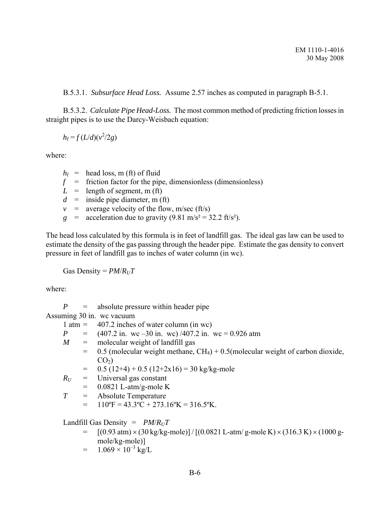B.5.3.1. *Subsurface Head Loss.* Assume 2.57 inches as computed in paragraph B-5.1.

 B.5.3.2. *Calculate Pipe Head-Loss.* The most common method of predicting friction losses in straight pipes is to use the Darcy-Weisbach equation:

 $h_f = f(L/d)(v^2/2g)$ 

where:

 $h_f$  = head loss, m (ft) of fluid  $f =$  friction factor for the pipe, dimensionless (dimensionless)  $L =$  length of segment, m (ft)  $d =$  inside pipe diameter, m (ft)  $v =$  average velocity of the flow, m/sec (ft/s) *g* = acceleration due to gravity  $(9.81 \text{ m/s}^2 = 32.2 \text{ ft/s}^2)$ .

The head loss calculated by this formula is in feet of landfill gas. The ideal gas law can be used to estimate the density of the gas passing through the header pipe. Estimate the gas density to convert pressure in feet of landfill gas to inches of water column (in wc).

Gas Density =  $PM/R_UT$ 

where:

*P* = absolute pressure within header pipe

Assuming 30 in. wc vacuum

1 atm  $=$  407.2 inches of water column (in wc)

*P* =  $(407.2 \text{ in.} \text{ we } -30 \text{ in.} \text{ we})/407.2 \text{ in.} \text{ we} = 0.926 \text{ atm}$ 

- $M =$  molecular weight of landfill gas
	- $=$  0.5 (molecular weight methane, CH<sub>4</sub>) + 0.5 (molecular weight of carbon dioxide,  $CO<sub>2</sub>$ )

 $=$  0.5 (12+4) + 0.5 (12+2x16) = 30 kg/kg-mole

 $R_U$  = Universal gas constant

 $=$  0.0821 L-atm/g-mole K

*T* = Absolute Temperature

 $= 110\text{°F} = 43.3\text{°C} + 273.16\text{°K} = 316.5\text{°K}.$ 

Landfill Gas Density =  $PM/R_UT$ 

- $=$  [(0.93 atm)  $\times$  (30 kg/kg-mole)] / [(0.0821 L-atm/ g-mole K)  $\times$  (316.3 K)  $\times$  (1000 gmole/kg-mole)]
- $= 1.069 \times 10^{-3} \text{ kg/L}$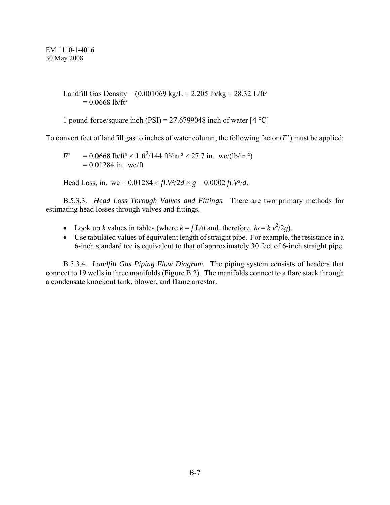Landfill Gas Density =  $(0.001069 \text{ kg/L} \times 2.205 \text{ lb/kg} \times 28.32 \text{ L/ft}^3)$  $= 0.0668$  lb/ft<sup>3</sup>

1 pound-force/square inch (PSI) =  $27.6799048$  inch of water [4 °C]

To convert feet of landfill gas to inches of water column, the following factor (*F*') must be applied:

 $F'$  = 0.0668 lb/ft<sup>3</sup> × 1 ft<sup>2</sup>/144 ft<sup>2</sup>/in.<sup>2</sup> × 27.7 in. wc/(lb/in.<sup>2</sup>)  $= 0.01284$  in. wc/ft

Head Loss, in. wc =  $0.01284 \times fLV^2/2d \times g = 0.0002 fLV^2/d$ .

 B.5.3.3. *Head Loss Through Valves and Fittings.* There are two primary methods for estimating head losses through valves and fittings.

- Look up *k* values in tables (where  $k = f L/d$  and, therefore,  $h_f = k v^2/2g$ ).
- Use tabulated values of equivalent length of straight pipe. For example, the resistance in a 6-inch standard tee is equivalent to that of approximately 30 feet of 6-inch straight pipe.

 B.5.3.4. *Landfill Gas Piping Flow Diagram.* The piping system consists of headers that connect to 19 wells in three manifolds (Figure B.2). The manifolds connect to a flare stack through a condensate knockout tank, blower, and flame arrestor.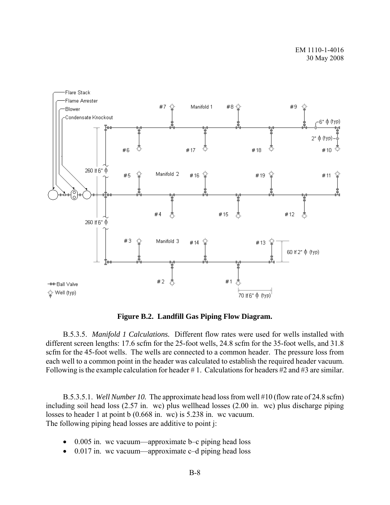

**Figure B.2. Landfill Gas Piping Flow Diagram.** 

 B.5.3.5. *Manifold 1 Calculations.* Different flow rates were used for wells installed with different screen lengths: 17.6 scfm for the 25-foot wells, 24.8 scfm for the 35-foot wells, and 31.8 scfm for the 45-foot wells. The wells are connected to a common header. The pressure loss from each well to a common point in the header was calculated to establish the required header vacuum. Following is the example calculation for header #1. Calculations for headers #2 and #3 are similar.

 B.5.3.5.1. *Well Number 10.* The approximate head loss from well #10 (flow rate of 24.8 scfm) including soil head loss (2.57 in. wc) plus wellhead losses (2.00 in. wc) plus discharge piping losses to header 1 at point b (0.668 in. wc) is 5.238 in. wc vacuum. The following piping head losses are additive to point j:

- 0.005 in. wc vacuum—approximate b–c piping head loss
- 0.017 in. we vacuum—approximate e-d piping head loss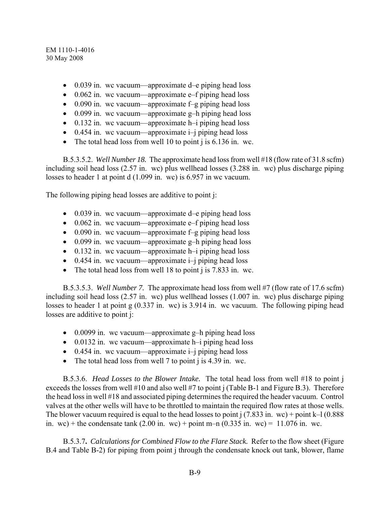- 0.039 in. we vacuum—approximate d–e piping head loss
- 0.062 in. wc vacuum—approximate e–f piping head loss
- 0.090 in. wc vacuum—approximate f–g piping head loss
- 0.099 in. wc vacuum—approximate g–h piping head loss
- 0.132 in. we vacuum—approximate h–i piping head loss
- 0.454 in. wc vacuum—approximate i–j piping head loss
- The total head loss from well 10 to point i is 6.136 in. wc.

 B.5.3.5.2. *Well Number 18.* The approximate head loss from well #18 (flow rate of 31.8 scfm) including soil head loss (2.57 in. wc) plus wellhead losses (3.288 in. wc) plus discharge piping losses to header 1 at point d (1.099 in. wc) is 6.957 in wc vacuum.

The following piping head losses are additive to point j:

- 0.039 in. we vacuum—approximate d–e piping head loss
- 0.062 in. wc vacuum—approximate e–f piping head loss
- 0.090 in. wc vacuum—approximate f–g piping head loss
- 0.099 in. wc vacuum—approximate g–h piping head loss
- 0.132 in. we vacuum—approximate h–i piping head loss
- 0.454 in. wc vacuum—approximate i–j piping head loss
- The total head loss from well 18 to point j is 7.833 in. wc.

 B.5.3.5.3. *Well Number 7.* The approximate head loss from well #7 (flow rate of 17.6 scfm) including soil head loss (2.57 in. wc) plus wellhead losses (1.007 in. wc) plus discharge piping losses to header 1 at point g  $(0.337 \text{ in.} \text{ wc})$  is 3.914 in. wc vacuum. The following piping head losses are additive to point j:

- 0.0099 in. wc vacuum—approximate g–h piping head loss
- 0.0132 in. wc vacuum—approximate h–i piping head loss
- 0.454 in. we vacuum—approximate  $i$ –j piping head loss
- The total head loss from well 7 to point j is 4.39 in. wc.

 B.5.3.6. *Head Losses to the Blower Intake.* The total head loss from well #18 to point j exceeds the losses from well  $#10$  and also well  $#7$  to point j (Table B-1 and Figure B.3). Therefore the head loss in well #18 and associated piping determines the required the header vacuum. Control valves at the other wells will have to be throttled to maintain the required flow rates at those wells. The blower vacuum required is equal to the head losses to point j  $(7.833 \text{ in.} \text{ we}) + \text{point } k-1 (0.888 \text{ in.} \text{ we})$ in. wc) + the condensate tank  $(2.00 \text{ in.} \text{ we}) + \text{point m} - \text{n} (0.335 \text{ in.} \text{ we}) = 11.076 \text{ in.} \text{ we}.$ 

 B.5.3.7**.** *Calculations for Combined Flow to the Flare Stack.* Refer to the flow sheet (Figure B.4 and Table B-2) for piping from point j through the condensate knock out tank, blower, flame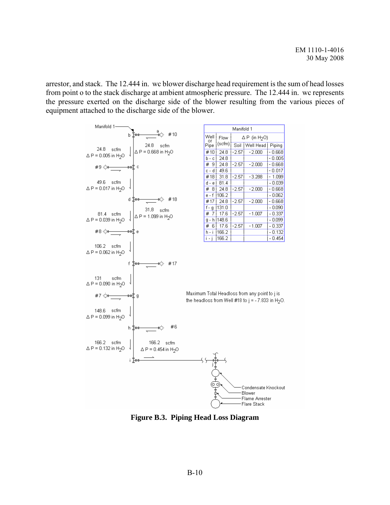arrestor, and stack. The 12.444 in. wc blower discharge head requirement is the sum of head losses from point o to the stack discharge at ambient atmospheric pressure. The 12.444 in. wc represents the pressure exerted on the discharge side of the blower resulting from the various pieces of equipment attached to the discharge side of the blower.



**Figure B.3. Piping Head Loss Diagram**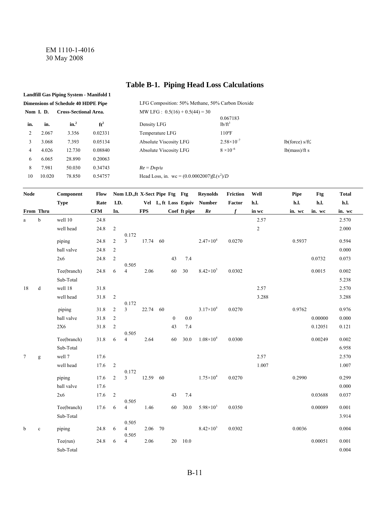# **Table B-1. Piping Head Loss Calculations**

|                                           |        | <b>Landfill Gas Piping System - Manifold 1</b> |                 |                                   |                                                  |                 |  |  |  |  |  |  |
|-------------------------------------------|--------|------------------------------------------------|-----------------|-----------------------------------|--------------------------------------------------|-----------------|--|--|--|--|--|--|
|                                           |        | <b>Dimensions of Schedule 40 HDPE Pipe</b>     |                 |                                   | LFG Composition: 50% Methane, 50% Carbon Dioxide |                 |  |  |  |  |  |  |
| <b>Cross-Sectional Area.</b><br>Nom I. D. |        |                                                |                 | MW LFG : $0.5(16) + 0.5(44) = 30$ |                                                  |                 |  |  |  |  |  |  |
| in.                                       | in.    | in. <sup>2</sup>                               | ft <sup>2</sup> | Density LFG                       | 0.067183<br>$lb/ft^3$                            |                 |  |  |  |  |  |  |
| 2                                         | 2.067  | 3.356                                          | 0.02331         | Temperature LFG                   | $110^{\circ}F$                                   |                 |  |  |  |  |  |  |
| 3                                         | 3.068  | 7.393                                          | 0.05134         | Absolute Viscosity LFG            | $2.58\times10^{-7}$                              | lb(force) s/ft2 |  |  |  |  |  |  |
| 4                                         | 4.026  | 12.730                                         | 0.08840         | Absolute Viscosity LFG            | $8 \times 10^{-6}$                               | lb(mass)/fts    |  |  |  |  |  |  |
| 6                                         | 6.065  | 28.890                                         | 0.20063         |                                   |                                                  |                 |  |  |  |  |  |  |
| 8                                         | 7.981  | 50.030                                         | 0.34743         | $Re = Dvp/u$                      |                                                  |                 |  |  |  |  |  |  |
| 10                                        | 10.020 | 78.850                                         | 0.54757         |                                   | Head Loss, in. wc = $(0.0.0002007) fL(v^2)/D$    |                 |  |  |  |  |  |  |

| <b>Node</b> |             | Component   | Flow        |                  |                         | Nom I.D.,ft X-Sect Pipe Ftg Ftg |    |              |                      | <b>Reynolds</b>      | Friction | Well           | Pipe   | Ftg     | <b>Total</b> |
|-------------|-------------|-------------|-------------|------------------|-------------------------|---------------------------------|----|--------------|----------------------|----------------------|----------|----------------|--------|---------|--------------|
|             |             | <b>Type</b> | Rate        | I.D.             |                         |                                 |    |              | Vel L, ft Loss Equiv | <b>Number</b>        | Factor   | h.l.           | h.l.   | h.l.    | h.l.         |
|             | From Thru   |             | ${\bf CFM}$ | In.              |                         | <b>FPS</b>                      |    |              | Coef ft pipe         | $\boldsymbol{Re}$    | f        | in wc          | in. wc | in. wc  | in. wc       |
| a           | b           | well 10     | 24.8        |                  |                         |                                 |    |              |                      |                      |          | 2.57           |        |         | 2.570        |
|             |             | well head   | 24.8        | $\boldsymbol{2}$ |                         |                                 |    |              |                      |                      |          | $\overline{c}$ |        |         | 2.000        |
|             |             |             |             |                  | 0.172                   |                                 |    |              |                      |                      |          |                |        |         |              |
|             |             | piping      | 24.8        | $\mathfrak{2}$   | $\mathfrak{Z}$          | 17.74 60                        |    |              |                      | $2.47\times10^{4}$   | 0.0270   |                | 0.5937 |         | 0.594        |
|             |             | ball valve  | 24.8        | $\overline{c}$   |                         |                                 |    |              |                      |                      |          |                |        |         | 0.000        |
|             |             | 2x6         | 24.8        | 2                | 0.505                   |                                 |    | 43           | 7.4                  |                      |          |                |        | 0.0732  | 0.073        |
|             |             | Tee(branch) | 24.8        | 6                | 4                       | 2.06                            |    | 60           | 30                   | $8.42\times10^{3}$   | 0.0302   |                |        | 0.0015  | 0.002        |
|             |             | Sub-Total   |             |                  |                         |                                 |    |              |                      |                      |          |                |        |         | 5.238        |
| 18          | d           | well 18     | 31.8        |                  |                         |                                 |    |              |                      |                      |          | 2.57           |        |         | 2.570        |
|             |             | well head   | 31.8        | $\overline{2}$   |                         |                                 |    |              |                      |                      |          | 3.288          |        |         | 3.288        |
|             |             |             |             |                  | 0.172                   |                                 |    |              |                      |                      |          |                |        |         |              |
|             |             | piping      | 31.8        | $\overline{c}$   | 3                       | 22.74 60                        |    |              |                      | $3.17 \times 10^{4}$ | 0.0270   |                | 0.9762 |         | 0.976        |
|             |             | ball valve  | 31.8        | $\overline{2}$   |                         |                                 |    | $\mathbf{0}$ | 0.0                  |                      |          |                |        | 0.00000 | 0.000        |
|             |             | 2X6         | 31.8        | 2                |                         |                                 |    | 43           | 7.4                  |                      |          |                |        | 0.12051 | 0.121        |
|             |             | Tee(branch) | 31.8        | 6                | 0.505<br>$\overline{4}$ | 2.64                            |    | 60           | 30.0                 | $1.08 \times 10^{4}$ | 0.0300   |                |        | 0.00249 | 0.002        |
|             |             | Sub-Total   |             |                  |                         |                                 |    |              |                      |                      |          |                |        |         | 6.958        |
| $\tau$      | $\mathbf g$ | well 7      | 17.6        |                  |                         |                                 |    |              |                      |                      |          | 2.57           |        |         | 2.570        |
|             |             | well head   | 17.6        | $\overline{2}$   |                         |                                 |    |              |                      |                      |          | 1.007          |        |         | 1.007        |
|             |             |             |             |                  | 0.172                   |                                 |    |              |                      |                      |          |                |        |         |              |
|             |             | piping      | 17.6        | $\overline{c}$   | $\mathfrak{Z}$          | 12.59 60                        |    |              |                      | $1.75 \times 10^{4}$ | 0.0270   |                | 0.2990 |         | 0.299        |
|             |             | ball valve  | 17.6        |                  |                         |                                 |    |              |                      |                      |          |                |        |         | 0.000        |
|             |             | 2x6         | 17.6        | $\overline{2}$   |                         |                                 |    | 43           | 7.4                  |                      |          |                |        | 0.03688 | 0.037        |
|             |             |             |             |                  | 0.505                   |                                 |    | 60           |                      |                      |          |                |        |         |              |
|             |             | Tee(branch) | 17.6        | 6                | 4                       | 1.46                            |    |              | 30.0                 | $5.98 \times 10^3$   | 0.0350   |                |        | 0.00089 | 0.001        |
|             |             | Sub-Total   |             |                  | 0.505                   |                                 |    |              |                      |                      |          |                |        |         | 3.914        |
| b           | $\mathbf c$ | piping      | 24.8        | 6                | $\overline{4}$          | 2.06                            | 70 |              |                      | $8.42 \times 10^{3}$ | 0.0302   |                | 0.0036 |         | 0.004        |
|             |             |             |             |                  | 0.505                   |                                 |    |              |                      |                      |          |                |        |         |              |
|             |             | Tee(run)    | 24.8        | 6                | 4                       | 2.06                            |    | $20\,$       | 10.0                 |                      |          |                |        | 0.00051 | 0.001        |
|             |             | Sub-Total   |             |                  |                         |                                 |    |              |                      |                      |          |                |        |         | 0.004        |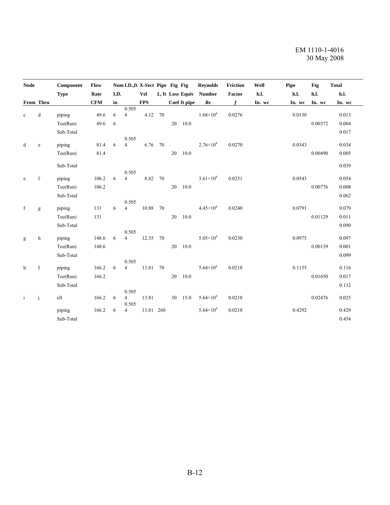| <b>Node</b>  |                  | Component   | Flow       |               |                         | Nom I.D.,ft X-Sect Pipe Ftg Ftg |    |              | <b>Revnolds</b>         | Friction | Well   | Pipe   | Ftg     | <b>Total</b> |
|--------------|------------------|-------------|------------|---------------|-------------------------|---------------------------------|----|--------------|-------------------------|----------|--------|--------|---------|--------------|
|              |                  | <b>Type</b> | Rate       | I.D.          |                         | Vel                             |    |              | L, ft Loss Equiv Number | Factor   | h.l.   | h.l.   | h.l.    | h.l.         |
|              | From Thru        |             | <b>CFM</b> | $\mathbf{in}$ |                         | <b>FPS</b>                      |    | Coef ft pipe | Re                      | f        | In. wc | In. wc | In. wc  | In. wc       |
| $\mathbf c$  |                  |             |            |               | 0.505                   |                                 |    |              |                         |          |        |        |         |              |
|              | d                | piping      | 49.6       | 6             | $\overline{4}$          | 4.12 70                         |    |              | $1.68 \times 10^{4}$    | 0.0276   |        | 0.0130 |         | 0.013        |
|              |                  | Tee(Run)    | 49.6       | 6             |                         |                                 | 20 | 10.0         |                         |          |        |        | 0.00372 | 0.004        |
|              |                  | Sub-Total   |            |               |                         |                                 |    |              |                         |          |        |        |         | 0.017        |
| d            | $\mathbf e$      | piping      | 81.4       | 6             | 0.505<br>$\overline{4}$ | 6.76 70                         |    |              | $2.76 \times 10^{4}$    | 0.0270   |        | 0.0343 |         | 0.034        |
|              |                  | Tee(Run)    | 81.4       |               |                         |                                 | 20 | 10.0         |                         |          |        |        | 0.00490 | 0.005        |
|              |                  |             |            |               |                         |                                 |    |              |                         |          |        |        |         |              |
|              |                  | Sub-Total   |            |               |                         |                                 |    |              |                         |          |        |        |         | 0.039        |
| e            | $\boldsymbol{f}$ | piping      | 106.2      | 6             | 0.505<br>4              | 8.82 70                         |    |              | $3.61\times10^{4}$      | 0.0251   |        | 0.0543 |         | 0.054        |
|              |                  |             |            |               |                         |                                 | 20 |              |                         |          |        |        | 0.00776 | 0.008        |
|              |                  | Tee(Run)    | 106.2      |               |                         |                                 |    | 10.0         |                         |          |        |        |         |              |
|              |                  | Sub-Total   |            |               | 0.505                   |                                 |    |              |                         |          |        |        |         | 0.062        |
| f            | g                | piping      | 131        | 6             | 4                       | 10.88 70                        |    |              | $4.45 \times 10^{4}$    | 0.0240   |        | 0.0791 |         | 0.079        |
|              |                  | Tee(Run)    | 131        |               |                         |                                 | 20 | 10.0         |                         |          |        |        | 0.01129 | 0.011        |
|              |                  | Sub-Total   |            |               |                         |                                 |    |              |                         |          |        |        |         | 0.090        |
|              |                  |             |            |               | 0.505                   |                                 |    |              |                         |          |        |        |         |              |
| g            | h                | piping      | 148.6      | 6             | $\overline{4}$          | 12.35 70                        |    |              | $5.05 \times 10^{4}$    | 0.0230   |        | 0.0975 |         | 0.097        |
|              |                  | Tee(Run)    | 148.6      |               |                         |                                 | 20 | 10.0         |                         |          |        |        | 0.00139 | 0.001        |
|              |                  | Sub-Total   |            |               |                         |                                 |    |              |                         |          |        |        |         | 0.099        |
| h            | $\mathbf I$      | piping      | 166.2      | 6             | 0.505<br>$\overline{4}$ | 13.81 70                        |    |              | $5.64\times10^{4}$      | 0.0218   |        | 0.1155 |         | 0.116        |
|              |                  |             | 166.2      |               |                         |                                 | 20 |              |                         |          |        |        |         | 0.017        |
|              |                  | Tee(Run)    |            |               |                         |                                 |    | 10.0         |                         |          |        |        | 0.01650 |              |
|              |                  | Sub-Total   |            |               | 0.505                   |                                 |    |              |                         |          |        |        |         | 0.132        |
| $\mathbf{i}$ | j                | ell         | 166.2      | 6             | $\overline{4}$          | 13.81                           | 30 | 15.0         | $5.64 \times 10^{4}$    | 0.0218   |        |        | 0.02476 | 0.025        |
|              |                  |             |            |               | 0.505                   |                                 |    |              |                         |          |        |        |         |              |
|              |                  | piping      | 166.2      | 6             | 4                       | 13.81 260                       |    |              | $5.64 \times 10^{4}$    | 0.0218   |        | 0.4292 |         | 0.429        |
|              |                  | Sub-Total   |            |               |                         |                                 |    |              |                         |          |        |        |         | 0.454        |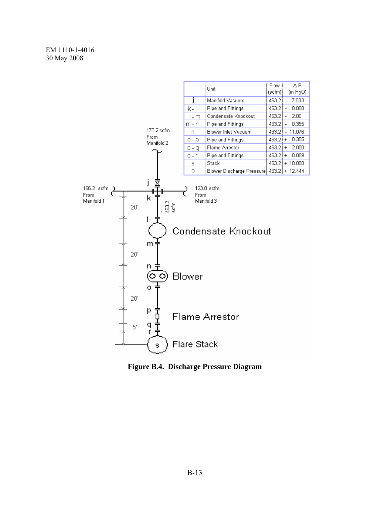

**Figure B.4. Discharge Pressure Diagram**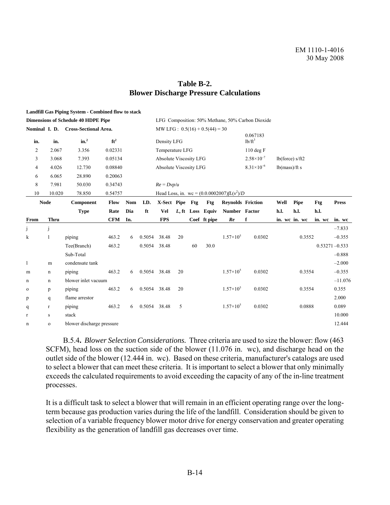## **Table B-2. Blower Discharge Pressure Calculations**

|                                               | <b>Landfill Gas Piping System - Combined flow to stack</b> |                           |                                                          |     |        |                                                  |    |    |                  |                          |                       |                 |               |        |                   |
|-----------------------------------------------|------------------------------------------------------------|---------------------------|----------------------------------------------------------|-----|--------|--------------------------------------------------|----|----|------------------|--------------------------|-----------------------|-----------------|---------------|--------|-------------------|
| <b>Dimensions of Schedule 40 HDPE Pipe</b>    |                                                            |                           |                                                          |     |        | LFG Composition: 50% Methane, 50% Carbon Dioxide |    |    |                  |                          |                       |                 |               |        |                   |
| Nominal I. D.<br><b>Cross-Sectional Area.</b> |                                                            |                           |                                                          |     |        | MW LFG : $0.5(16) + 0.5(44) = 30$                |    |    |                  |                          |                       |                 |               |        |                   |
| in.                                           | in.                                                        | in. <sup>2</sup>          | $\mathbf{ft}^2$                                          |     |        | Density LFG                                      |    |    |                  |                          | 0.067183<br>$lb/ft^3$ |                 |               |        |                   |
| 2                                             | 2.067                                                      | 3.356                     | 0.02331                                                  |     |        | Temperature LFG                                  |    |    |                  |                          | $110$ deg $F$         |                 |               |        |                   |
| 3                                             | 3.068                                                      | 7.393                     | 0.05134                                                  |     |        | <b>Absolute Viscosity LFG</b>                    |    |    |                  |                          | $2.58\times10^{-7}$   | lb(force) s/ft2 |               |        |                   |
| 4                                             | 4.026                                                      | 12.730                    | 0.08840                                                  |     |        | Absolute Viscosity LFG                           |    |    |                  |                          | $8.31\times10^{-6}$   | lb(mass)/fts    |               |        |                   |
| 6                                             | 6.065                                                      | 28.890                    | 0.20063                                                  |     |        |                                                  |    |    |                  |                          |                       |                 |               |        |                   |
| 8                                             | 7.981                                                      | 50.030                    | 0.34743                                                  |     |        | $Re = Dvp/u$                                     |    |    |                  |                          |                       |                 |               |        |                   |
| 10                                            | 10.020                                                     | 78.850                    | 0.54757<br>Head Loss, in. wc = $(0.0.0002007) fL(v^2)/D$ |     |        |                                                  |    |    |                  |                          |                       |                 |               |        |                   |
| <b>Node</b>                                   |                                                            | Component                 | <b>Flow</b>                                              | Nom | I.D.   | X-Sect Pipe Ftg                                  |    |    | Ftg              | <b>Reynolds Friction</b> |                       | Well            | Pipe          | Ftg    | <b>Press</b>      |
|                                               |                                                            | <b>Type</b>               | Rate                                                     | Dia | ft     | Vel                                              |    |    | L, ft Loss Equiv | <b>Number Factor</b>     |                       | h.l.            | h.l.          | h.l.   |                   |
| From                                          | <b>Thru</b>                                                |                           | <b>CFM</b>                                               | In. |        | <b>FPS</b>                                       |    |    | Coef ft pipe     | Re                       | f                     |                 | in. we in. we | in. wc | in. wc            |
| j                                             | j                                                          |                           |                                                          |     |        |                                                  |    |    |                  |                          |                       |                 |               |        | $-7.833$          |
| k                                             |                                                            | piping                    | 463.2                                                    | 6   | 0.5054 | 38.48                                            | 20 |    |                  | $1.57\times10^{5}$       | 0.0302                |                 | 0.3552        |        | $-0.355$          |
|                                               |                                                            | Tee(Branch)               | 463.2                                                    |     | 0.5054 | 38.48                                            |    | 60 | 30.0             |                          |                       |                 |               |        | $0.53271 - 0.533$ |
|                                               |                                                            | Sub-Total                 |                                                          |     |        |                                                  |    |    |                  |                          |                       |                 |               |        | $-0.888$          |
| 1                                             | m                                                          | condensate tank           |                                                          |     |        |                                                  |    |    |                  |                          |                       |                 |               |        | $-2.000$          |
| m                                             | $\mathbf n$                                                | piping                    | 463.2                                                    | 6   |        | 0.5054 38.48                                     | 20 |    |                  | $1.57\times10^{5}$       | 0.0302                |                 | 0.3554        |        | $-0.355$          |
| n                                             | $\mathbf n$                                                | blower inlet vacuum       |                                                          |     |        |                                                  |    |    |                  |                          |                       |                 |               |        | $-11.076$         |
| $\mathbf{o}$                                  | p                                                          | piping                    | 463.2                                                    | 6   |        | 0.5054 38.48                                     | 20 |    |                  | $1.57\times10^{5}$       | 0.0302                |                 | 0.3554        |        | 0.355             |
| p                                             | q                                                          | flame arrestor            |                                                          |     |        |                                                  |    |    |                  |                          |                       |                 |               |        | 2.000             |
| q                                             | $\mathbf{r}$                                               | piping                    | 463.2                                                    | 6   |        | 0.5054 38.48                                     | 5  |    |                  | $1.57\times10^{5}$       | 0.0302                |                 | 0.0888        |        | 0.089             |
| $\Gamma$                                      | $\mathbf S$                                                | stack                     |                                                          |     |        |                                                  |    |    |                  |                          |                       |                 |               |        | 10.000            |
| $\mathbf n$                                   | $\mathbf{o}$                                               | blower discharge pressure |                                                          |     |        |                                                  |    |    |                  |                          |                       |                 |               |        | 12.444            |
|                                               |                                                            |                           |                                                          |     |        |                                                  |    |    |                  |                          |                       |                 |               |        |                   |

 B.5.4**.** *Blower Selection Considerations.* Three criteria are used to size the blower: flow (463 SCFM), head loss on the suction side of the blower (11.076 in. wc), and discharge head on the outlet side of the blower (12.444 in. wc). Based on these criteria, manufacturer's catalogs are used to select a blower that can meet these criteria. It is important to select a blower that only minimally exceeds the calculated requirements to avoid exceeding the capacity of any of the in-line treatment processes.

It is a difficult task to select a blower that will remain in an efficient operating range over the longterm because gas production varies during the life of the landfill. Consideration should be given to selection of a variable frequency blower motor drive for energy conservation and greater operating flexibility as the generation of landfill gas decreases over time.